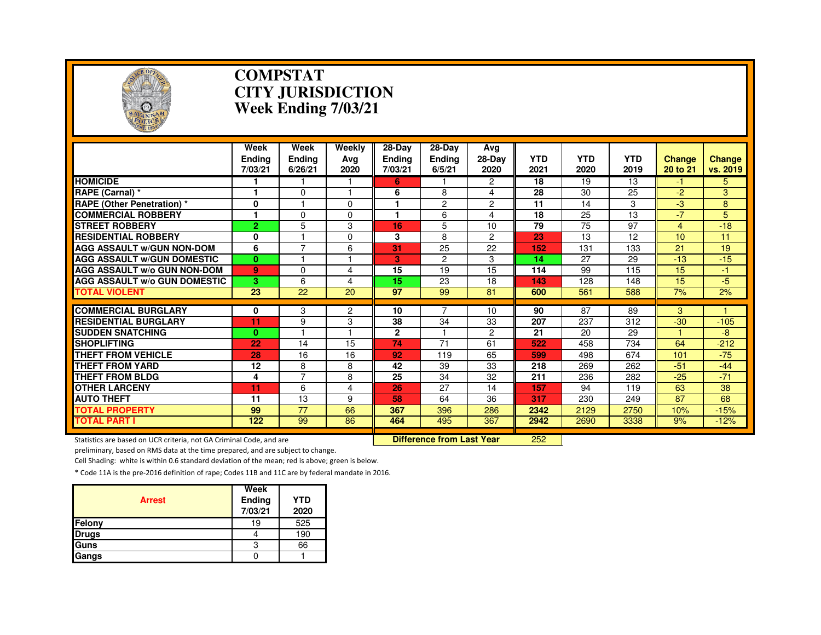

#### **COMPSTAT CITY JURISDICTIONWeek Ending 7/03/21**

|                                                                     | Week<br><b>Ending</b><br>7/03/21 | Week<br><b>Ending</b><br>6/26/21 | Weekly<br>Avg<br>2020     | 28-Day<br><b>Ending</b><br>7/03/21 | 28-Day<br><b>Ending</b><br>6/5/21 | Avg<br>28-Day<br>2020 | <b>YTD</b><br>2021 | <b>YTD</b><br>2020 | <b>YTD</b><br>2019 | <b>Change</b><br>20 to 21 | <b>Change</b><br>vs. 2019 |
|---------------------------------------------------------------------|----------------------------------|----------------------------------|---------------------------|------------------------------------|-----------------------------------|-----------------------|--------------------|--------------------|--------------------|---------------------------|---------------------------|
| <b>HOMICIDE</b>                                                     |                                  |                                  |                           | 6                                  |                                   | $\overline{2}$        | 18                 | 19                 | 13                 | -1.                       | 5.                        |
| RAPE (Carnal) *                                                     | 1                                | 0                                |                           | 6                                  | 8                                 | 4                     | 28                 | 30                 | 25                 | $-2$                      | 3                         |
| <b>RAPE (Other Penetration) *</b>                                   | 0                                | ٩                                | $\Omega$                  |                                    | $\overline{2}$                    | $\overline{2}$        | 11                 | 14                 | 3                  | $-3$                      | 8                         |
| <b>COMMERCIAL ROBBERY</b>                                           | 1                                | 0                                | $\Omega$                  |                                    | 6                                 | 4                     | 18                 | 25                 | 13                 | $-7$                      | 5                         |
| <b>STREET ROBBERY</b>                                               | $\overline{2}$                   | 5                                | 3                         | 16                                 | 5                                 | 10                    | 79                 | 75                 | 97                 | 4                         | $-18$                     |
| <b>RESIDENTIAL ROBBERY</b>                                          | 0                                |                                  | $\Omega$                  | 3                                  | 8                                 | $\overline{2}$        | 23                 | 13                 | 12                 | 10                        | 11                        |
| <b>AGG ASSAULT w/GUN NON-DOM</b>                                    | 6                                | $\overline{7}$                   | 6                         | 31                                 | 25                                | 22                    | 152                | 131                | 133                | 21                        | 19                        |
| <b>AGG ASSAULT W/GUN DOMESTIC</b>                                   | $\mathbf{0}$                     |                                  |                           | 3                                  | 2                                 | 3                     | 14                 | 27                 | 29                 | $-13$                     | $-15$                     |
| <b>AGG ASSAULT W/o GUN NON-DOM</b>                                  | 9                                | 0                                | 4                         | 15                                 | 19                                | $\overline{15}$       | 114                | 99                 | 115                | 15                        | $-1$                      |
| <b>AGG ASSAULT W/o GUN DOMESTIC</b>                                 | 3                                | 6                                | 4                         | 15                                 | 23                                | 18                    | 143                | 128                | 148                | 15                        | $-5$                      |
| <b>TOTAL VIOLENT</b>                                                | 23                               | 22                               | 20                        | 97                                 | 99                                | 81                    | 600                | 561                | 588                | 7%                        | 2%                        |
| <b>COMMERCIAL BURGLARY</b>                                          | $\mathbf{0}$                     | 3                                | 2                         | 10                                 | 7                                 | 10                    | 90                 | 87                 | 89                 | 3                         |                           |
| <b>RESIDENTIAL BURGLARY</b>                                         | 11                               | 9                                | 3                         | 38                                 | 34                                | 33                    | 207                | 237                | 312                | $-30$                     | $-105$                    |
| <b>SUDDEN SNATCHING</b>                                             | $\mathbf{0}$                     |                                  |                           | $\mathbf{2}$                       |                                   | $\overline{c}$        | 21                 | 20                 | 29                 |                           | $-8$                      |
| <b>SHOPLIFTING</b>                                                  | 22                               | 14                               | 15                        | 74                                 | 71                                | 61                    | 522                | 458                | 734                | 64                        | $-212$                    |
| <b>THEFT FROM VEHICLE</b>                                           | 28                               | 16                               | 16                        | 92                                 | 119                               | 65                    | 599                | 498                | 674                | 101                       | $-75$                     |
| <b>THEFT FROM YARD</b>                                              | 12                               | 8                                | 8                         | 42                                 | 39                                | 33                    | 218                | 269                | 262                | $-51$                     | $-44$                     |
| <b>THEFT FROM BLDG</b>                                              | 4                                | $\overline{7}$                   | 8                         | 25                                 | 34                                | 32                    | 211                | 236                | 282                | $-25$                     | $-71$                     |
| <b>OTHER LARCENY</b>                                                | 11                               | 6                                | 4                         | 26                                 | 27                                | 14                    | 157                | 94                 | 119                | 63                        | 38                        |
| <b>AUTO THEFT</b>                                                   | 11                               | 13                               | 9                         | 58                                 | 64                                | 36                    | 317                | 230                | 249                | 87                        | 68                        |
| <b>TOTAL PROPERTY</b>                                               | 99                               | 77                               | 66                        | 367                                | 396                               | 286                   | 2342               | 2129               | 2750               | 10%                       | $-15%$                    |
| <b>TOTAL PART I</b>                                                 | 122                              | 99                               | 86                        | 464                                | 495                               | 367                   | 2942               | 2690               | 3338               | 9%                        | $-12%$                    |
| Statistics are based on UCR criteria, not GA Criminal Code, and are |                                  |                                  | Difference from Last Year |                                    | 252                               |                       |                    |                    |                    |                           |                           |

Statistics are based on UCR criteria, not GA Criminal Code, and are **Difference from Last Year** 

preliminary, based on RMS data at the time prepared, and are subject to change.

Cell Shading: white is within 0.6 standard deviation of the mean; red is above; green is below.

| <b>Arrest</b> | Week<br>Ending<br>7/03/21 | YTD<br>2020 |
|---------------|---------------------------|-------------|
| Felony        | 19                        | 525         |
| <b>Drugs</b>  |                           | 190         |
| Guns          | о                         | 66          |
| Gangs         |                           |             |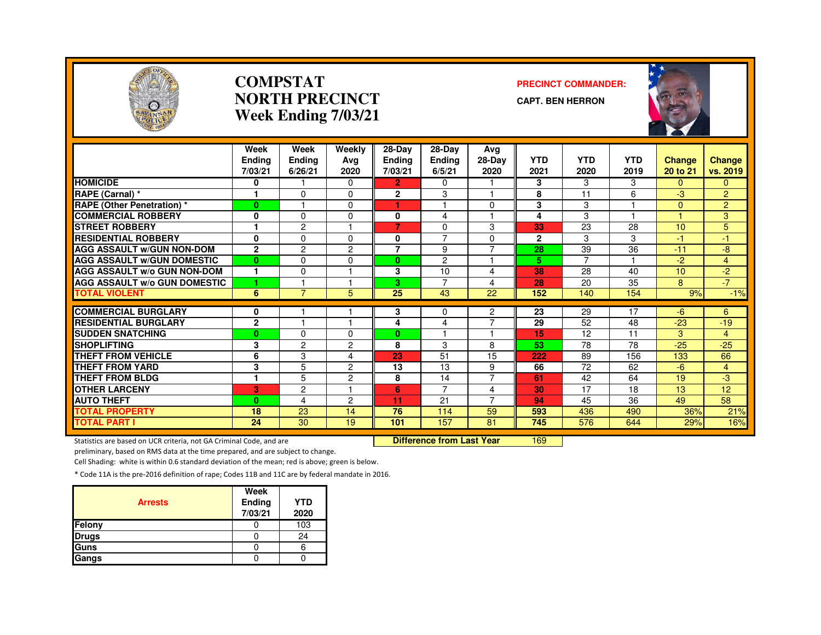

#### **COMPSTATNORTH PRECINCTWeek Ending 7/03/21**

#### **PRECINCT COMMANDER:**

**CAPT. BEN HERRON**



|                                     | Week<br><b>Endina</b> | Week<br>Ending  | Weekly<br>Avg  | $28-Dav$<br>Ending | 28-Day<br><b>Ending</b> | Avg<br>28-Day  | <b>YTD</b>   | <b>YTD</b>     | <b>YTD</b> | <b>Change</b> | Change          |
|-------------------------------------|-----------------------|-----------------|----------------|--------------------|-------------------------|----------------|--------------|----------------|------------|---------------|-----------------|
|                                     | 7/03/21               | 6/26/21         | 2020           | 7/03/21            | 6/5/21                  | 2020           | 2021         | 2020           | 2019       | 20 to 21      | vs. 2019        |
| <b>HOMICIDE</b>                     | 0                     |                 | 0              | 2.                 | 0                       |                | 3            | 3              | 3          | $\Omega$      | 0               |
| <b>RAPE (Carnal) *</b>              |                       | $\Omega$        | $\Omega$       | $\mathbf{2}$       | 3                       | 1              | 8            | 11             | 6          | -3            | $\overline{2}$  |
| <b>RAPE (Other Penetration) *</b>   | $\bf{0}$              |                 | 0              | ٠                  |                         | $\Omega$       | 3            | 3              | 1          | $\Omega$      | $\overline{2}$  |
| <b>COMMERCIAL ROBBERY</b>           | 0                     | $\Omega$        | 0              | 0                  | 4                       | 1              | 4            | 3              | н          |               | 3               |
| <b>STREET ROBBERY</b>               |                       | $\overline{c}$  |                | 7                  | 0                       | 3              | 33           | 23             | 28         | 10            | 5               |
| <b>RESIDENTIAL ROBBERY</b>          | $\mathbf{0}$          | $\Omega$        | 0              | 0                  | $\overline{7}$          | $\Omega$       | $\mathbf{2}$ | 3              | 3          | -1            | $-1$            |
| <b>AGG ASSAULT w/GUN NON-DOM</b>    | $\mathbf{2}$          | $\overline{2}$  | $\overline{2}$ | $\overline{7}$     | 9                       | 7              | 28           | 39             | 36         | $-11$         | -8              |
| <b>AGG ASSAULT W/GUN DOMESTIC</b>   | $\bf{0}$              | $\Omega$        | $\Omega$       | $\bf{0}$           | $\overline{2}$          | 1              | 5            | $\overline{7}$ |            | $-2$          | 4               |
| <b>AGG ASSAULT W/o GUN NON-DOM</b>  | 1                     | $\Omega$        |                | 3                  | 10                      | 4              | 38           | 28             | 40         | 10            | $-2$            |
| <b>AGG ASSAULT W/o GUN DOMESTIC</b> | 1                     |                 |                | 3                  | $\overline{7}$          | 4              | 28           | 20             | 35         | 8             | $-7$            |
| <b>TOTAL VIOLENT</b>                | 6                     | $\overline{7}$  | 5              | 25                 | 43                      | 22             | 152          | 140            | 154        | 9%            | $-1%$           |
|                                     |                       |                 |                |                    |                         |                |              |                |            |               |                 |
| <b>COMMERCIAL BURGLARY</b>          | 0                     |                 |                | 3                  | 0                       | $\overline{c}$ | 23           | 29             | 17         | $-6$          | 6               |
| <b>RESIDENTIAL BURGLARY</b>         | $\mathbf{2}$          |                 |                | 4                  | 4                       | $\overline{7}$ | 29           | 52             | 48         | $-23$         | $-19$           |
| <b>SUDDEN SNATCHING</b>             | $\bf{0}$              | $\Omega$        | 0              | $\bf{0}$           |                         | 1              | 15           | 12             | 11         | 3             | 4               |
| <b>SHOPLIFTING</b>                  | 3                     | $\overline{2}$  | 2              | 8                  | 3                       | 8              | 53           | 78             | 78         | $-25$         | $-25$           |
| <b>THEFT FROM VEHICLE</b>           | 6                     | 3               | 4              | 23                 | 51                      | 15             | 222          | 89             | 156        | 133           | 66              |
| <b>THEFT FROM YARD</b>              | 3                     | 5               | 2              | 13                 | 13                      | 9              | 66           | 72             | 62         | $-6$          | $\overline{4}$  |
| <b>THEFT FROM BLDG</b>              |                       | 5               | 2              | 8                  | 14                      | $\overline{7}$ | 61           | 42             | 64         | 19            | -3              |
| <b>OTHER LARCENY</b>                | 3                     | $\overline{c}$  |                | 6                  | $\overline{7}$          | 4              | 30           | 17             | 18         | 13            | 12 <sup>2</sup> |
| <b>AUTO THEFT</b>                   | $\bf{0}$              | 4               | 2              | 11                 | 21                      | 7              | 94           | 45             | 36         | 49            | 58              |
| <b>TOTAL PROPERTY</b>               | 18                    | 23              | 14             | 76                 | 114                     | 59             | 593          | 436            | 490        | 36%           | 21%             |
| <b>TOTAL PART I</b>                 | $\overline{24}$       | $\overline{30}$ | 19             | 101                | 157                     | 81             | 745          | 576            | 644        | 29%           | 16%             |

Statistics are based on UCR criteria, not GA Criminal Code, and are **Difference from Last Year** 

<sup>169</sup>

preliminary, based on RMS data at the time prepared, and are subject to change.

Cell Shading: white is within 0.6 standard deviation of the mean; red is above; green is below.

| <b>Arrests</b> | Week<br><b>Ending</b><br>7/03/21 | <b>YTD</b><br>2020 |
|----------------|----------------------------------|--------------------|
| Felony         |                                  | 103                |
| <b>Drugs</b>   |                                  | 24                 |
| Guns           |                                  |                    |
| Gangs          |                                  |                    |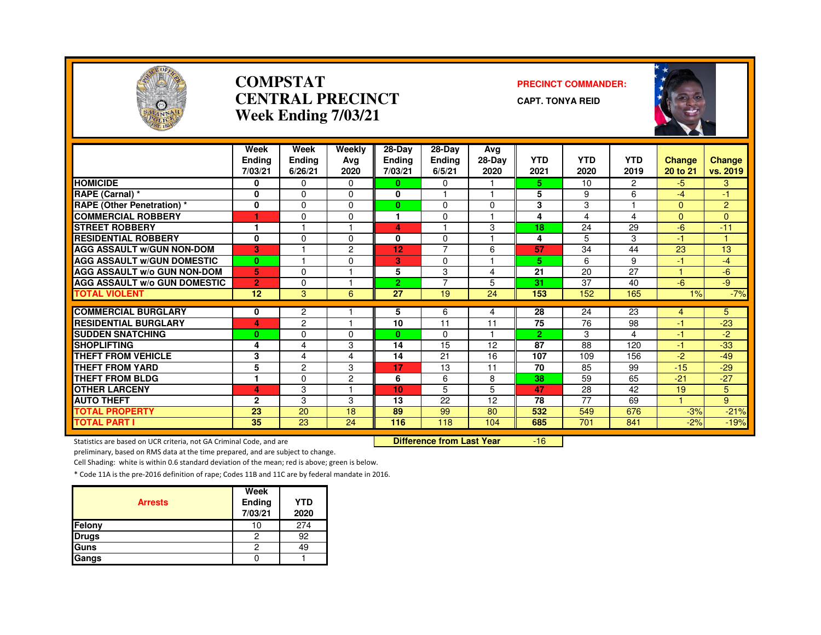

#### **COMPSTATCENTRAL PRECINCTWeek Ending 7/03/21**

#### **PRECINCT COMMANDER:**

**CAPT. TONYA REID**



|                                                           | Week<br>Ending<br>7/03/21 | Week<br><b>Ending</b><br>6/26/21 | Weekly<br>Ava<br>2020 | 28-Day<br><b>Ending</b><br>7/03/21 | $28-Dav$<br><b>Ending</b><br>6/5/21 | Avg<br>$28-Dav$<br>2020 | <b>YTD</b><br>2021   | <b>YTD</b><br>2020 | <b>YTD</b><br>2019 | <b>Change</b><br>20 to 21 | <b>Change</b><br>vs. 2019 |
|-----------------------------------------------------------|---------------------------|----------------------------------|-----------------------|------------------------------------|-------------------------------------|-------------------------|----------------------|--------------------|--------------------|---------------------------|---------------------------|
| <b>HOMICIDE</b>                                           | 0                         | $\Omega$                         | $\Omega$              | $\mathbf{0}$                       | 0                                   |                         | 5.                   | 10                 | $\overline{c}$     | -5                        | 3                         |
| RAPE (Carnal) *                                           | 0                         | $\Omega$                         | $\Omega$              | 0                                  |                                     | $\overline{4}$          | 5                    | 9                  | 6                  | -4                        | -1                        |
| <b>RAPE (Other Penetration) *</b>                         | $\bf{0}$                  | $\Omega$                         | $\Omega$              | $\bf{0}$                           | 0                                   | $\Omega$                | 3                    | 3                  |                    | $\Omega$                  | $\overline{2}$            |
| <b>COMMERCIAL ROBBERY</b>                                 | ٠                         | $\Omega$                         | $\Omega$              | 1                                  | 0                                   |                         | 4                    | 4                  | 4                  | $\Omega$                  | $\Omega$                  |
| <b>STREET ROBBERY</b>                                     | 1                         |                                  |                       | 4                                  |                                     | 3                       | 18                   | 24                 | 29                 | $-6$                      | $-11$                     |
| <b>RESIDENTIAL ROBBERY</b>                                | $\bf{0}$                  | $\Omega$                         | $\Omega$              | 0                                  | 0                                   |                         | 4                    | 5                  | 3                  | $-1$                      |                           |
| <b>AGG ASSAULT W/GUN NON-DOM</b>                          | 3                         |                                  | $\overline{2}$        | 12                                 | $\overline{7}$                      | 6                       | 57                   | 34                 | 44                 | 23                        | 13                        |
| <b>AGG ASSAULT W/GUN DOMESTIC</b>                         | $\bf{0}$                  |                                  | $\Omega$              | 3                                  | $\Omega$                            |                         | 5                    | 6                  | 9                  | $-1$                      | $-4$                      |
| <b>AGG ASSAULT W/o GUN NON-DOM</b>                        | 5                         | $\Omega$                         |                       | 5                                  | 3                                   | 4                       | 21                   | 20                 | 27                 |                           | -6                        |
| <b>AGG ASSAULT W/o GUN DOMESTIC</b>                       | $\overline{2}$            | $\Omega$                         |                       | 2.                                 | 7                                   | 5                       | 31                   | 37                 | 40                 | $-6$                      | -9                        |
| <b>TOTAL VIOLENT</b>                                      | 12                        | 3                                | 6                     | 27                                 | 19                                  | 24                      | 153                  | 152                | 165                | 1%                        | $-7%$                     |
|                                                           |                           |                                  |                       |                                    |                                     |                         |                      |                    |                    |                           |                           |
| <b>COMMERCIAL BURGLARY</b><br><b>RESIDENTIAL BURGLARY</b> | 0                         | 2                                |                       | 5                                  | 6                                   | 4                       | 28                   | 24                 | 23                 | $\overline{4}$<br>$-1$    | 5                         |
|                                                           | 4                         | 2                                |                       | 10                                 | 11                                  | 11                      | 75                   | 76                 | 98                 | $-1$                      | $-23$                     |
| <b>SUDDEN SNATCHING</b><br><b>SHOPLIFTING</b>             | $\bf{0}$                  | $\Omega$                         | $\Omega$              | $\mathbf{0}$                       | $\Omega$<br>15                      | 12                      | $\overline{2}$<br>87 | 3<br>88            | 4<br>120           | $\blacktriangleleft$      | $-2$<br>$-33$             |
|                                                           | 4                         | 4                                | 3                     | 14                                 |                                     |                         |                      |                    |                    |                           |                           |
| <b>THEFT FROM VEHICLE</b>                                 | 3                         | 4                                | 4                     | 14                                 | 21                                  | 16                      | 107                  | 109                | 156                | $-2$<br>$-15$             | $-49$                     |
| <b>THEFT FROM YARD</b>                                    | 5                         | $\overline{2}$                   | 3                     | 17                                 | 13                                  | 11                      | 70                   | 85                 | 99                 |                           | $-29$                     |
| <b>THEFT FROM BLDG</b>                                    | 1                         | $\Omega$                         | $\overline{2}$        | 6                                  | 6                                   | 8                       | 38                   | 59                 | 65                 | $-21$                     | $-27$                     |
| <b>OTHER LARCENY</b>                                      | 4                         | 3                                |                       | 10                                 | 5                                   | 5                       | 47                   | 28                 | 42                 | 19                        | 5                         |
| <b>AUTO THEFT</b>                                         | $\mathbf{2}$              | 3                                | 3                     | 13                                 | 22                                  | 12                      | 78                   | 77                 | 69                 |                           | 9                         |
| <b>TOTAL PROPERTY</b>                                     | 23                        | 20                               | 18                    | 89                                 | 99                                  | 80                      | 532                  | 549                | 676                | $-3%$                     | $-21%$                    |
| <b>TOTAL PART I</b>                                       | 35                        | 23                               | 24                    | 116                                | 118                                 | 104                     | 685                  | 701                | 841                | $-2%$                     | $-19%$                    |

Statistics are based on UCR criteria, not GA Criminal Code, and are **Difference from Last Year** 

 $-16$ 

preliminary, based on RMS data at the time prepared, and are subject to change.

Cell Shading: white is within 0.6 standard deviation of the mean; red is above; green is below.

| <b>Arrests</b> | Week<br>Ending<br>7/03/21 | <b>YTD</b><br>2020 |
|----------------|---------------------------|--------------------|
| Felony         | 10                        | 274                |
| <b>Drugs</b>   | 2                         | 92                 |
| Guns           | 2                         | 49                 |
| Gangs          |                           |                    |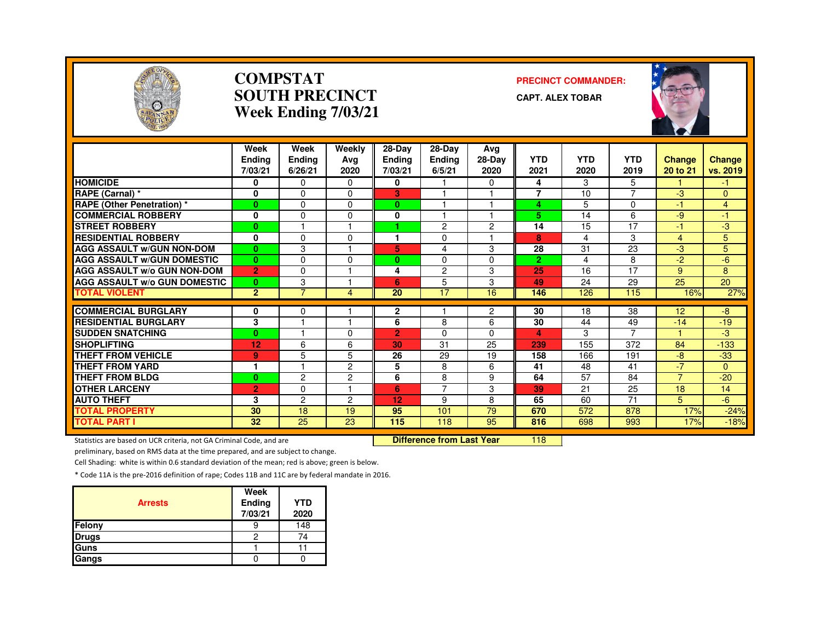

#### **COMPSTATSOUTH PRECINCTWeek Ending 7/03/21**

#### **PRECINCT COMMANDER:**

**CAPT. ALEX TOBAR**



|                                               | Week           | Week                    | Weekly         | $28-Dav$          | $28-Dav$       | Avg                      |                |            |                |                      |                |
|-----------------------------------------------|----------------|-------------------------|----------------|-------------------|----------------|--------------------------|----------------|------------|----------------|----------------------|----------------|
|                                               | <b>Endina</b>  | Ending                  | Ava            | <b>Ending</b>     | <b>Ending</b>  | $28-Dav$                 | <b>YTD</b>     | <b>YTD</b> | <b>YTD</b>     | <b>Change</b>        | <b>Change</b>  |
|                                               | 7/03/21        | 6/26/21                 | 2020           | 7/03/21           | 6/5/21         | 2020                     | 2021           | 2020       | 2019           | 20 to 21             | vs. 2019       |
| <b>HOMICIDE</b>                               | 0              | $\Omega$                | 0              | 0                 |                | 0                        | 4              | 3          | 5              |                      | -1             |
| RAPE (Carnal) *                               | 0              | $\Omega$                | 0              | 3                 |                |                          | $\overline{7}$ | 10         | $\overline{7}$ | -3                   | $\mathbf{0}$   |
| <b>RAPE (Other Penetration) *</b>             | $\bf{0}$       | $\Omega$                | $\Omega$       | $\mathbf{0}$      |                | $\overline{\phantom{a}}$ | 4              | 5          | $\Omega$       | $-1$                 | $\overline{4}$ |
| <b>COMMERCIAL ROBBERY</b>                     | 0              | $\Omega$                | 0              | 0                 |                |                          | 5              | 14         | 6              | -9                   | -1             |
| <b>STREET ROBBERY</b>                         | $\bf{0}$       |                         |                | 4                 | 2              | 2                        | 14             | 15         | 17             | $-1$                 | -3             |
| <b>RESIDENTIAL ROBBERY</b>                    | 0              | $\Omega$                | $\Omega$       |                   | $\Omega$       |                          | 8              | 4          | 3              | 4                    | 5              |
| <b>AGG ASSAULT W/GUN NON-DOM</b>              | $\bf{0}$       | 3                       |                | 5                 | 4              | 3                        | 28             | 31         | 23             | -3                   | 5              |
| <b>AGG ASSAULT W/GUN DOMESTIC</b>             | $\bf{0}$       | $\Omega$                | $\Omega$       | $\mathbf{0}$      | 0              | 0                        | $\overline{2}$ | 4          | 8              | $-2$                 | $-6$           |
| AGG ASSAULT w/o GUN NON-DOM                   | $\overline{2}$ | $\Omega$                |                | 4                 | $\overline{c}$ | 3                        | 25             | 16         | 17             | 9                    | 8              |
| <b>AGG ASSAULT W/o GUN DOMESTIC</b>           | $\bf{0}$       | 3                       |                | 6                 | 5              | 3                        | 49             | 24         | 29             | 25                   | 20             |
| <b>TOTAL VIOLENT</b>                          | $\overline{2}$ | 7                       | 4              | 20                | 17             | 16                       | 146            | 126        | 115            | 16%                  | 27%            |
| <b>COMMERCIAL BURGLARY</b>                    |                |                         |                |                   |                |                          | 30             | 18         | 38             | 12                   | -8             |
| <b>RESIDENTIAL BURGLARY</b>                   | 0              | $\Omega$                |                | $\mathbf{2}$<br>6 | 8              | $\overline{c}$<br>6      | 30             | 44         | 49             | $-14$                | $-19$          |
|                                               | 3              | $\overline{\mathbf{1}}$ |                |                   |                |                          |                |            | $\overline{7}$ | $\blacktriangleleft$ |                |
| <b>SUDDEN SNATCHING</b><br><b>SHOPLIFTING</b> | $\bf{0}$       |                         | 0              | $\overline{2}$    | $\Omega$       | 0                        | 4              | 3          |                |                      | -3             |
|                                               | 12             | 6                       | 6              | 30                | 31             | 25                       | 239            | 155        | 372            | 84                   | $-133$         |
| <b>THEFT FROM VEHICLE</b>                     | 9              | 5                       | 5              | 26                | 29             | 19                       | 158            | 166        | 191            | -8                   | $-33$          |
| <b>THEFT FROM YARD</b>                        | 1              |                         | 2              | 5                 | 8              | 6                        | 41             | 48         | 41             | $-7$                 | $\Omega$       |
| THEFT FROM BLDG                               | $\bf{0}$       | $\overline{c}$          | $\overline{c}$ | 6                 | 8              | 9                        | 64             | 57         | 84             | $\overline{7}$       | $-20$          |
| <b>OTHER LARCENY</b>                          | $\overline{2}$ | $\Omega$                |                | 6                 | $\overline{7}$ | 3                        | 39             | 21         | 25             | 18                   | 14             |
| <b>AUTO THEFT</b>                             | 3              | $\overline{c}$          | $\overline{c}$ | 12                | 9              | 8                        | 65             | 60         | 71             | 5                    | -6             |
| <b>TOTAL PROPERTY</b>                         | 30             | 18                      | 19             | 95                | 101            | 79                       | 670            | 572        | 878            | 17%                  | $-24%$         |
| <b>TOTAL PART I</b>                           | 32             | 25                      | 23             | 115               | 118            | 95                       | 816            | 698        | 993            | 17%                  | $-18%$         |

Statistics are based on UCR criteria, not GA Criminal Code, and are **Difference from Last Year** 

<sup>118</sup>

preliminary, based on RMS data at the time prepared, and are subject to change.

Cell Shading: white is within 0.6 standard deviation of the mean; red is above; green is below.

| <b>Arrests</b> | Week<br><b>Ending</b><br>7/03/21 | <b>YTD</b><br>2020 |
|----------------|----------------------------------|--------------------|
| Felony         |                                  | 148                |
| <b>Drugs</b>   | 2                                | 74                 |
| <b>Guns</b>    |                                  |                    |
| Gangs          |                                  |                    |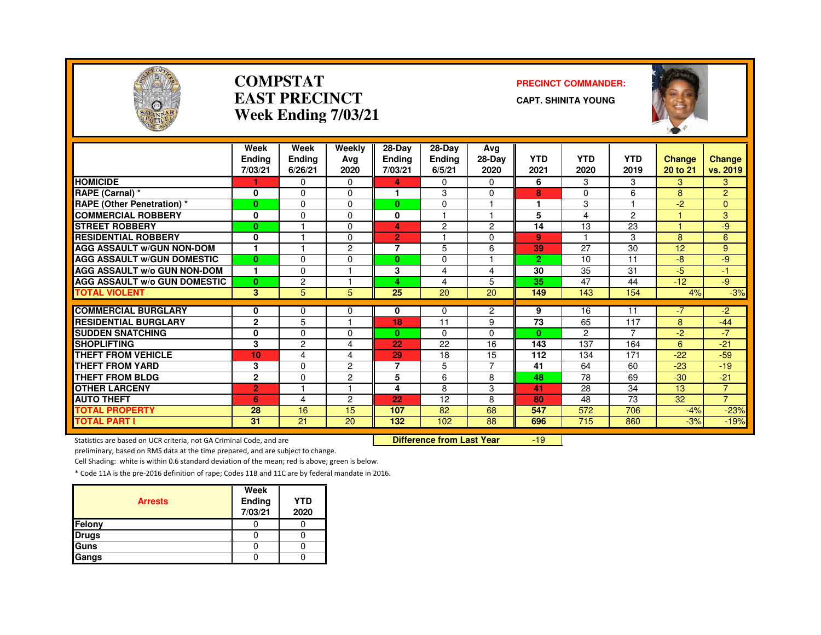

#### **COMPSTATEAST PRECINCTWeek Ending 7/03/21**

#### **PRECINCT COMMANDER:**

**CAPT. SHINITA YOUNG**



|                                     | Week<br><b>Ending</b><br>7/03/21 | Week<br><b>Ending</b><br>6/26/21 | Weekly<br>Avg<br>2020 | $28-Dav$<br><b>Ending</b><br>7/03/21 | $28-Dav$<br><b>Ending</b><br>6/5/21 | Ava<br>$28-Dav$<br>2020 | <b>YTD</b><br>2021 | <b>YTD</b><br>2020 | <b>YTD</b><br>2019 | <b>Change</b><br>20 to 21 | <b>Change</b><br>vs. 2019 |
|-------------------------------------|----------------------------------|----------------------------------|-----------------------|--------------------------------------|-------------------------------------|-------------------------|--------------------|--------------------|--------------------|---------------------------|---------------------------|
| <b>HOMICIDE</b>                     |                                  | 0                                | $\Omega$              | 4                                    | 0                                   | $\Omega$                | 6                  | 3                  | 3                  | 3.                        | 3                         |
| RAPE (Carnal) *                     | 0                                | 0                                | $\Omega$              |                                      | 3                                   | $\Omega$                | 8                  | $\mathbf{0}$       | 6                  | 8                         | $\overline{2}$            |
| <b>RAPE (Other Penetration) *</b>   | $\mathbf{0}$                     | 0                                | $\Omega$              | $\mathbf{0}$                         | $\Omega$                            | н                       | ٠                  | 3                  |                    | $-2$                      | $\Omega$                  |
| <b>COMMERCIAL ROBBERY</b>           | 0                                | 0                                | $\Omega$              | 0                                    |                                     | 1                       | 5                  | 4                  | $\overline{2}$     |                           | 3                         |
| <b>STREET ROBBERY</b>               | $\bf{0}$                         |                                  | $\Omega$              | 4                                    | 2                                   | $\overline{c}$          | 14                 | 13                 | 23                 |                           | -9                        |
| <b>RESIDENTIAL ROBBERY</b>          | 0                                |                                  | $\Omega$              | $\overline{2}$                       |                                     | 0                       | 9                  |                    | 3                  | 8                         | 6                         |
| <b>AGG ASSAULT W/GUN NON-DOM</b>    | 1                                | 1                                | 2                     | $\overline{7}$                       | 5                                   | 6                       | 39                 | 27                 | 30                 | 12                        | 9                         |
| <b>AGG ASSAULT W/GUN DOMESTIC</b>   | $\mathbf{0}$                     | 0                                | $\Omega$              | 0                                    | $\Omega$                            |                         | $\overline{2}$     | 10                 | 11                 | -8                        | -9                        |
| <b>AGG ASSAULT W/o GUN NON-DOM</b>  | 1                                | 0                                |                       | 3                                    | 4                                   | 4                       | 30                 | 35                 | 31                 | $-5$                      | $\overline{\mathbf{1}}$   |
| <b>AGG ASSAULT W/o GUN DOMESTIC</b> | $\mathbf{0}$                     | 2                                |                       | 4                                    | 4                                   | 5                       | 35                 | 47                 | 44                 | $-12$                     | -9                        |
| <b>TOTAL VIOLENT</b>                | 3                                | 5                                | 5                     | 25                                   | 20                                  | 20                      | 149                | 143                | 154                | 4%                        | $-3%$                     |
|                                     |                                  |                                  |                       |                                      |                                     |                         |                    |                    |                    |                           |                           |
| <b>COMMERCIAL BURGLARY</b>          | 0                                | 0                                | 0                     | 0                                    | 0                                   | $\overline{c}$          | 9                  | 16                 | 11                 | $-7$                      | $-2$                      |
| <b>RESIDENTIAL BURGLARY</b>         | $\mathbf{2}$                     | 5                                |                       | 18                                   | 11                                  | 9                       | 73                 | 65                 | 117                | 8                         | $-44$                     |
| <b>SUDDEN SNATCHING</b>             | 0                                | 0                                | $\Omega$              | 0                                    | 0                                   | $\Omega$                | $\bf{0}$           | $\mathcal{P}$      | 7                  | $-2$                      | $-7$                      |
| <b>SHOPLIFTING</b>                  | 3                                | 2                                | 4                     | 22                                   | 22                                  | 16                      | 143                | 137                | 164                | 6                         | $-21$                     |
| <b>THEFT FROM VEHICLE</b>           | 10                               | 4                                | 4                     | 29                                   | 18                                  | 15                      | 112                | 134                | 171                | $-22$                     | $-59$                     |
| <b>THEFT FROM YARD</b>              | 3                                | 0                                | 2                     | 7                                    | 5                                   | $\overline{7}$          | 41                 | 64                 | 60                 | $-23$                     | $-19$                     |
| <b>THEFT FROM BLDG</b>              | $\overline{2}$                   | 0                                | $\overline{c}$        | 5                                    | 6                                   | 8                       | 48                 | 78                 | 69                 | $-30$                     | $-21$                     |
| <b>OTHER LARCENY</b>                | $\overline{2}$                   | $\overline{1}$                   | ٠                     | 4                                    | 8                                   | 3                       | 41                 | 28                 | 34                 | 13                        | $\overline{7}$            |
| <b>AUTO THEFT</b>                   | 6                                | 4                                | 2                     | 22                                   | 12                                  | 8                       | 80                 | 48                 | 73                 | 32                        | $\overline{7}$            |
| <b>TOTAL PROPERTY</b>               | 28                               | 16                               | 15                    | 107                                  | 82                                  | 68                      | 547                | 572                | 706                | $-4%$                     | $-23%$                    |
| <b>TOTAL PART I</b>                 | 31                               | 21                               | 20                    | 132                                  | 102                                 | 88                      | 696                | 715                | 860                | $-3%$                     | $-19%$                    |

Statistics are based on UCR criteria, not GA Criminal Code, and are **Difference from Last Year** 

-19

preliminary, based on RMS data at the time prepared, and are subject to change.

Cell Shading: white is within 0.6 standard deviation of the mean; red is above; green is below.

| <b>Arrests</b> | Week<br><b>Ending</b><br>7/03/21 | <b>YTD</b><br>2020 |
|----------------|----------------------------------|--------------------|
| Felony         |                                  |                    |
| <b>Drugs</b>   |                                  |                    |
| Guns           |                                  |                    |
| Gangs          |                                  |                    |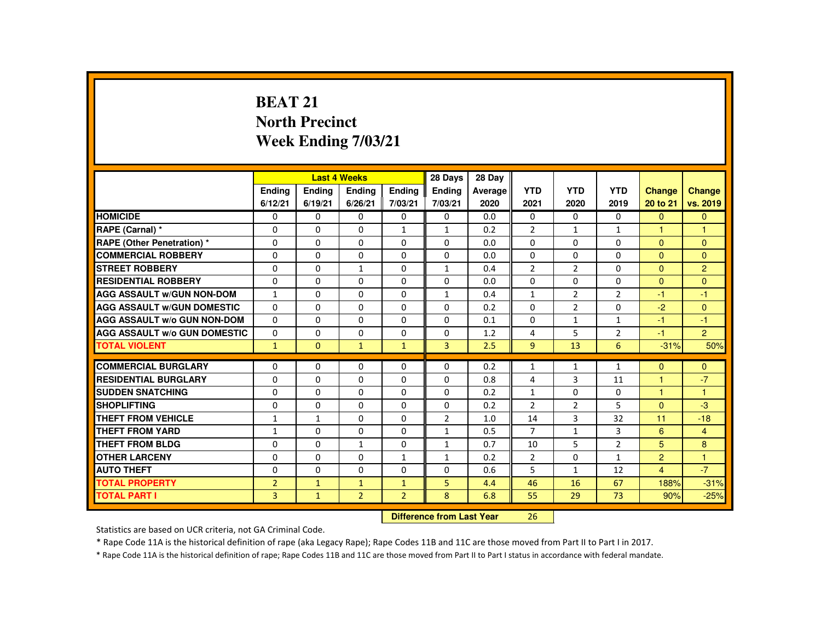# **BEAT 21 North PrecinctWeek Ending 7/03/21**

|                                     |                |                                  | <b>Last 4 Weeks</b> |                | 28 Days        | 28 Day  |                |                |                |                      |                |
|-------------------------------------|----------------|----------------------------------|---------------------|----------------|----------------|---------|----------------|----------------|----------------|----------------------|----------------|
|                                     | <b>Endina</b>  | Ending                           | Ending              | <b>Endina</b>  | <b>Endina</b>  | Average | <b>YTD</b>     | <b>YTD</b>     | <b>YTD</b>     | <b>Change</b>        | <b>Change</b>  |
|                                     | 6/12/21        | 6/19/21                          | 6/26/21             | 7/03/21        | 7/03/21        | 2020    | 2021           | 2020           | 2019           | 20 to 21             | vs. 2019       |
| <b>HOMICIDE</b>                     | 0              | 0                                | 0                   | 0              | 0              | 0.0     | 0              | $\Omega$       | 0              | $\Omega$             | $\mathbf{0}$   |
| RAPE (Carnal) *                     | 0              | $\Omega$                         | $\Omega$            | $\mathbf{1}$   | 1              | 0.2     | $\overline{2}$ | $\mathbf{1}$   | $\mathbf{1}$   | $\blacktriangleleft$ | $\mathbf{1}$   |
| RAPE (Other Penetration) *          | $\Omega$       | $\Omega$                         | $\Omega$            | $\Omega$       | $\Omega$       | 0.0     | $\Omega$       | $\Omega$       | $\Omega$       | $\Omega$             | $\Omega$       |
| <b>COMMERCIAL ROBBERY</b>           | $\Omega$       | $\Omega$                         | $\Omega$            | $\Omega$       | $\Omega$       | 0.0     | $\Omega$       | $\Omega$       | $\Omega$       | $\Omega$             | $\Omega$       |
| <b>STREET ROBBERY</b>               | 0              | $\Omega$                         | $\mathbf{1}$        | $\Omega$       | $\mathbf{1}$   | 0.4     | $\overline{2}$ | $\overline{2}$ | $\Omega$       | $\Omega$             | $\overline{2}$ |
| <b>RESIDENTIAL ROBBERY</b>          | $\Omega$       | $\Omega$                         | $\Omega$            | $\Omega$       | $\Omega$       | 0.0     | $\Omega$       | $\Omega$       | $\Omega$       | $\Omega$             | $\Omega$       |
| <b>AGG ASSAULT W/GUN NON-DOM</b>    | $\mathbf{1}$   | $\Omega$                         | $\Omega$            | $\Omega$       | $\mathbf{1}$   | 0.4     | $\mathbf{1}$   | $\overline{2}$ | $\overline{2}$ | $-1$                 | $-1$           |
| <b>AGG ASSAULT W/GUN DOMESTIC</b>   | $\Omega$       | $\Omega$                         | $\Omega$            | $\Omega$       | $\Omega$       | 0.2     | $\Omega$       | $\overline{2}$ | $\Omega$       | $-2$                 | $\Omega$       |
| <b>AGG ASSAULT W/o GUN NON-DOM</b>  | $\Omega$       | $\Omega$                         | $\Omega$            | $\Omega$       | $\Omega$       | 0.1     | $\Omega$       | $\mathbf{1}$   | $\mathbf{1}$   | $-1$                 | $-1$           |
| <b>AGG ASSAULT W/o GUN DOMESTIC</b> | $\Omega$       | 0                                | $\Omega$            | $\Omega$       | $\Omega$       | 1.2     | 4              | 5              | $\overline{2}$ | $-1$                 | $\overline{2}$ |
| <b>TOTAL VIOLENT</b>                | $\mathbf{1}$   | $\Omega$                         | $\mathbf{1}$        | $\mathbf{1}$   | $\overline{3}$ | 2.5     | $\overline{9}$ | 13             | 6              | $-31%$               | 50%            |
| <b>COMMERCIAL BURGLARY</b>          | 0              | 0                                | 0                   | $\Omega$       | 0              | 0.2     | 1              | 1              | 1              | $\Omega$             | $\mathbf{0}$   |
| <b>RESIDENTIAL BURGLARY</b>         | $\Omega$       | $\Omega$                         | $\Omega$            | $\Omega$       | $\Omega$       | 0.8     | 4              | 3              | 11             | $\blacktriangleleft$ | $-7$           |
| <b>SUDDEN SNATCHING</b>             | $\Omega$       | $\Omega$                         | $\Omega$            | $\Omega$       | $\Omega$       | 0.2     | $\mathbf{1}$   | $\Omega$       | $\Omega$       | $\blacktriangleleft$ | $\mathbf{1}$   |
| <b>SHOPLIFTING</b>                  | 0              | 0                                | 0                   | 0              | 0              | 0.2     | $\overline{2}$ | $\overline{2}$ | 5              | $\mathbf{0}$         | $-3$           |
| <b>THEFT FROM VEHICLE</b>           | $\mathbf{1}$   | $\mathbf{1}$                     | $\Omega$            | $\Omega$       | $\overline{2}$ | 1.0     | 14             | 3              | 32             | 11                   | $-18$          |
| <b>THEFT FROM YARD</b>              | $\mathbf{1}$   | $\Omega$                         | $\Omega$            | $\Omega$       | $\mathbf{1}$   | 0.5     | $\overline{7}$ | $\mathbf{1}$   | 3              | 6                    | $\overline{4}$ |
| <b>THEFT FROM BLDG</b>              | $\Omega$       | $\Omega$                         | $\mathbf{1}$        | $\Omega$       | $\mathbf{1}$   | 0.7     | 10             | 5              | $\overline{2}$ | 5                    | 8              |
| <b>OTHER LARCENY</b>                | 0              | $\Omega$                         | $\Omega$            | $\mathbf{1}$   | $\mathbf{1}$   | 0.2     | $\overline{2}$ | $\Omega$       | $\mathbf{1}$   | $\overline{2}$       | $\overline{1}$ |
| <b>AUTO THEFT</b>                   | $\Omega$       | $\Omega$                         | $\Omega$            | $\Omega$       | $\Omega$       | 0.6     | 5              | $\mathbf{1}$   | 12             | $\overline{4}$       | $-7$           |
| <b>TOTAL PROPERTY</b>               | $\overline{2}$ | $\mathbf{1}$                     | $\mathbf{1}$        | $\mathbf{1}$   | 5              | 4.4     | 46             | 16             | 67             | 188%                 | $-31%$         |
| <b>TOTAL PART I</b>                 | $\overline{3}$ | $\mathbf{1}$                     | $\overline{2}$      | $\overline{2}$ | 8              | 6.8     | 55             | 29             | 73             | 90%                  | $-25%$         |
|                                     |                | <b>Difference from Last Year</b> |                     | 26             |                |         |                |                |                |                      |                |

 **Difference from Last Year**

Statistics are based on UCR criteria, not GA Criminal Code.

\* Rape Code 11A is the historical definition of rape (aka Legacy Rape); Rape Codes 11B and 11C are those moved from Part II to Part I in 2017.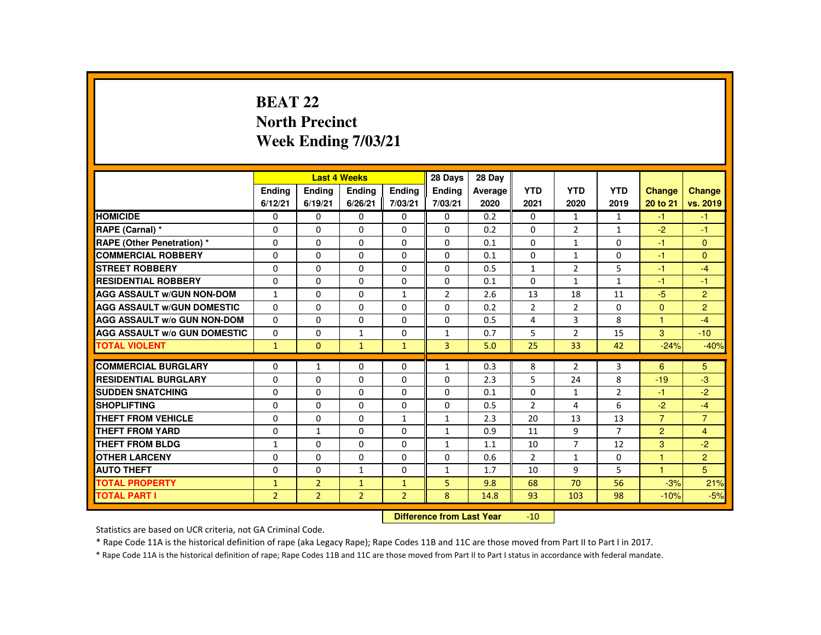# **BEAT 22 North PrecinctWeek Ending 7/03/21**

|                                     |                |                | <b>Last 4 Weeks</b> |                | 28 Days        | 28 Day  |                |                |                |                |                |
|-------------------------------------|----------------|----------------|---------------------|----------------|----------------|---------|----------------|----------------|----------------|----------------|----------------|
|                                     | Ending         | Ending         | Ending              | <b>Endina</b>  | Ending         | Average | <b>YTD</b>     | <b>YTD</b>     | <b>YTD</b>     | Change         | <b>Change</b>  |
|                                     | 6/12/21        | 6/19/21        | 6/26/21             | 7/03/21        | 7/03/21        | 2020    | 2021           | 2020           | 2019           | 20 to 21       | vs. 2019       |
| <b>HOMICIDE</b>                     | 0              | $\Omega$       | 0                   | $\mathbf{0}$   | 0              | 0.2     | $\mathbf{0}$   | $\mathbf{1}$   | $\mathbf{1}$   | $-1$           | $-1$           |
| RAPE (Carnal) *                     | $\Omega$       | $\Omega$       | $\Omega$            | $\Omega$       | $\Omega$       | 0.2     | $\Omega$       | $\overline{2}$ | $\mathbf{1}$   | $-2$           | $-1$           |
| <b>RAPE (Other Penetration) *</b>   | 0              | $\Omega$       | $\Omega$            | $\Omega$       | 0              | 0.1     | $\Omega$       | $\mathbf{1}$   | $\Omega$       | $-1$           | $\mathbf{0}$   |
| <b>COMMERCIAL ROBBERY</b>           | $\Omega$       | $\Omega$       | $\Omega$            | $\Omega$       | $\Omega$       | 0.1     | $\Omega$       | $\mathbf{1}$   | $\Omega$       | $-1$           | $\mathbf{0}$   |
| <b>STREET ROBBERY</b>               | $\Omega$       | $\Omega$       | $\Omega$            | $\Omega$       | $\Omega$       | 0.5     | $\mathbf{1}$   | $\overline{2}$ | 5              | $-1$           | $-4$           |
| <b>RESIDENTIAL ROBBERY</b>          | 0              | $\mathbf{0}$   | 0                   | 0              | 0              | 0.1     | 0              | $\mathbf{1}$   | $\mathbf{1}$   | $-1$           | $-1$           |
| <b>AGG ASSAULT W/GUN NON-DOM</b>    | $\mathbf{1}$   | $\Omega$       | $\Omega$            | $\mathbf{1}$   | $\overline{2}$ | 2.6     | 13             | 18             | 11             | $-5$           | $\overline{2}$ |
| <b>AGG ASSAULT W/GUN DOMESTIC</b>   | $\Omega$       | $\Omega$       | $\Omega$            | $\Omega$       | $\Omega$       | 0.2     | $\overline{2}$ | $\overline{2}$ | $\Omega$       | $\Omega$       | $\overline{2}$ |
| <b>AGG ASSAULT W/o GUN NON-DOM</b>  | $\Omega$       | $\Omega$       | $\Omega$            | $\Omega$       | $\Omega$       | 0.5     | 4              | 3              | 8              | $\mathbf{1}$   | $-4$           |
| <b>AGG ASSAULT W/o GUN DOMESTIC</b> | $\Omega$       | $\Omega$       | $\mathbf{1}$        | $\Omega$       | $\mathbf{1}$   | 0.7     | 5              | 2              | 15             | 3              | $-10$          |
| <b>TOTAL VIOLENT</b>                | $\mathbf{1}$   | $\mathbf{0}$   | $\mathbf{1}$        | $\mathbf{1}$   | $\overline{3}$ | 5.0     | 25             | 33             | 42             | $-24%$         | $-40%$         |
| <b>COMMERCIAL BURGLARY</b>          | $\Omega$       | $\mathbf{1}$   | $\Omega$            | $\Omega$       | $\mathbf{1}$   | 0.3     | 8              | 2              | $\overline{3}$ | 6              | 5              |
| <b>RESIDENTIAL BURGLARY</b>         | $\Omega$       | $\Omega$       | 0                   | 0              | 0              | 2.3     | 5              | 24             | 8              | $-19$          | $-3$           |
| <b>SUDDEN SNATCHING</b>             | $\Omega$       | $\mathbf{0}$   | $\Omega$            | $\Omega$       | $\Omega$       | 0.1     | $\Omega$       | $\mathbf{1}$   | $\overline{2}$ | $-1$           | $-2$           |
| <b>SHOPLIFTING</b>                  | $\Omega$       | $\Omega$       | $\Omega$            | $\Omega$       | $\Omega$       | 0.5     | $\overline{2}$ | 4              | 6              | $-2$           | $-4$           |
| <b>THEFT FROM VEHICLE</b>           | $\Omega$       | $\Omega$       | $\Omega$            | $\mathbf{1}$   | $\mathbf{1}$   | 2.3     | 20             | 13             | 13             | $\overline{7}$ | $\overline{7}$ |
| <b>THEFT FROM YARD</b>              | $\Omega$       | $\mathbf{1}$   | $\Omega$            | $\Omega$       | $\mathbf{1}$   | 0.9     | 11             | 9              | $\overline{7}$ | $\overline{2}$ | $\overline{4}$ |
| THEFT FROM BLDG                     | $\mathbf{1}$   | $\mathbf{0}$   | 0                   | $\Omega$       | $\mathbf{1}$   | 1.1     | 10             | $\overline{7}$ | 12             | 3              | $-2$           |
| <b>OTHER LARCENY</b>                | $\Omega$       | $\mathbf{0}$   | $\Omega$            | $\Omega$       | $\Omega$       | 0.6     | $\overline{2}$ | $\mathbf{1}$   | 0              | $\mathbf{1}$   | $\overline{2}$ |
| <b>AUTO THEFT</b>                   | $\Omega$       | $\Omega$       | $\mathbf{1}$        | $\Omega$       | $\mathbf{1}$   | 1.7     | 10             | 9              | 5              | $\mathbf{1}$   | 5              |
| <b>TOTAL PROPERTY</b>               | $\mathbf{1}$   | $\overline{2}$ | $\mathbf{1}$        | $\mathbf{1}$   | 5              | 9.8     | 68             | 70             | 56             | $-3%$          | 21%            |
| <b>TOTAL PART I</b>                 | $\overline{2}$ | $2^{\circ}$    | $\overline{2}$      | $\overline{2}$ | 8              | 14.8    | 93             | 103            | 98             |                |                |
|                                     |                |                |                     |                |                |         |                |                |                | $-10%$         | $-5%$          |

 **Difference from Last Year**-10

Statistics are based on UCR criteria, not GA Criminal Code.

\* Rape Code 11A is the historical definition of rape (aka Legacy Rape); Rape Codes 11B and 11C are those moved from Part II to Part I in 2017.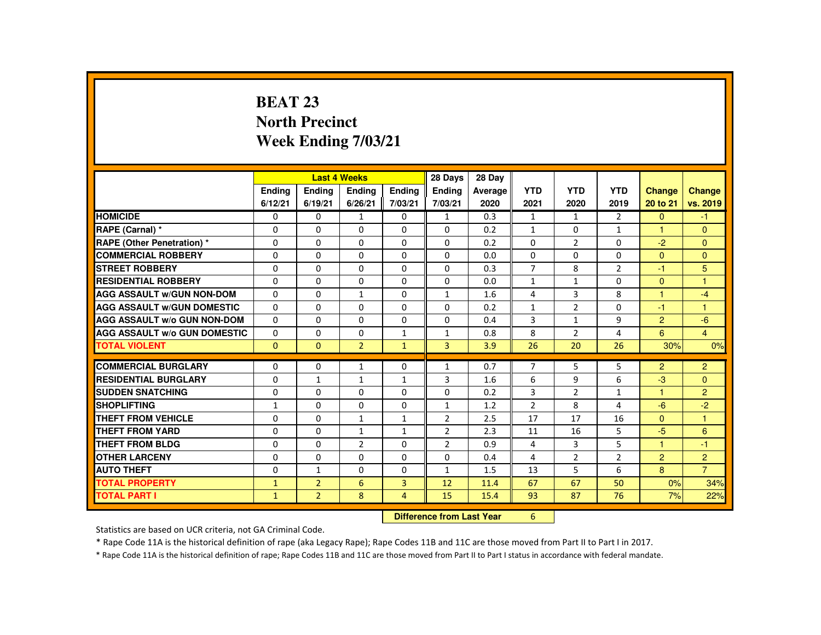# **BEAT 23 North PrecinctWeek Ending 7/03/21**

|                                     |              |                           | <b>Last 4 Weeks</b> |                | 28 Days        | 28 Day  |                |                |                |                |                |
|-------------------------------------|--------------|---------------------------|---------------------|----------------|----------------|---------|----------------|----------------|----------------|----------------|----------------|
|                                     | Ending       | Ending                    | Ending              | <b>Endina</b>  | <b>Endina</b>  | Average | <b>YTD</b>     | <b>YTD</b>     | <b>YTD</b>     | Change         | Change         |
|                                     | 6/12/21      | 6/19/21                   | 6/26/21             | 7/03/21        | 7/03/21        | 2020    | 2021           | 2020           | 2019           | 20 to 21       | vs. 2019       |
| <b>HOMICIDE</b>                     | $\Omega$     | $\mathbf{0}$              | $\mathbf{1}$        | 0              | $\mathbf{1}$   | 0.3     | $\mathbf{1}$   | $\mathbf{1}$   | $\overline{2}$ | $\mathbf{0}$   | $-1$           |
| RAPE (Carnal) *                     | 0            | $\Omega$                  | $\Omega$            | $\Omega$       | $\Omega$       | 0.2     | $\mathbf{1}$   | $\Omega$       | $\mathbf{1}$   | 1              | $\mathbf{0}$   |
| <b>RAPE (Other Penetration) *</b>   | $\Omega$     | $\Omega$                  | $\Omega$            | $\Omega$       | $\Omega$       | 0.2     | $\Omega$       | $\overline{2}$ | $\Omega$       | $-2$           | $\Omega$       |
| <b>COMMERCIAL ROBBERY</b>           | 0            | $\Omega$                  | $\Omega$            | $\Omega$       | $\Omega$       | 0.0     | $\Omega$       | $\Omega$       | $\Omega$       | $\Omega$       | $\mathbf{0}$   |
| <b>STREET ROBBERY</b>               | 0            | $\Omega$                  | $\Omega$            | $\Omega$       | 0              | 0.3     | $\overline{7}$ | 8              | $\overline{2}$ | $-1$           | 5              |
| <b>RESIDENTIAL ROBBERY</b>          | $\Omega$     | $\Omega$                  | $\Omega$            | $\Omega$       | $\Omega$       | 0.0     | $\mathbf{1}$   | $\mathbf{1}$   | $\Omega$       | $\mathbf{0}$   | $\mathbf{1}$   |
| <b>AGG ASSAULT W/GUN NON-DOM</b>    | $\Omega$     | $\Omega$                  | $\mathbf{1}$        | $\Omega$       | $\mathbf{1}$   | 1.6     | 4              | 3              | 8              | $\mathbf{1}$   | $-4$           |
| <b>AGG ASSAULT W/GUN DOMESTIC</b>   | $\Omega$     | $\Omega$                  | $\Omega$            | $\Omega$       | $\Omega$       | 0.2     | $\mathbf{1}$   | 2              | $\Omega$       | $-1$           | $\mathbf{1}$   |
| <b>AGG ASSAULT W/o GUN NON-DOM</b>  | $\Omega$     | $\Omega$                  | $\Omega$            | $\Omega$       | $\Omega$       | 0.4     | 3              | $\mathbf{1}$   | 9              | $\overline{2}$ | $-6$           |
| <b>AGG ASSAULT W/o GUN DOMESTIC</b> | $\Omega$     | $\Omega$                  | $\Omega$            | $\mathbf{1}$   | $\mathbf{1}$   | 0.8     | 8              | $\overline{2}$ | 4              | 6              | $\overline{4}$ |
| <b>TOTAL VIOLENT</b>                | $\Omega$     | $\Omega$                  | $\overline{2}$      | $\mathbf{1}$   | $\overline{3}$ | 3.9     | 26             | 20             | 26             | 30%            | 0%             |
| <b>COMMERCIAL BURGLARY</b>          | $\Omega$     | $\Omega$                  | 1                   | $\Omega$       | 1              | 0.7     | $\overline{7}$ | 5              | 5              | $\overline{2}$ | $\overline{2}$ |
| <b>RESIDENTIAL BURGLARY</b>         | $\Omega$     | $\mathbf{1}$              | $\mathbf{1}$        | $\mathbf{1}$   | 3              | 1.6     | 6              | 9              | 6              | $-3$           | $\mathbf{0}$   |
| <b>SUDDEN SNATCHING</b>             | $\Omega$     | $\Omega$                  | $\Omega$            | $\Omega$       | $\Omega$       | 0.2     | 3              | $\overline{2}$ | $\mathbf{1}$   | 1              | $\overline{2}$ |
| <b>SHOPLIFTING</b>                  | $\mathbf{1}$ | 0                         | 0                   | 0              | $\mathbf{1}$   | 1.2     | $\overline{2}$ | 8              | 4              | $-6$           | $-2$           |
| <b>THEFT FROM VEHICLE</b>           | $\Omega$     | $\Omega$                  | $\mathbf{1}$        | $\mathbf{1}$   | 2              | 2.5     | 17             | 17             | 16             | $\Omega$       | $\mathbf{1}$   |
| <b>THEFT FROM YARD</b>              | $\Omega$     | $\Omega$                  | $\mathbf{1}$        | $\mathbf{1}$   | $\overline{2}$ | 2.3     | 11             | 16             | 5              | $-5$           | 6              |
| <b>THEFT FROM BLDG</b>              | $\Omega$     | $\Omega$                  | $\overline{2}$      | $\Omega$       | $\overline{2}$ | 0.9     | 4              | 3              | 5              | 1              | $-1$           |
| <b>OTHER LARCENY</b>                | 0            | $\Omega$                  | $\Omega$            | $\Omega$       | $\Omega$       | 0.4     | 4              | $\overline{2}$ | $\overline{2}$ | $\overline{2}$ | $\overline{c}$ |
| <b>AUTO THEFT</b>                   | $\Omega$     | $\mathbf{1}$              | $\Omega$            | $\Omega$       | $\mathbf{1}$   | 1.5     | 13             | 5              | 6              | 8              | $\overline{7}$ |
| <b>TOTAL PROPERTY</b>               | $\mathbf{1}$ | $\overline{2}$            | 6                   | $\overline{3}$ | 12             | 11.4    | 67             | 67             | 50             | 0%             | 34%            |
| <b>TOTAL PART I</b>                 | $\mathbf{1}$ | $\overline{2}$            | 8                   | $\overline{4}$ | 15             | 15.4    | 93             | 87             | 76             | 7%             | 22%            |
|                                     |              | Difference from Last Year |                     | 6              |                |         |                |                |                |                |                |

 **Difference from Last Year**

Statistics are based on UCR criteria, not GA Criminal Code.

\* Rape Code 11A is the historical definition of rape (aka Legacy Rape); Rape Codes 11B and 11C are those moved from Part II to Part I in 2017.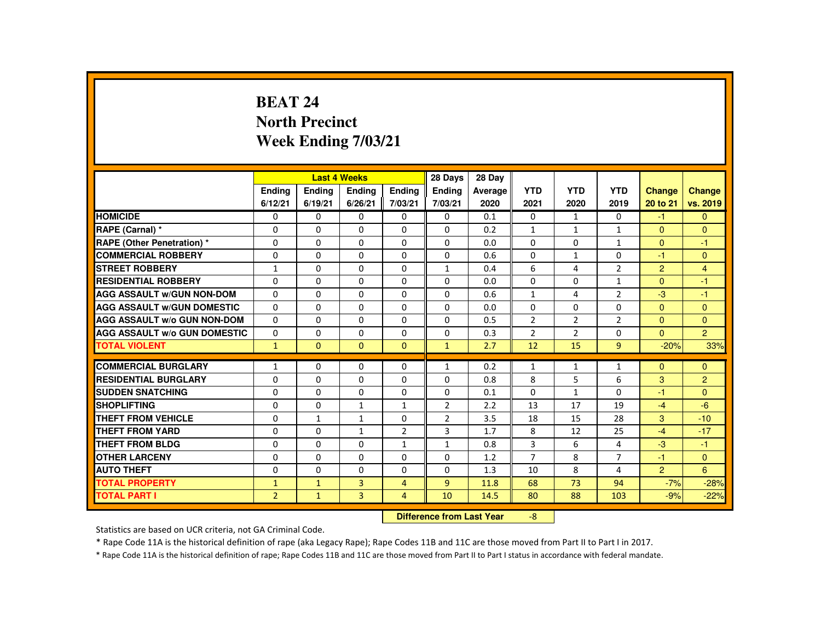# **BEAT 24 North PrecinctWeek Ending 7/03/21**

|                                     |                |              | <b>Last 4 Weeks</b> |                | 28 Days                   | 28 Day  |                |                |                |                |                |
|-------------------------------------|----------------|--------------|---------------------|----------------|---------------------------|---------|----------------|----------------|----------------|----------------|----------------|
|                                     | Ending         | Ending       | <b>Ending</b>       | <b>Endina</b>  | <b>Endina</b>             | Average | <b>YTD</b>     | <b>YTD</b>     | <b>YTD</b>     | <b>Change</b>  | Change         |
|                                     | 6/12/21        | 6/19/21      | 6/26/21             | 7/03/21        | 7/03/21                   | 2020    | 2021           | 2020           | 2019           | 20 to 21       | vs. 2019       |
| <b>HOMICIDE</b>                     | $\Omega$       | $\Omega$     | $\Omega$            | $\Omega$       | 0                         | 0.1     | 0              | $\mathbf{1}$   | 0              | $-1$           | $\mathbf{0}$   |
| RAPE (Carnal) *                     | $\Omega$       | $\Omega$     | $\Omega$            | $\Omega$       | 0                         | 0.2     | $\mathbf{1}$   | $\mathbf{1}$   | $\mathbf{1}$   | $\Omega$       | $\mathbf{0}$   |
| <b>RAPE (Other Penetration) *</b>   | $\mathbf{0}$   | $\mathbf{0}$ | $\mathbf{0}$        | $\Omega$       | 0                         | 0.0     | $\Omega$       | 0              | $\mathbf{1}$   | $\Omega$       | $-1$           |
| <b>COMMERCIAL ROBBERY</b>           | $\mathbf{0}$   | $\Omega$     | $\Omega$            | $\Omega$       | $\Omega$                  | 0.6     | $\Omega$       | $\mathbf{1}$   | $\Omega$       | $-1$           | $\Omega$       |
| <b>STREET ROBBERY</b>               | $\mathbf{1}$   | $\Omega$     | $\Omega$            | $\Omega$       | $\mathbf{1}$              | 0.4     | 6              | 4              | $\overline{2}$ | $\overline{2}$ | $\overline{4}$ |
| <b>RESIDENTIAL ROBBERY</b>          | $\mathbf{0}$   | $\Omega$     | $\mathbf{0}$        | 0              | 0                         | 0.0     | $\Omega$       | $\Omega$       | $\mathbf{1}$   | $\Omega$       | $-1$           |
| <b>AGG ASSAULT W/GUN NON-DOM</b>    | $\mathbf{0}$   | $\Omega$     | $\Omega$            | $\Omega$       | 0                         | 0.6     | 1              | 4              | $\overline{2}$ | $-3$           | $-1$           |
| <b>AGG ASSAULT W/GUN DOMESTIC</b>   | $\Omega$       | $\Omega$     | $\Omega$            | $\Omega$       | $\Omega$                  | 0.0     | $\Omega$       | $\Omega$       | $\Omega$       | $\Omega$       | $\mathbf{0}$   |
| <b>AGG ASSAULT W/o GUN NON-DOM</b>  | $\Omega$       | $\Omega$     | $\Omega$            | $\Omega$       | $\Omega$                  | 0.5     | $\overline{2}$ | $\overline{2}$ | $\overline{2}$ | $\mathbf{0}$   | $\Omega$       |
| <b>AGG ASSAULT W/o GUN DOMESTIC</b> | 0              | $\Omega$     | $\mathbf{0}$        | 0              | 0                         | 0.3     | $\overline{2}$ | $\overline{2}$ | 0              | $\Omega$       | 2 <sup>1</sup> |
| <b>TOTAL VIOLENT</b>                | $\mathbf{1}$   | $\mathbf{0}$ | $\Omega$            | $\Omega$       | $\mathbf{1}$              | 2.7     | 12             | 15             | 9              | $-20%$         | 33%            |
| <b>COMMERCIAL BURGLARY</b>          | $\mathbf{1}$   | $\Omega$     | $\Omega$            | $\Omega$       | $\mathbf{1}$              | 0.2     | $\mathbf{1}$   | $\mathbf{1}$   | $\mathbf{1}$   | $\Omega$       | $\Omega$       |
| <b>RESIDENTIAL BURGLARY</b>         | $\Omega$       | $\Omega$     | $\Omega$            | $\Omega$       | $\Omega$                  | 0.8     | 8              | 5              | 6              | 3              | $\overline{2}$ |
| <b>SUDDEN SNATCHING</b>             | $\Omega$       | $\Omega$     | $\Omega$            | $\Omega$       | $\Omega$                  | 0.1     | $\Omega$       | $\mathbf{1}$   | $\Omega$       | -1             | $\Omega$       |
| <b>SHOPLIFTING</b>                  | $\Omega$       | $\Omega$     | $\mathbf{1}$        | $\mathbf{1}$   | $\overline{2}$            | 2.2     | 13             | 17             | 19             | $-4$           | $-6$           |
| <b>THEFT FROM VEHICLE</b>           | $\Omega$       | $\mathbf{1}$ | $\mathbf{1}$        | $\Omega$       | $\overline{2}$            | 3.5     | 18             | 15             | 28             | 3              | $-10$          |
| <b>THEFT FROM YARD</b>              | $\Omega$       | $\Omega$     | $\mathbf{1}$        | $\overline{2}$ | 3                         | 1.7     | 8              | 12             | 25             | $-4$           | $-17$          |
| THEFT FROM BLDG                     | $\mathbf{0}$   | $\Omega$     | $\Omega$            | $\mathbf{1}$   | $\mathbf{1}$              | 0.8     | 3              | 6              | 4              | $-3$           | $-1$           |
| <b>OTHER LARCENY</b>                | $\Omega$       | $\Omega$     | $\Omega$            | $\Omega$       | $\Omega$                  | 1.2     | $\overline{7}$ | 8              | $\overline{7}$ | -1             | $\Omega$       |
| <b>AUTO THEFT</b>                   | $\mathbf{0}$   | $\Omega$     | $\Omega$            | $\Omega$       | $\Omega$                  | 1.3     | 10             | 8              | 4              | $\overline{2}$ | 6              |
| <b>TOTAL PROPERTY</b>               | $\mathbf{1}$   | $\mathbf{1}$ | 3                   | $\overline{4}$ | $\overline{9}$            | 11.8    | 68             | 73             | 94             | $-7%$          | $-28%$         |
| <b>TOTAL PART I</b>                 | $\overline{2}$ | $\mathbf{1}$ | $\overline{3}$      | $\overline{4}$ | 10                        | 14.5    | 80             | 88             | 103            | $-9%$          | $-22%$         |
|                                     |                |              |                     |                | Difference from Loot Vear |         | $\circ$        |                |                |                |                |

 **Difference from Last Year**r -8

Statistics are based on UCR criteria, not GA Criminal Code.

\* Rape Code 11A is the historical definition of rape (aka Legacy Rape); Rape Codes 11B and 11C are those moved from Part II to Part I in 2017.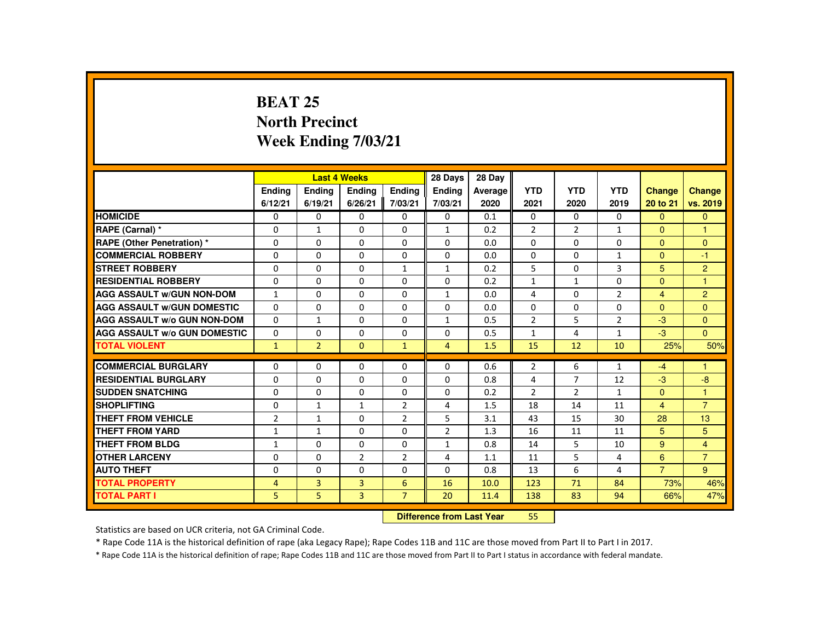## **BEAT 25 North PrecinctWeek Ending 7/03/21**

|                                     |                   | <b>Last 4 Weeks</b> |                                  |                | 28 Days        | 28 Day  |                |                |                |                     |                |
|-------------------------------------|-------------------|---------------------|----------------------------------|----------------|----------------|---------|----------------|----------------|----------------|---------------------|----------------|
|                                     | Ending            | Ending              | Ending                           | <b>Endina</b>  | <b>Endina</b>  | Average | <b>YTD</b>     | <b>YTD</b>     | <b>YTD</b>     | <b>Change</b>       | <b>Change</b>  |
|                                     | 6/12/21           | 6/19/21             | 6/26/21                          | 7/03/21        | 7/03/21        | 2020    | 2021           | 2020           | 2019           | 20 to 21            | vs. 2019       |
| <b>HOMICIDE</b>                     | 0                 | $\mathbf{0}$        | $\mathbf{0}$                     | $\mathbf{0}$   | 0              | 0.1     | 0              | $\Omega$       | 0              | $\Omega$            | $\mathbf{0}$   |
| RAPE (Carnal) *                     | $\mathbf{0}$      | $\mathbf{1}$        | $\Omega$                         | $\Omega$       | $\mathbf{1}$   | 0.2     | $\overline{2}$ | $\overline{2}$ | $\mathbf{1}$   | $\mathbf{0}$        | $\mathbf{1}$   |
| RAPE (Other Penetration) *          | $\mathbf{0}$      | $\Omega$            | $\Omega$                         | $\Omega$       | $\Omega$       | 0.0     | $\Omega$       | $\Omega$       | $\Omega$       | $\Omega$            | $\Omega$       |
| <b>COMMERCIAL ROBBERY</b>           | $\Omega$          | $\Omega$            | $\Omega$                         | $\Omega$       | $\Omega$       | 0.0     | $\Omega$       | $\Omega$       | $\mathbf{1}$   | $\Omega$            | $-1$           |
| <b>STREET ROBBERY</b>               | $\mathbf 0$       | $\Omega$            | $\Omega$                         | $\mathbf{1}$   | $\mathbf{1}$   | 0.2     | 5              | $\Omega$       | 3              | 5                   | $\overline{2}$ |
| <b>RESIDENTIAL ROBBERY</b>          | $\Omega$          | $\Omega$            | $\Omega$                         | $\Omega$       | $\Omega$       | 0.2     | $\mathbf{1}$   | $\mathbf{1}$   | $\Omega$       | $\Omega$            | $\mathbf{1}$   |
| <b>AGG ASSAULT W/GUN NON-DOM</b>    | $\mathbf{1}$      | $\Omega$            | $\Omega$                         | $\Omega$       | $\mathbf{1}$   | 0.0     | 4              | $\Omega$       | $\overline{2}$ | $\overline{4}$      | $\overline{2}$ |
| <b>AGG ASSAULT W/GUN DOMESTIC</b>   | $\Omega$          | $\Omega$            | $\Omega$                         | $\Omega$       | $\Omega$       | 0.0     | $\Omega$       | $\Omega$       | $\Omega$       | $\Omega$            | $\Omega$       |
| <b>AGG ASSAULT W/o GUN NON-DOM</b>  | $\Omega$          | $\mathbf{1}$        | $\mathbf{0}$                     | 0              | $\mathbf{1}$   | 0.5     | $\overline{2}$ | 5              | $\overline{2}$ | $-3$                | $\Omega$       |
| <b>AGG ASSAULT W/o GUN DOMESTIC</b> | 0                 | $\Omega$            | $\Omega$                         | $\Omega$       | 0              | 0.5     | $\mathbf{1}$   | 4              | $\mathbf{1}$   | $-3$                | $\Omega$       |
| <b>TOTAL VIOLENT</b>                | $\mathbf{1}$      | $\overline{2}$      | $\Omega$                         | $\mathbf{1}$   | $\overline{4}$ | 1.5     | 15             | 12             | 10             | 25%                 | 50%            |
| <b>COMMERCIAL BURGLARY</b>          | $\mathbf{0}$      | $\Omega$            | $\mathbf{0}$                     | $\Omega$       | 0              | 0.6     | $\overline{2}$ | 6              | $\mathbf{1}$   | $-4$                |                |
| <b>RESIDENTIAL BURGLARY</b>         | $\Omega$          | $\Omega$            | $\Omega$                         | $\Omega$       | $\Omega$       | 0.8     | $\overline{4}$ | $\overline{7}$ | 12             | $-3$                | $-8$           |
| <b>SUDDEN SNATCHING</b>             | $\Omega$          | $\Omega$            | $\Omega$                         | $\Omega$       | $\Omega$       | 0.2     | $\overline{2}$ | $\overline{2}$ | $\mathbf{1}$   | $\Omega$            | $\mathbf{1}$   |
| <b>SHOPLIFTING</b>                  | 0                 | $\mathbf{1}$        | 1                                | $\overline{2}$ | 4              | 1.5     | 18             | 14             | 11             | $\overline{4}$      | $\overline{7}$ |
| <b>THEFT FROM VEHICLE</b>           | $\overline{2}$    | $\mathbf{1}$        | $\Omega$                         | $\overline{2}$ | 5              | 3.1     | 43             | 15             | 30             | 28                  | 13             |
| <b>THEFT FROM YARD</b>              |                   | $\mathbf{1}$        | $\Omega$                         | $\Omega$       | $\overline{2}$ | 1.3     | 16             | 11             | 11             | 5                   | 5 <sup>5</sup> |
| <b>THEFT FROM BLDG</b>              | 1<br>$\mathbf{1}$ | $\Omega$            | $\Omega$                         | $\Omega$       | $\mathbf{1}$   | 0.8     | 14             | 5              | 10             | 9                   | $\overline{4}$ |
| <b>OTHER LARCENY</b>                |                   |                     |                                  |                |                |         |                | 5              |                |                     | $\overline{7}$ |
|                                     | $\mathbf{0}$      | $\Omega$            | $\overline{2}$                   | $\overline{2}$ | 4              | 1.1     | 11             |                | 4              | 6<br>$\overline{7}$ |                |
| <b>AUTO THEFT</b>                   | $\Omega$          | $\Omega$            | $\Omega$                         | $\Omega$       | $\Omega$       | 0.8     | 13             | 6              | 4              |                     | 9 <sup>°</sup> |
| <b>TOTAL PROPERTY</b>               | $\overline{4}$    | $\overline{3}$      | $\overline{3}$                   | 6              | 16             | 10.0    | 123            | 71             | 84             | 73%                 | 46%            |
| <b>TOTAL PART I</b>                 | 5.                | 5                   | $\overline{3}$                   | $\overline{7}$ | 20             | 11.4    | 138            | 83             | 94             | 66%                 | 47%            |
|                                     |                   |                     | <b>Difference from Last Year</b> |                | 55             |         |                |                |                |                     |                |

Statistics are based on UCR criteria, not GA Criminal Code.

\* Rape Code 11A is the historical definition of rape (aka Legacy Rape); Rape Codes 11B and 11C are those moved from Part II to Part I in 2017.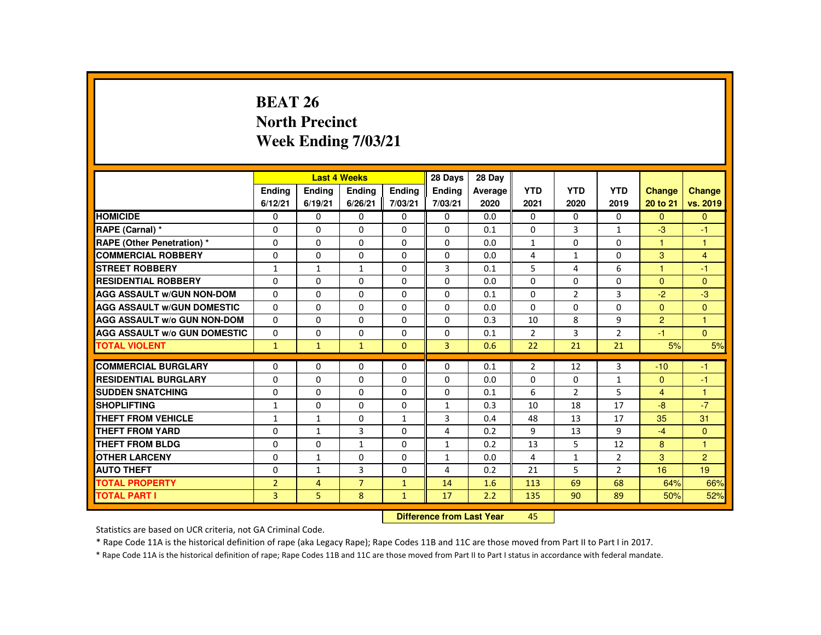## **BEAT 26 North PrecinctWeek Ending 7/03/21**

|                                     |                |                | <b>Last 4 Weeks</b> |               | 28 Days        | 28 Day        |                |              |                |                |                |
|-------------------------------------|----------------|----------------|---------------------|---------------|----------------|---------------|----------------|--------------|----------------|----------------|----------------|
|                                     | <b>Ending</b>  | Ending         | Ending              | Ending        | <b>Ending</b>  | Average       | <b>YTD</b>     | <b>YTD</b>   | <b>YTD</b>     | Change         | <b>Change</b>  |
|                                     | 6/12/21        | 6/19/21        | 6/26/21             | 7/03/21       | 7/03/21        | 2020          | 2021           | 2020         | 2019           | 20 to 21       | vs. 2019       |
| <b>HOMICIDE</b>                     | $\mathbf{0}$   | $\Omega$       | 0                   | $\mathbf{0}$  | 0              | 0.0           | $\mathbf{0}$   | 0            | $\mathbf{0}$   | $\mathbf{0}$   | $\mathbf{0}$   |
| RAPE (Carnal) *                     | 0              | $\Omega$       | $\Omega$            | $\Omega$      | $\Omega$       | 0.1           | $\Omega$       | 3            | $\mathbf{1}$   | $-3$           | $-1$           |
| <b>RAPE (Other Penetration) *</b>   | $\Omega$       | $\Omega$       | $\Omega$            | $\Omega$      | $\Omega$       | 0.0           | $\mathbf{1}$   | $\Omega$     | $\Omega$       | $\mathbf{1}$   | $\mathbf{1}$   |
| <b>COMMERCIAL ROBBERY</b>           | $\Omega$       | $\Omega$       | $\Omega$            | $\Omega$      | $\Omega$       | 0.0           | 4              | $\mathbf{1}$ | $\Omega$       | 3              | $\overline{4}$ |
| <b>STREET ROBBERY</b>               | $\mathbf{1}$   | $\mathbf{1}$   | $\mathbf{1}$        | $\Omega$      | 3              | 0.1           | 5              | 4            | 6              | $\mathbf{1}$   | $-1$           |
| <b>RESIDENTIAL ROBBERY</b>          | 0              | $\mathbf{0}$   | 0                   | 0             | 0              | 0.0           | 0              | 0            | 0              | $\mathbf{0}$   | $\mathbf{0}$   |
| <b>AGG ASSAULT W/GUN NON-DOM</b>    | $\Omega$       | $\Omega$       | $\Omega$            | $\Omega$      | $\Omega$       | 0.1           | $\Omega$       | 2            | 3              | $-2$           | $-3$           |
| <b>AGG ASSAULT W/GUN DOMESTIC</b>   | $\Omega$       | $\Omega$       | $\Omega$            | $\Omega$      | $\Omega$       | 0.0           | $\Omega$       | $\Omega$     | $\Omega$       | $\Omega$       | $\Omega$       |
| <b>AGG ASSAULT W/o GUN NON-DOM</b>  | $\Omega$       | $\Omega$       | $\Omega$            | $\Omega$      | $\Omega$       | 0.3           | 10             | 8            | 9              | $\overline{2}$ | $\mathbf{1}$   |
| <b>AGG ASSAULT W/o GUN DOMESTIC</b> | $\Omega$       | $\Omega$       | $\Omega$            | $\Omega$      | $\Omega$       | 0.1           | $\overline{2}$ | 3            | $\overline{2}$ | $-1$           | $\Omega$       |
| <b>TOTAL VIOLENT</b>                | $\mathbf{1}$   | $\mathbf{1}$   | $\mathbf{1}$        | $\mathbf{0}$  | $\overline{3}$ | 0.6           | 22             | 21           | 21             | 5%             | 5%             |
|                                     |                |                |                     |               |                |               |                |              |                |                |                |
| <b>COMMERCIAL BURGLARY</b>          | $\Omega$       | $\Omega$       | $\Omega$            | 0             | $\Omega$       | 0.1           | $\overline{2}$ | 12           | 3              | $-10$          | $-1$           |
| <b>RESIDENTIAL BURGLARY</b>         | $\Omega$       | $\Omega$       | $\Omega$            | $\Omega$      | $\Omega$       | 0.0           | $\Omega$       | $\Omega$     | $\mathbf{1}$   | $\Omega$       | $-1$           |
| <b>SUDDEN SNATCHING</b>             | 0              | $\mathbf{0}$   | 0                   | 0             | 0              | 0.1           | 6              | 2            | 5              | $\overline{4}$ | 1              |
| <b>SHOPLIFTING</b>                  | $\mathbf{1}$   | $\mathbf{0}$   | $\Omega$            | $\Omega$      | $\mathbf{1}$   | 0.3           | 10             | 18           | 17             | $-8$           | $-7$           |
| <b>THEFT FROM VEHICLE</b>           | $\mathbf{1}$   | $\mathbf{1}$   | $\Omega$            | $\mathbf{1}$  | 3              | 0.4           | 48             | 13           | 17             | 35             | 31             |
| <b>THEFT FROM YARD</b>              | $\Omega$       | $\mathbf{1}$   | $\overline{3}$      | $\Omega$      | $\overline{4}$ | 0.2           | 9              | 13           | 9              | $-4$           | $\Omega$       |
| <b>THEFT FROM BLDG</b>              | $\Omega$       | $\Omega$       | $\mathbf{1}$        | 0             | $\mathbf{1}$   | 0.2           | 13             | 5            | 12             | 8              | $\mathbf{1}$   |
| <b>OTHER LARCENY</b>                | $\Omega$       | $\mathbf{1}$   | $\Omega$            | $\Omega$      | $\mathbf{1}$   | 0.0           | 4              | $\mathbf{1}$ | $\overline{2}$ | 3              | $\overline{2}$ |
| <b>AUTO THEFT</b>                   | $\Omega$       | $\mathbf{1}$   | 3                   | $\Omega$      | 4              | 0.2           | 21             | 5            | $\overline{2}$ | 16             | 19             |
| <b>TOTAL PROPERTY</b>               | $\overline{2}$ | $\overline{4}$ | $\overline{7}$      | $\mathbf{1}$  | 14             | 1.6           | 113            | 69           | 68             | 64%            | 66%            |
| <b>TOTAL PART I</b>                 | 3              | 5              | 8                   | $\mathbf{1}$  | 17             | 2.2           | 135            | 90           | 89             | 50%            | 52%            |
|                                     |                |                |                     | <b>CARLES</b> |                | $-1 - -1$ M/s | $\sim$         |              |                |                |                |

 **Difference from Last Year**<sup>45</sup>

Statistics are based on UCR criteria, not GA Criminal Code.

\* Rape Code 11A is the historical definition of rape (aka Legacy Rape); Rape Codes 11B and 11C are those moved from Part II to Part I in 2017.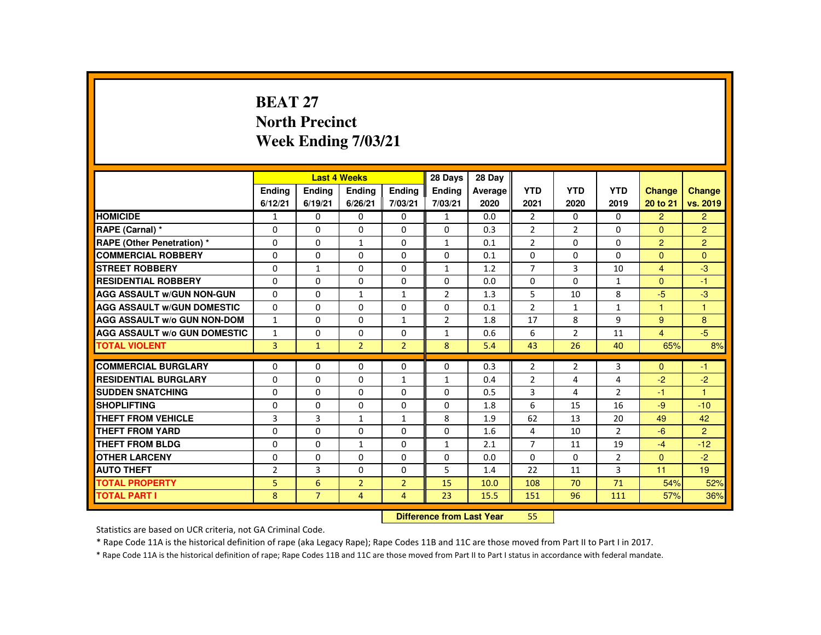# **BEAT 27 North PrecinctWeek Ending 7/03/21**

|                                     |                |                           | <b>Last 4 Weeks</b> |                | 28 Days        | 28 Day  |                |                |                |                |                |
|-------------------------------------|----------------|---------------------------|---------------------|----------------|----------------|---------|----------------|----------------|----------------|----------------|----------------|
|                                     | <b>Endina</b>  | Ending                    | <b>Ending</b>       | <b>Endina</b>  | <b>Endina</b>  | Average | <b>YTD</b>     | <b>YTD</b>     | <b>YTD</b>     | <b>Change</b>  | <b>Change</b>  |
|                                     | 6/12/21        | 6/19/21                   | 6/26/21             | 7/03/21        | 7/03/21        | 2020    | 2021           | 2020           | 2019           | 20 to 21       | vs. 2019       |
| <b>HOMICIDE</b>                     | $\mathbf{1}$   | 0                         | 0                   | 0              | $\mathbf{1}$   | 0.0     | $\overline{2}$ | $\Omega$       | $\Omega$       | $\overline{2}$ | $\overline{2}$ |
| RAPE (Carnal) *                     | 0              | $\Omega$                  | $\Omega$            | $\Omega$       | $\Omega$       | 0.3     | $\overline{2}$ | $\overline{2}$ | $\Omega$       | $\mathbf{0}$   | $\overline{2}$ |
| <b>RAPE (Other Penetration) *</b>   | $\Omega$       | $\Omega$                  | $\mathbf{1}$        | $\Omega$       | $\mathbf{1}$   | 0.1     | $\overline{2}$ | $\Omega$       | $\Omega$       | $\overline{2}$ | $\overline{2}$ |
| <b>COMMERCIAL ROBBERY</b>           | $\Omega$       | $\Omega$                  | $\Omega$            | $\Omega$       | $\Omega$       | 0.1     | $\Omega$       | $\Omega$       | $\Omega$       | $\Omega$       | $\Omega$       |
| <b>STREET ROBBERY</b>               | $\Omega$       | $\mathbf{1}$              | $\Omega$            | $\Omega$       | $\mathbf{1}$   | 1.2     | $\overline{7}$ | $\overline{3}$ | 10             | $\overline{4}$ | $-3$           |
| <b>RESIDENTIAL ROBBERY</b>          | 0              | 0                         | $\Omega$            | $\Omega$       | 0              | 0.0     | $\Omega$       | $\Omega$       | 1              | $\Omega$       | $-1$           |
| <b>AGG ASSAULT W/GUN NON-GUN</b>    | $\Omega$       | $\Omega$                  | $\mathbf{1}$        | $\mathbf{1}$   | $\overline{2}$ | 1.3     | 5              | 10             | 8              | $-5$           | $-3$           |
| <b>AGG ASSAULT W/GUN DOMESTIC</b>   | $\Omega$       | $\Omega$                  | $\Omega$            | $\Omega$       | $\Omega$       | 0.1     | $\overline{2}$ | $\mathbf{1}$   | $\mathbf{1}$   | $\overline{1}$ | $\mathbf{1}$   |
| <b>AGG ASSAULT W/o GUN NON-DOM</b>  | $\mathbf{1}$   | $\Omega$                  | $\Omega$            | $\mathbf{1}$   | $\overline{2}$ | 1.8     | 17             | 8              | 9              | 9              | 8              |
| <b>AGG ASSAULT W/o GUN DOMESTIC</b> | $\mathbf{1}$   | $\Omega$                  | 0                   | $\Omega$       | 1              | 0.6     | 6              | $\overline{2}$ | 11             | $\overline{4}$ | $-5$           |
| <b>TOTAL VIOLENT</b>                | $\overline{3}$ | $\mathbf{1}$              | $\overline{2}$      | $\overline{2}$ | 8              | 5.4     | 43             | 26             | 40             | 65%            | 8%             |
| <b>COMMERCIAL BURGLARY</b>          | $\Omega$       | $\Omega$                  | $\Omega$            | $\Omega$       | $\Omega$       | 0.3     | $\overline{2}$ | $\overline{2}$ | 3              | $\Omega$       | $-1$           |
| <b>RESIDENTIAL BURGLARY</b>         | $\Omega$       | $\Omega$                  | $\Omega$            | $\mathbf{1}$   | $\mathbf{1}$   | 0.4     | $\overline{2}$ | 4              | 4              | $-2$           | $-2$           |
| <b>SUDDEN SNATCHING</b>             | 0              | 0                         | 0                   | $\Omega$       | $\Omega$       | 0.5     | $\overline{3}$ | 4              | $\overline{2}$ | -1             |                |
| <b>SHOPLIFTING</b>                  | $\Omega$       | $\Omega$                  | $\Omega$            | $\Omega$       | $\Omega$       | 1.8     | 6              | 15             | 16             | $-9$           | $-10$          |
| <b>THEFT FROM VEHICLE</b>           | 3              | 3                         | $\mathbf{1}$        | $\mathbf{1}$   | 8              | 1.9     | 62             | 13             | 20             | 49             | 42             |
| <b>THEFT FROM YARD</b>              | $\Omega$       | $\Omega$                  | $\Omega$            | $\Omega$       | 0              | 1.6     | 4              | 10             | $\overline{2}$ | $-6$           | $\overline{2}$ |
| THEFT FROM BLDG                     | $\Omega$       | $\Omega$                  | $\mathbf{1}$        | $\Omega$       | $\mathbf{1}$   | 2.1     | $\overline{7}$ | 11             | 19             | $-4$           | $-12$          |
| <b>OTHER LARCENY</b>                | 0              | $\Omega$                  | $\Omega$            | $\Omega$       | 0              | 0.0     | $\Omega$       | $\Omega$       | $\overline{2}$ | $\mathbf{0}$   | $-2$           |
| <b>AUTO THEFT</b>                   | $\overline{2}$ | 3                         | $\Omega$            | $\Omega$       | 5              | 1.4     | 22             | 11             | 3              | 11             | 19             |
| <b>TOTAL PROPERTY</b>               | 5              | 6                         | $\overline{2}$      | $\overline{2}$ | 15             | 10.0    | 108            | 70             | 71             | 54%            | 52%            |
| <b>TOTAL PART I</b>                 | 8              | $\overline{7}$            | $\overline{4}$      | $\overline{4}$ | 23             | 15.5    | 151            | 96             | 111            | 57%            | 36%            |
|                                     |                | Difference from Last Vear |                     | 55.            |                |         |                |                |                |                |                |

 **Difference from Last Year**r 55

Statistics are based on UCR criteria, not GA Criminal Code.

\* Rape Code 11A is the historical definition of rape (aka Legacy Rape); Rape Codes 11B and 11C are those moved from Part II to Part I in 2017.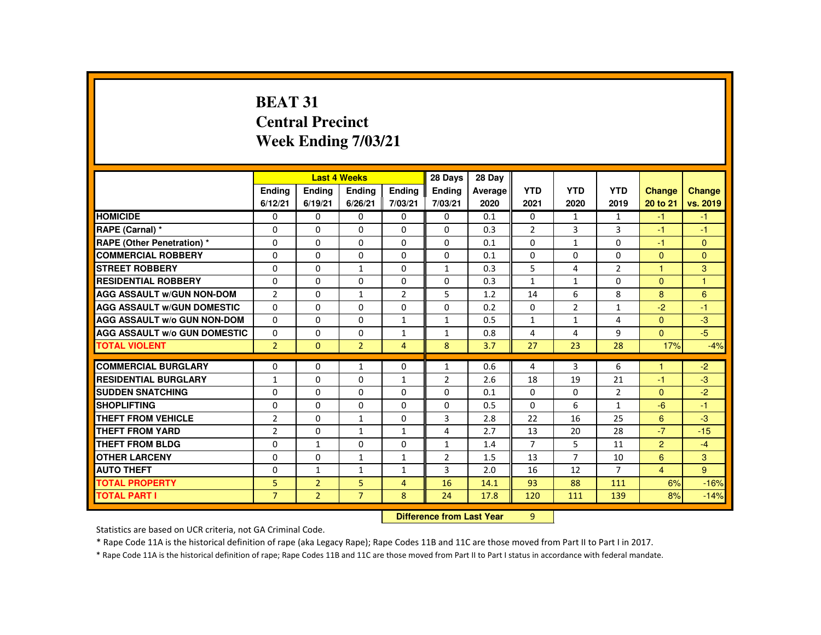## **BEAT 31 Central PrecinctWeek Ending 7/03/21**

|                                     |                |                | <b>Last 4 Weeks</b>              |                | 28 Days        | 28 Day  |                |                |                |                |               |
|-------------------------------------|----------------|----------------|----------------------------------|----------------|----------------|---------|----------------|----------------|----------------|----------------|---------------|
|                                     | <b>Endina</b>  | Ending         | Ending                           | <b>Endina</b>  | <b>Endina</b>  | Average | <b>YTD</b>     | <b>YTD</b>     | <b>YTD</b>     | <b>Change</b>  | <b>Change</b> |
|                                     | 6/12/21        | 6/19/21        | 6/26/21                          | 7/03/21        | 7/03/21        | 2020    | 2021           | 2020           | 2019           | 20 to 21       | vs. 2019      |
| <b>HOMICIDE</b>                     | 0              | 0              | 0                                | 0              | 0              | 0.1     | 0              | $\mathbf{1}$   | $\mathbf{1}$   | $-1$           | $-1$          |
| RAPE (Carnal) *                     | 0              | $\Omega$       | $\Omega$                         | $\Omega$       | $\Omega$       | 0.3     | $\overline{2}$ | $\overline{3}$ | $\overline{3}$ | -1             | -1            |
| RAPE (Other Penetration) *          | $\Omega$       | $\Omega$       | $\Omega$                         | $\Omega$       | $\Omega$       | 0.1     | $\Omega$       | $\mathbf{1}$   | $\Omega$       | $-1$           | $\Omega$      |
| <b>COMMERCIAL ROBBERY</b>           | 0              | $\Omega$       | $\Omega$                         | $\Omega$       | $\Omega$       | 0.1     | $\Omega$       | $\Omega$       | $\Omega$       | $\Omega$       | $\Omega$      |
| <b>STREET ROBBERY</b>               | 0              | $\Omega$       | $\mathbf{1}$                     | $\Omega$       | $\mathbf{1}$   | 0.3     | 5              | 4              | $\overline{2}$ | 1              | 3             |
| <b>RESIDENTIAL ROBBERY</b>          | $\Omega$       | $\Omega$       | $\Omega$                         | $\Omega$       | $\Omega$       | 0.3     | $\mathbf{1}$   | $\mathbf{1}$   | $\Omega$       | $\Omega$       | $\mathbf{1}$  |
| <b>AGG ASSAULT W/GUN NON-DOM</b>    | $\overline{2}$ | $\Omega$       | $\mathbf{1}$                     | $\overline{2}$ | 5              | 1.2     | 14             | 6              | 8              | 8              | 6             |
| <b>AGG ASSAULT W/GUN DOMESTIC</b>   | $\Omega$       | $\Omega$       | $\Omega$                         | $\Omega$       | $\Omega$       | 0.2     | $\Omega$       | $\overline{2}$ | $\mathbf{1}$   | $-2$           | $-1$          |
| <b>AGG ASSAULT W/o GUN NON-DOM</b>  | $\Omega$       | $\Omega$       | $\Omega$                         | $\mathbf{1}$   | $\mathbf{1}$   | 0.5     | $\mathbf{1}$   | $\mathbf{1}$   | 4              | $\mathbf{0}$   | $-3$          |
| <b>AGG ASSAULT W/o GUN DOMESTIC</b> | $\Omega$       | 0              | $\Omega$                         | $\mathbf{1}$   | $\mathbf{1}$   | 0.8     | 4              | 4              | 9              | $\Omega$       | $-5$          |
| <b>TOTAL VIOLENT</b>                | $\overline{2}$ | $\Omega$       | $\overline{2}$                   | $\overline{4}$ | 8              | 3.7     | 27             | 23             | 28             | 17%            | $-4%$         |
| <b>COMMERCIAL BURGLARY</b>          | 0              | 0              | 1                                | 0              | 1              | 0.6     | 4              | 3              | 6              | 1              | $-2$          |
| <b>RESIDENTIAL BURGLARY</b>         | $\mathbf{1}$   | $\Omega$       | $\Omega$                         | $\mathbf{1}$   | $\overline{2}$ | 2.6     | 18             | 19             | 21             | $-1$           | $-3$          |
| <b>SUDDEN SNATCHING</b>             | $\Omega$       | $\Omega$       | $\Omega$                         | $\Omega$       | $\Omega$       | 0.1     | $\Omega$       | $\Omega$       | $\overline{2}$ | $\Omega$       | $-2$          |
| <b>SHOPLIFTING</b>                  | 0              | 0              | 0                                | 0              | 0              | 0.5     | 0              | 6              | $\mathbf{1}$   | $-6$           | $-1$          |
| <b>THEFT FROM VEHICLE</b>           | $\overline{2}$ | $\Omega$       | $\mathbf{1}$                     | $\Omega$       | 3              | 2.8     | 22             | 16             | 25             | 6              | $-3$          |
| <b>THEFT FROM YARD</b>              | $\overline{2}$ | $\Omega$       | $\mathbf{1}$                     | $\mathbf{1}$   | 4              | 2.7     | 13             | 20             | 28             | $-7$           | $-15$         |
| <b>THEFT FROM BLDG</b>              | $\Omega$       | $\mathbf{1}$   | $\Omega$                         | $\Omega$       | $\mathbf{1}$   | 1.4     | $\overline{7}$ | 5              | 11             | $\overline{2}$ | $-4$          |
| <b>OTHER LARCENY</b>                | 0              | $\Omega$       | $\mathbf{1}$                     | $\mathbf{1}$   | $\overline{2}$ | 1.5     | 13             | $\overline{7}$ | 10             | 6              | 3             |
| <b>AUTO THEFT</b>                   | $\Omega$       | $\mathbf{1}$   | $\mathbf{1}$                     | $\mathbf{1}$   | 3              | 2.0     | 16             | 12             | $\overline{7}$ | $\overline{4}$ | 9             |
| <b>TOTAL PROPERTY</b>               | 5 <sup>5</sup> | $\overline{2}$ | 5                                | $\overline{4}$ | 16             | 14.1    | 93             | 88             | 111            | 6%             | $-16%$        |
| <b>TOTAL PART I</b>                 | $\overline{7}$ | $\overline{2}$ | $\overline{7}$                   | 8              | 24             | 17.8    | 120            | 111            | 139            | 8%             | $-14%$        |
|                                     |                |                | <b>Difference from Last Year</b> |                | 9              |         |                |                |                |                |               |

 **Difference from Last Year**

Statistics are based on UCR criteria, not GA Criminal Code.

\* Rape Code 11A is the historical definition of rape (aka Legacy Rape); Rape Codes 11B and 11C are those moved from Part II to Part I in 2017.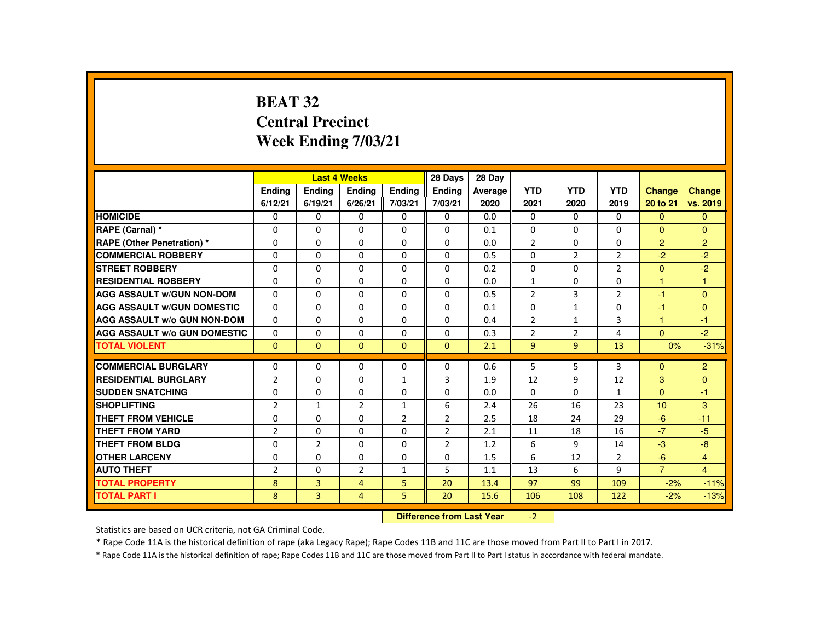# **BEAT 32 Central PrecinctWeek Ending 7/03/21**

|                                     |                | <b>Last 4 Weeks</b> |                |                | 28 Days                   | 28 Day  |                |                |                |                |                |
|-------------------------------------|----------------|---------------------|----------------|----------------|---------------------------|---------|----------------|----------------|----------------|----------------|----------------|
|                                     | Ending         | Ending              | Ending         | Ending         | Ending                    | Average | <b>YTD</b>     | <b>YTD</b>     | <b>YTD</b>     | <b>Change</b>  | Change         |
|                                     | 6/12/21        | 6/19/21             | 6/26/21        | 7/03/21        | 7/03/21                   | 2020    | 2021           | 2020           | 2019           | 20 to 21       | vs. 2019       |
| <b>HOMICIDE</b>                     | $\Omega$       | $\Omega$            | $\Omega$       | $\Omega$       | 0                         | 0.0     | 0              | $\Omega$       | $\Omega$       | $\Omega$       | $\mathbf{0}$   |
| RAPE (Carnal) *                     | $\Omega$       | $\Omega$            | $\Omega$       | $\Omega$       | $\Omega$                  | 0.1     | $\Omega$       | $\Omega$       | $\Omega$       | $\mathbf{0}$   | $\Omega$       |
| <b>RAPE (Other Penetration) *</b>   | 0              | $\Omega$            | $\Omega$       | $\Omega$       | $\Omega$                  | 0.0     | $\overline{2}$ | $\Omega$       | $\Omega$       | $\overline{2}$ | $\overline{2}$ |
| <b>COMMERCIAL ROBBERY</b>           | $\Omega$       | $\Omega$            | $\Omega$       | $\Omega$       | $\Omega$                  | 0.5     | $\Omega$       | $\overline{2}$ | $\overline{2}$ | $-2$           | $-2$           |
| <b>STREET ROBBERY</b>               | $\Omega$       | $\Omega$            | $\Omega$       | $\Omega$       | $\Omega$                  | 0.2     | $\Omega$       | $\Omega$       | $\overline{2}$ | $\Omega$       | $-2$           |
| <b>RESIDENTIAL ROBBERY</b>          | $\mathbf{0}$   | $\Omega$            | $\mathbf{0}$   | $\mathbf{0}$   | 0                         | 0.0     | $\mathbf{1}$   | 0              | 0              | 1              | $\overline{1}$ |
| <b>AGG ASSAULT W/GUN NON-DOM</b>    | $\Omega$       | $\Omega$            | $\Omega$       | $\Omega$       | 0                         | 0.5     | $\overline{2}$ | 3              | $\overline{2}$ | -1             | $\Omega$       |
| <b>AGG ASSAULT W/GUN DOMESTIC</b>   | $\Omega$       | $\Omega$            | $\Omega$       | $\Omega$       | $\Omega$                  | 0.1     | $\Omega$       | $\mathbf{1}$   | $\Omega$       | $-1$           | $\overline{0}$ |
| <b>AGG ASSAULT W/o GUN NON-DOM</b>  | $\Omega$       | $\Omega$            | $\Omega$       | $\Omega$       | $\Omega$                  | 0.4     | $\overline{2}$ | $\mathbf{1}$   | $\overline{3}$ | $\mathbf{1}$   | $-1$           |
| <b>AGG ASSAULT W/o GUN DOMESTIC</b> | 0              | $\Omega$            | $\Omega$       | $\Omega$       | $\Omega$                  | 0.3     | $\overline{2}$ | $\overline{2}$ | 4              | $\mathbf{0}$   | $-2$           |
| <b>TOTAL VIOLENT</b>                | $\Omega$       | $\mathbf{0}$        | $\Omega$       | $\Omega$       | $\Omega$                  | 2.1     | 9 <sup>°</sup> | $\overline{9}$ | 13             | 0%             | $-31%$         |
| <b>COMMERCIAL BURGLARY</b>          | $\mathbf{0}$   | $\Omega$            | $\Omega$       | $\Omega$       | $\Omega$                  | 0.6     | 5              | 5              | $\overline{3}$ | $\Omega$       | $\overline{2}$ |
| <b>RESIDENTIAL BURGLARY</b>         | $\overline{2}$ | $\Omega$            | $\Omega$       | $\mathbf{1}$   | 3                         | 1.9     | 12             | 9              | 12             | 3              | $\mathbf{0}$   |
| <b>SUDDEN SNATCHING</b>             | $\mathbf{0}$   | $\Omega$            | $\Omega$       | $\Omega$       | $\Omega$                  | 0.0     | $\Omega$       | $\Omega$       | $\mathbf{1}$   | $\mathbf{0}$   | $-1$           |
| <b>SHOPLIFTING</b>                  | $\overline{2}$ | $\mathbf{1}$        | $\overline{2}$ | $\mathbf{1}$   | 6                         | 2.4     | 26             | 16             | 23             | 10             | 3              |
| <b>THEFT FROM VEHICLE</b>           | $\mathbf{0}$   | $\Omega$            | $\Omega$       | $\overline{2}$ | $\overline{2}$            | 2.5     | 18             | 24             | 29             | $-6$           | $-11$          |
| <b>THEFT FROM YARD</b>              | $\overline{2}$ | $\Omega$            | $\Omega$       | $\Omega$       | $\overline{2}$            | 2.1     | 11             | 18             | 16             | $-7$           | $-5$           |
| THEFT FROM BLDG                     | 0              | $\overline{2}$      | $\mathbf{0}$   | $\Omega$       | $\overline{2}$            | 1.2     | 6              | 9              | 14             | $-3$           | $-8$           |
| <b>OTHER LARCENY</b>                | $\Omega$       | $\Omega$            | $\Omega$       | $\Omega$       | 0                         | 1.5     | 6              | 12             | $\overline{2}$ | $-6$           | $\overline{4}$ |
| <b>AUTO THEFT</b>                   | $\overline{2}$ | $\Omega$            | 2              | $\mathbf{1}$   | 5                         | 1.1     | 13             | 6              | 9              | $\overline{7}$ | $\overline{4}$ |
| <b>TOTAL PROPERTY</b>               | 8              | $\overline{3}$      | $\overline{4}$ | 5              | 20                        | 13.4    | 97             | 99             | 109            | $-2%$          | $-11%$         |
| <b>TOTAL PART I</b>                 | 8              | 3                   | 4              | 5.             | 20                        | 15.6    | 106            | 108            | 122            | $-2%$          | $-13%$         |
|                                     |                |                     |                |                | Difference from Leat Vacu |         | $\sim$         |                |                |                |                |

 **Difference from Last Year**-2

Statistics are based on UCR criteria, not GA Criminal Code.

\* Rape Code 11A is the historical definition of rape (aka Legacy Rape); Rape Codes 11B and 11C are those moved from Part II to Part I in 2017.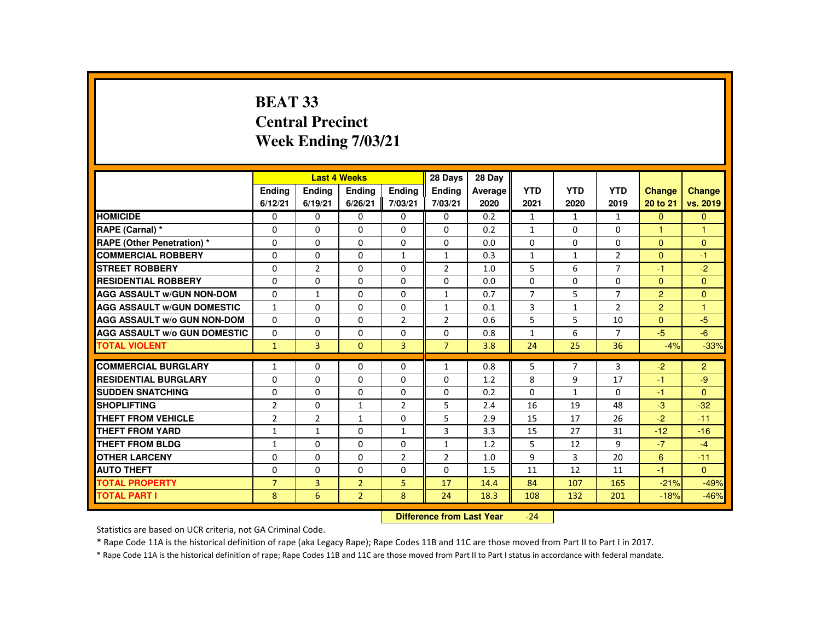### **BEAT 33 Central PrecinctWeek Ending 7/03/21**

|                                     |                |                | <b>Last 4 Weeks</b> |                | 28 Days                   | 28 Day  |                |                |                |                |               |
|-------------------------------------|----------------|----------------|---------------------|----------------|---------------------------|---------|----------------|----------------|----------------|----------------|---------------|
|                                     | <b>Ending</b>  | <b>Ending</b>  | <b>Ending</b>       | Ending         | <b>Ending</b>             | Average | <b>YTD</b>     | <b>YTD</b>     | <b>YTD</b>     | <b>Change</b>  | <b>Change</b> |
|                                     | 6/12/21        | 6/19/21        | 6/26/21             | 7/03/21        | 7/03/21                   | 2020    | 2021           | 2020           | 2019           | 20 to 21       | vs. 2019      |
| <b>HOMICIDE</b>                     | 0              | 0              | 0                   | 0              | 0                         | 0.2     | $\mathbf{1}$   | 1              | $\mathbf{1}$   | $\Omega$       | $\mathbf{0}$  |
| RAPE (Carnal) *                     | 0              | $\Omega$       | $\Omega$            | $\Omega$       | $\Omega$                  | 0.2     | $\mathbf{1}$   | 0              | 0              | 1              | $\mathbf{1}$  |
| <b>RAPE (Other Penetration) *</b>   | $\Omega$       | $\Omega$       | $\Omega$            | $\Omega$       | $\Omega$                  | 0.0     | $\Omega$       | $\Omega$       | $\Omega$       | $\Omega$       | $\mathbf{0}$  |
| <b>COMMERCIAL ROBBERY</b>           | 0              | $\Omega$       | $\Omega$            | $\mathbf{1}$   | $\mathbf{1}$              | 0.3     | $\mathbf{1}$   | $\mathbf{1}$   | $\overline{2}$ | $\mathbf{0}$   | $-1$          |
| <b>STREET ROBBERY</b>               | $\Omega$       | $\overline{2}$ | $\Omega$            | $\Omega$       | $\overline{2}$            | 1.0     | 5              | 6              | $\overline{7}$ | $-1$           | $-2$          |
| <b>RESIDENTIAL ROBBERY</b>          | 0              | 0              | 0                   | 0              | 0                         | 0.0     | 0              | 0              | 0              | $\mathbf{0}$   | $\mathbf{0}$  |
| <b>AGG ASSAULT W/GUN NON-DOM</b>    | $\Omega$       | $\mathbf{1}$   | $\Omega$            | $\Omega$       | $\mathbf{1}$              | 0.7     | $\overline{7}$ | 5              | $\overline{7}$ | $\overline{2}$ | $\mathbf{0}$  |
| <b>AGG ASSAULT W/GUN DOMESTIC</b>   | $\mathbf{1}$   | $\Omega$       | $\Omega$            | $\Omega$       | $\mathbf{1}$              | 0.1     | 3              | $\mathbf{1}$   | $\overline{2}$ | 2              | $\mathbf{1}$  |
| <b>AGG ASSAULT W/o GUN NON-DOM</b>  | $\Omega$       | $\Omega$       | $\Omega$            | $\overline{2}$ | $\overline{2}$            | 0.6     | 5              | 5              | 10             | $\Omega$       | $-5$          |
| <b>AGG ASSAULT W/o GUN DOMESTIC</b> | $\Omega$       | $\Omega$       | $\Omega$            | $\Omega$       | $\Omega$                  | 0.8     | $\mathbf{1}$   | 6              | $\overline{7}$ | $-5$           | $-6$          |
| <b>TOTAL VIOLENT</b>                | $\mathbf{1}$   | 3              | $\mathbf{0}$        | 3              | $\overline{7}$            | 3.8     | 24             | 25             | 36             | $-4%$          | $-33%$        |
| <b>COMMERCIAL BURGLARY</b>          | $\mathbf{1}$   | 0              | $\Omega$            | $\Omega$       | $\mathbf{1}$              | 0.8     | 5              | $\overline{7}$ | 3              | $-2$           | 2             |
| <b>RESIDENTIAL BURGLARY</b>         | 0              | $\Omega$       | 0                   | $\Omega$       | $\Omega$                  | 1.2     | 8              | 9              | 17             | $-1$           | -9            |
| <b>SUDDEN SNATCHING</b>             | 0              | $\Omega$       | $\Omega$            | 0              | 0                         | 0.2     | $\Omega$       | $\mathbf{1}$   | 0              | $-1$           | $\Omega$      |
| <b>SHOPLIFTING</b>                  | $\overline{2}$ | $\Omega$       | $\mathbf{1}$        | $\overline{2}$ | 5                         | 2.4     | 16             | 19             | 48             | $-3$           | $-32$         |
| <b>THEFT FROM VEHICLE</b>           | $\overline{2}$ | $\overline{2}$ | $\mathbf{1}$        | $\Omega$       | 5                         | 2.9     | 15             | 17             | 26             | $-2$           | $-11$         |
| <b>THEFT FROM YARD</b>              | $\mathbf{1}$   | $\mathbf{1}$   | $\Omega$            | $\mathbf{1}$   | 3                         | 3.3     | 15             | 27             | 31             | $-12$          | $-16$         |
| <b>THEFT FROM BLDG</b>              | 1              | 0              | $\Omega$            | 0              | $\mathbf{1}$              | 1.2     | 5              | 12             | 9              | $-7$           | $-4$          |
| <b>OTHER LARCENY</b>                | $\Omega$       | $\Omega$       | $\Omega$            | $\overline{2}$ | $\overline{2}$            | 1.0     | 9              | 3              | 20             | 6              | $-11$         |
| <b>AUTO THEFT</b>                   | $\Omega$       | $\Omega$       | $\Omega$            | $\Omega$       | $\Omega$                  | 1.5     | 11             | 12             | 11             | $-1$           | $\Omega$      |
| <b>TOTAL PROPERTY</b>               | $\overline{7}$ | $\overline{3}$ | $\overline{2}$      | 5              | 17                        | 14.4    | 84             | 107            | 165            | $-21%$         | $-49%$        |
| <b>TOTAL PART I</b>                 | 8              | 6              | $\overline{2}$      | 8              | 24                        | 18.3    | 108            | 132            | 201            | $-18%$         | $-46%$        |
|                                     |                |                |                     |                | Difference from Loot Voor |         | 21             |                |                |                |               |

 **Difference from Last Year**-24

Statistics are based on UCR criteria, not GA Criminal Code.

\* Rape Code 11A is the historical definition of rape (aka Legacy Rape); Rape Codes 11B and 11C are those moved from Part II to Part I in 2017.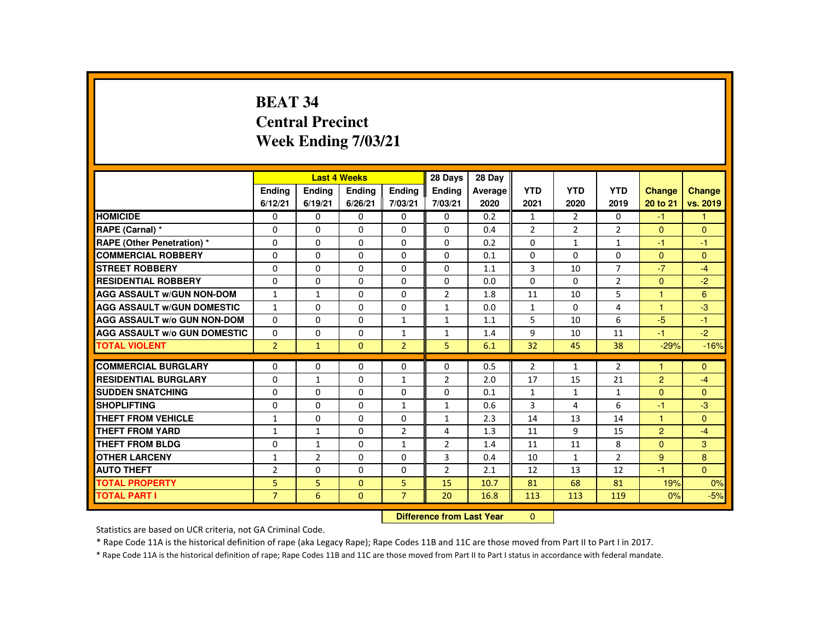## **BEAT 34 Central PrecinctWeek Ending 7/03/21**

|                                     |                | <b>Last 4 Weeks</b> |                                  |                | 28 Days        | 28 Day  |                |                |                |                      |          |
|-------------------------------------|----------------|---------------------|----------------------------------|----------------|----------------|---------|----------------|----------------|----------------|----------------------|----------|
|                                     | <b>Ending</b>  | Ending              | <b>Ending</b>                    | Ending         | Ending         | Average | <b>YTD</b>     | <b>YTD</b>     | <b>YTD</b>     | <b>Change</b>        | Change   |
|                                     | 6/12/21        | 6/19/21             | 6/26/21                          | 7/03/21        | 7/03/21        | 2020    | 2021           | 2020           | 2019           | 20 to 21             | vs. 2019 |
| <b>HOMICIDE</b>                     | 0              | 0                   | 0                                | 0              | 0              | 0.2     | $\mathbf{1}$   | $\overline{2}$ | $\Omega$       | $-1$                 | 1        |
| RAPE (Carnal) *                     | $\Omega$       | $\Omega$            | $\Omega$                         | $\Omega$       | $\Omega$       | 0.4     | $\overline{2}$ | $\overline{2}$ | $\overline{2}$ | $\Omega$             | $\Omega$ |
| <b>RAPE (Other Penetration)*</b>    | $\Omega$       | $\Omega$            | $\Omega$                         | $\Omega$       | $\Omega$       | 0.2     | $\Omega$       | $\mathbf{1}$   | $\mathbf{1}$   | $-1$                 | $-1$     |
| <b>COMMERCIAL ROBBERY</b>           | 0              | $\Omega$            | $\Omega$                         | $\Omega$       | $\Omega$       | 0.1     | $\Omega$       | $\Omega$       | $\Omega$       | $\Omega$             | $\Omega$ |
| <b>STREET ROBBERY</b>               | 0              | $\Omega$            | $\Omega$                         | $\Omega$       | $\Omega$       | 1.1     | 3              | 10             | $\overline{7}$ | $-7$                 | $-4$     |
| <b>RESIDENTIAL ROBBERY</b>          | $\Omega$       | $\Omega$            | $\Omega$                         | $\Omega$       | $\Omega$       | 0.0     | $\Omega$       | $\Omega$       | $\overline{2}$ | $\Omega$             | $-2$     |
| <b>AGG ASSAULT W/GUN NON-DOM</b>    | $\mathbf{1}$   | $\mathbf{1}$        | $\Omega$                         | $\Omega$       | $\overline{2}$ | 1.8     | 11             | 10             | 5              | $\overline{1}$       | 6        |
| <b>AGG ASSAULT W/GUN DOMESTIC</b>   | $\mathbf{1}$   | $\Omega$            | $\Omega$                         | $\Omega$       | $\mathbf{1}$   | 0.0     | $\mathbf{1}$   | $\Omega$       | 4              | $\blacktriangleleft$ | $-3$     |
| <b>AGG ASSAULT W/o GUN NON-DOM</b>  | $\Omega$       | 0                   | 0                                | $\mathbf{1}$   | $\mathbf{1}$   | 1.1     | 5              | 10             | 6              | $-5$                 | $-1$     |
| <b>AGG ASSAULT W/o GUN DOMESTIC</b> | $\Omega$       | $\Omega$            | $\Omega$                         | $\mathbf{1}$   | $\mathbf{1}$   | 1.4     | 9              | 10             | 11             | -1                   | $-2$     |
| <b>TOTAL VIOLENT</b>                | 2 <sup>1</sup> | $\mathbf{1}$        | $\mathbf{0}$                     | $\overline{2}$ | 5              | 6.1     | 32             | 45             | 38             | $-29%$               | $-16%$   |
| <b>COMMERCIAL BURGLARY</b>          | $\Omega$       | 0                   | $\Omega$                         | 0              | $\Omega$       | 0.5     | $\overline{2}$ | 1              | $\overline{2}$ |                      | $\Omega$ |
| <b>RESIDENTIAL BURGLARY</b>         | $\Omega$       | $\mathbf{1}$        | $\Omega$                         | $\mathbf{1}$   | $\overline{2}$ | 2.0     | 17             | 15             | 21             | 2                    | $-4$     |
| <b>SUDDEN SNATCHING</b>             | $\Omega$       | $\Omega$            | $\Omega$                         | $\Omega$       | $\Omega$       | 0.1     | $\mathbf{1}$   | $\mathbf{1}$   | $\mathbf{1}$   | $\Omega$             | $\Omega$ |
| <b>SHOPLIFTING</b>                  | 0              | 0                   | 0                                | $\mathbf{1}$   | $\mathbf{1}$   | 0.6     | 3              | 4              | 6              | -1                   | $-3$     |
| <b>THEFT FROM VEHICLE</b>           | 1              | $\Omega$            | $\Omega$                         | $\Omega$       | 1              | 2.3     | 14             | 13             | 14             | $\blacktriangleleft$ | $\Omega$ |
| <b>THEFT FROM YARD</b>              | $\mathbf{1}$   | $\mathbf{1}$        | $\Omega$                         | $\overline{2}$ | 4              | 1.3     | 11             | 9              | 15             | $\overline{2}$       | $-4$     |
| <b>THEFT FROM BLDG</b>              | $\Omega$       | $\mathbf{1}$        | $\Omega$                         | $\mathbf{1}$   | $\overline{2}$ | 1.4     | 11             | 11             | 8              | $\Omega$             | 3        |
| <b>OTHER LARCENY</b>                | $\mathbf{1}$   | $\overline{2}$      | $\Omega$                         | $\Omega$       | $\overline{3}$ | 0.4     | 10             | $\mathbf{1}$   | $\overline{2}$ | 9 <sup>°</sup>       | 8        |
| <b>AUTO THEFT</b>                   | $\overline{2}$ | $\Omega$            | $\Omega$                         | $\Omega$       | $\overline{2}$ | 2.1     | 12             | 13             | 12             | $-1$                 | $\Omega$ |
| <b>TOTAL PROPERTY</b>               | 5              | 5                   | $\Omega$                         | 5              | 15             | 10.7    | 81             | 68             | 81             | 19%                  | 0%       |
| <b>TOTAL PART I</b>                 | $\overline{7}$ | 6                   | $\mathbf{0}$                     | $\overline{7}$ | 20             | 16.8    | 113            | 113            | 119            | 0%                   | $-5%$    |
|                                     |                |                     | <b>Difference from Last Year</b> |                | $\mathbf{0}$   |         |                |                |                |                      |          |

 **Difference from Last Year**

Statistics are based on UCR criteria, not GA Criminal Code.

\* Rape Code 11A is the historical definition of rape (aka Legacy Rape); Rape Codes 11B and 11C are those moved from Part II to Part I in 2017.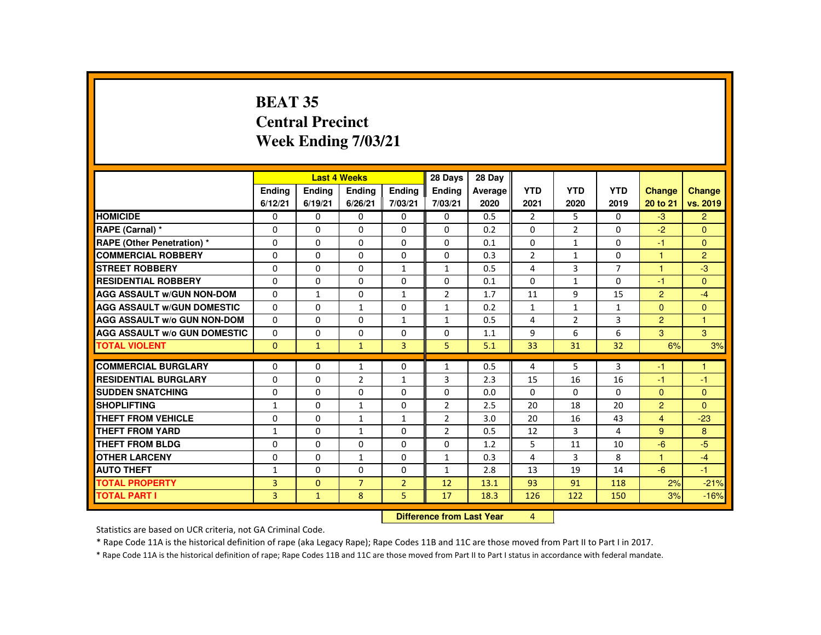## **BEAT 35 Central PrecinctWeek Ending 7/03/21**

|                                     |                          | <b>Last 4 Weeks</b> |                          |                | 28 Days                    | 28 Day    |                |                |                |                |                |
|-------------------------------------|--------------------------|---------------------|--------------------------|----------------|----------------------------|-----------|----------------|----------------|----------------|----------------|----------------|
|                                     | <b>Endina</b>            | <b>Ending</b>       | <b>Ending</b>            | Ending         | Ending                     | Average   | <b>YTD</b>     | <b>YTD</b>     | <b>YTD</b>     | <b>Change</b>  | <b>Change</b>  |
|                                     | 6/12/21                  | 6/19/21             | 6/26/21                  | 7/03/21        | 7/03/21                    | 2020      | 2021           | 2020           | 2019           | 20 to 21       | vs. 2019       |
| <b>HOMICIDE</b>                     | $\Omega$                 | 0                   | 0                        | 0              | 0                          | 0.5       | $\overline{2}$ | 5              | $\mathbf{0}$   | $-3$           | $\overline{2}$ |
| RAPE (Carnal) *                     | 0                        | 0                   | $\Omega$                 | $\Omega$       | $\Omega$                   | 0.2       | $\Omega$       | $\overline{2}$ | 0              | $-2$           | $\Omega$       |
| <b>RAPE (Other Penetration) *</b>   | $\Omega$                 | $\Omega$            | $\Omega$                 | $\Omega$       | $\Omega$                   | 0.1       | $\Omega$       | $\mathbf{1}$   | $\Omega$       | -1             | $\Omega$       |
| <b>COMMERCIAL ROBBERY</b>           | $\Omega$                 | $\Omega$            | $\Omega$                 | $\Omega$       | $\Omega$                   | 0.3       | $\overline{2}$ | $\mathbf{1}$   | $\Omega$       | $\overline{1}$ | $\overline{2}$ |
| <b>STREET ROBBERY</b>               | $\Omega$                 | $\Omega$            | $\Omega$                 | $\mathbf{1}$   | $\mathbf{1}$               | 0.5       | 4              | 3              | $\overline{7}$ | $\overline{1}$ | $-3$           |
| <b>RESIDENTIAL ROBBERY</b>          | $\Omega$                 | 0                   | 0                        | 0              | 0                          | 0.1       | $\Omega$       | $\mathbf{1}$   | 0              | $-1$           | $\Omega$       |
| <b>AGG ASSAULT W/GUN NON-DOM</b>    | $\Omega$                 | $\mathbf{1}$        | $\Omega$                 | $\mathbf{1}$   | $\overline{2}$             | 1.7       | 11             | 9              | 15             | $\overline{2}$ | $-4$           |
| <b>AGG ASSAULT W/GUN DOMESTIC</b>   | $\Omega$                 | $\Omega$            | 1                        | $\Omega$       | $\mathbf{1}$               | 0.2       | $\mathbf{1}$   | $\mathbf{1}$   | $\mathbf{1}$   | $\Omega$       | $\mathbf{0}$   |
| <b>AGG ASSAULT W/o GUN NON-DOM</b>  | $\Omega$                 | $\Omega$            | $\Omega$                 | $\mathbf{1}$   | $\mathbf{1}$               | 0.5       | 4              | $\overline{2}$ | 3              | $\overline{2}$ | $\mathbf{1}$   |
| <b>AGG ASSAULT W/o GUN DOMESTIC</b> | $\Omega$                 | $\Omega$            | $\Omega$                 | $\Omega$       | $\Omega$                   | 1.1       | 9              | 6              | 6              | 3              | 3              |
| <b>TOTAL VIOLENT</b>                | $\mathbf{0}$             | $\mathbf{1}$        | $\mathbf{1}$             | 3              | 5                          | 5.1       | 33             | 31             | 32             | 6%             | 3%             |
| <b>COMMERCIAL BURGLARY</b>          | 0                        | $\Omega$            | $\mathbf{1}$             | $\Omega$       | $\mathbf{1}$               | 0.5       | 4              | 5              | 3              | -1             | 1              |
| <b>RESIDENTIAL BURGLARY</b>         | $\Omega$                 | $\Omega$            | 2                        | $\mathbf{1}$   | 3                          | 2.3       | 15             | 16             | 16             | $-1$           | $-1$           |
| <b>SUDDEN SNATCHING</b>             | 0                        | 0                   | $\Omega$                 | 0              | 0                          | 0.0       | 0              | 0              | $\Omega$       | $\Omega$       | $\mathbf{0}$   |
| <b>SHOPLIFTING</b>                  | $\mathbf{1}$             | $\Omega$            | $\mathbf{1}$             | $\Omega$       | $\overline{2}$             | 2.5       | 20             | 18             | 20             | 2              | $\Omega$       |
| <b>THEFT FROM VEHICLE</b>           | $\Omega$                 | $\Omega$            | $\mathbf{1}$             | $\mathbf{1}$   | $\overline{2}$             | 3.0       | 20             | 16             | 43             | $\overline{4}$ | $-23$          |
| <b>THEFT FROM YARD</b>              |                          | $\Omega$            |                          | $\Omega$       |                            | 0.5       | 12             | 3              | 4              | 9              | 8              |
| <b>THEFT FROM BLDG</b>              | $\mathbf{1}$<br>$\Omega$ | $\Omega$            | $\mathbf{1}$<br>$\Omega$ | $\Omega$       | $\overline{2}$<br>$\Omega$ |           | 5              |                |                | $-6$           | $-5$           |
|                                     |                          |                     |                          |                |                            | 1.2       |                | 11             | 10             | $\overline{1}$ |                |
| <b>OTHER LARCENY</b>                | $\Omega$                 | $\Omega$            | $\mathbf{1}$             | $\Omega$       | $\mathbf{1}$               | 0.3       | 4              | 3              | 8              |                | $-4$           |
| <b>AUTO THEFT</b>                   | $\mathbf{1}$             | $\Omega$            | $\Omega$                 | $\Omega$       | $\mathbf{1}$               | 2.8       | 13             | 19             | 14             | $-6$           | $-1$           |
| <b>TOTAL PROPERTY</b>               | $\overline{3}$           | $\mathbf{0}$        | $\overline{7}$           | $\overline{2}$ | 12                         | 13.1      | 93             | 91             | 118            | 2%             | $-21%$         |
| <b>TOTAL PART I</b>                 | 3                        | $\mathbf{1}$        | 8                        | 5              | 17                         | 18.3      | 126            | 122            | 150            | 3%             | $-16%$         |
|                                     |                          |                     |                          | <b>CARLES</b>  | . <b>.</b>                 | $-1 - -1$ |                |                |                |                |                |

 **Difference from Last Year**r 4

Statistics are based on UCR criteria, not GA Criminal Code.

\* Rape Code 11A is the historical definition of rape (aka Legacy Rape); Rape Codes 11B and 11C are those moved from Part II to Part I in 2017.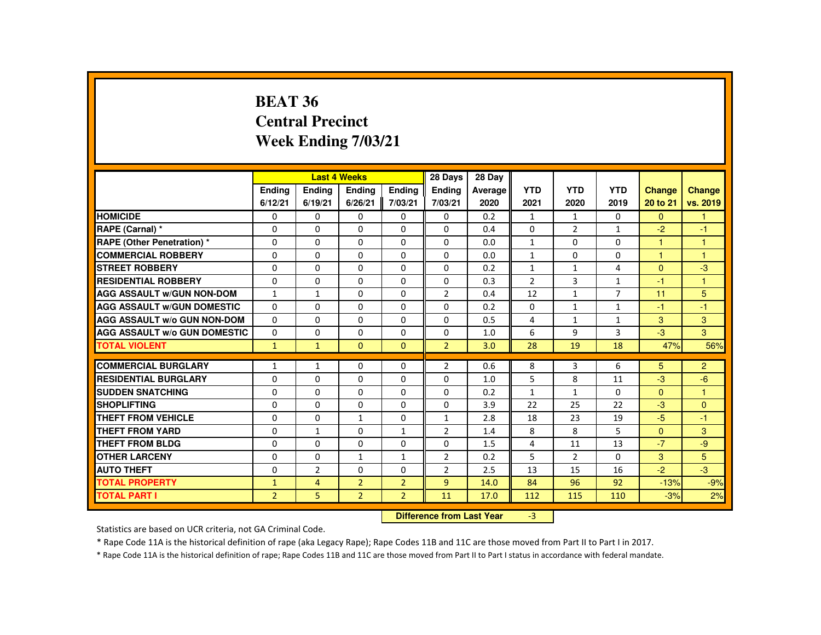#### **BEAT 36 Central PrecinctWeek Ending 7/03/21**

|                                     |                |                           | <b>Last 4 Weeks</b> |                | 28 Days        | 28 Day  |                |                |                |                |                |
|-------------------------------------|----------------|---------------------------|---------------------|----------------|----------------|---------|----------------|----------------|----------------|----------------|----------------|
|                                     | Ending         | <b>Ending</b>             | <b>Ending</b>       | Ending         | <b>Ending</b>  | Average | <b>YTD</b>     | <b>YTD</b>     | <b>YTD</b>     | <b>Change</b>  | Change         |
|                                     | 6/12/21        | 6/19/21                   | 6/26/21             | 7/03/21        | 7/03/21        | 2020    | 2021           | 2020           | 2019           | 20 to 21       | vs. 2019       |
| <b>HOMICIDE</b>                     | $\Omega$       | 0                         | 0                   | $\Omega$       | 0              | 0.2     | $\mathbf{1}$   | $\mathbf{1}$   | $\mathbf{0}$   | $\Omega$       | $\mathbf{1}$   |
| RAPE (Carnal) *                     | $\Omega$       | $\Omega$                  | $\Omega$            | $\Omega$       | $\Omega$       | 0.4     | $\Omega$       | $\overline{2}$ | $\mathbf{1}$   | $-2$           | $-1$           |
| <b>RAPE (Other Penetration) *</b>   | $\Omega$       | $\Omega$                  | $\Omega$            | $\Omega$       | $\Omega$       | 0.0     | $\mathbf{1}$   | 0              | $\Omega$       | $\mathbf{1}$   | $\mathbf{1}$   |
| <b>COMMERCIAL ROBBERY</b>           | $\Omega$       | $\Omega$                  | $\Omega$            | $\Omega$       | $\Omega$       | 0.0     | $\mathbf{1}$   | $\Omega$       | $\Omega$       | $\overline{1}$ | $\overline{1}$ |
| <b>STREET ROBBERY</b>               | $\Omega$       | $\Omega$                  | $\Omega$            | $\Omega$       | $\Omega$       | 0.2     | $\mathbf{1}$   | $\mathbf{1}$   | 4              | $\Omega$       | $-3$           |
| <b>RESIDENTIAL ROBBERY</b>          | $\Omega$       | 0                         | $\Omega$            | $\Omega$       | $\Omega$       | 0.3     | $\overline{2}$ | 3              | $\mathbf{1}$   | $-1$           | $\mathbf{1}$   |
| <b>AGG ASSAULT W/GUN NON-DOM</b>    | $\mathbf{1}$   | $\mathbf{1}$              | 0                   | 0              | $\overline{2}$ | 0.4     | 12             | $\mathbf{1}$   | $\overline{7}$ | 11             | 5              |
| <b>AGG ASSAULT W/GUN DOMESTIC</b>   | $\Omega$       | 0                         | $\Omega$            | 0              | 0              | 0.2     | $\mathbf{0}$   | $\mathbf{1}$   | $\mathbf{1}$   | $-1$           | $-1$           |
| <b>AGG ASSAULT W/o GUN NON-DOM</b>  | 0              | 0                         | 0                   | $\Omega$       | 0              | 0.5     | 4              | $\mathbf{1}$   | $\mathbf{1}$   | 3              | 3              |
| <b>AGG ASSAULT W/o GUN DOMESTIC</b> | $\Omega$       | $\Omega$                  | $\Omega$            | $\Omega$       | $\Omega$       | 1.0     | 6              | 9              | 3              | $-3$           | 3 <sup>1</sup> |
| <b>TOTAL VIOLENT</b>                | $\mathbf{1}$   | $\mathbf{1}$              | $\mathbf{0}$        | $\mathbf{0}$   | $\overline{2}$ | 3.0     | 28             | 19             | 18             | 47%            | 56%            |
| <b>COMMERCIAL BURGLARY</b>          |                |                           |                     |                |                |         |                |                |                |                |                |
|                                     | 1              | $\mathbf{1}$              | $\Omega$            | $\Omega$       | $\overline{2}$ | 0.6     | 8              | 3              | 6              | 5              | $\overline{2}$ |
| <b>RESIDENTIAL BURGLARY</b>         | $\Omega$       | $\Omega$                  | $\Omega$            | $\Omega$       | $\Omega$       | 1.0     | 5              | 8              | 11             | $-3$           | $-6$           |
| <b>SUDDEN SNATCHING</b>             | 0              | 0                         | 0                   | 0              | 0              | 0.2     | $\mathbf{1}$   | $\mathbf{1}$   | $\mathbf{0}$   | $\Omega$       | $\mathbf{1}$   |
| <b>SHOPLIFTING</b>                  | 0              | $\Omega$                  | $\Omega$            | $\Omega$       | $\Omega$       | 3.9     | 22             | 25             | 22             | $-3$           | $\overline{0}$ |
| <b>THEFT FROM VEHICLE</b>           | $\Omega$       | $\Omega$                  | $\mathbf{1}$        | $\Omega$       | $\mathbf{1}$   | 2.8     | 18             | 23             | 19             | $-5$           | $-1$           |
| <b>THEFT FROM YARD</b>              | $\Omega$       | $\mathbf{1}$              | $\Omega$            | $\mathbf{1}$   | $\overline{2}$ | 1.4     | 8              | 8              | 5              | $\Omega$       | 3              |
| <b>THEFT FROM BLDG</b>              | $\Omega$       | $\Omega$                  | $\Omega$            | $\Omega$       | $\Omega$       | 1.5     | 4              | 11             | 13             | $-7$           | $-9$           |
| <b>OTHER LARCENY</b>                | 0              | 0                         | $\mathbf{1}$        | $\mathbf{1}$   | $\overline{2}$ | 0.2     | 5              | 2              | $\Omega$       | 3              | 5              |
| <b>AUTO THEFT</b>                   | $\Omega$       | $\overline{2}$            | $\Omega$            | $\Omega$       | $\overline{2}$ | 2.5     | 13             | 15             | 16             | $-2$           | $-3$           |
| <b>TOTAL PROPERTY</b>               | $\mathbf{1}$   | $\overline{4}$            | $\overline{2}$      | $\overline{2}$ | $\overline{9}$ | 14.0    | 84             | 96             | 92             | $-13%$         | $-9%$          |
| <b>TOTAL PART I</b>                 | $\overline{2}$ | 5.                        | $\overline{2}$      | $\overline{2}$ | 11             | 17.0    | 112            | 115            | 110            | $-3%$          | 2%             |
|                                     |                | Difference from Loot Voor |                     | $\sim$         |                |         |                |                |                |                |                |

 **Difference from Last Year**-3

Statistics are based on UCR criteria, not GA Criminal Code.

\* Rape Code 11A is the historical definition of rape (aka Legacy Rape); Rape Codes 11B and 11C are those moved from Part II to Part I in 2017.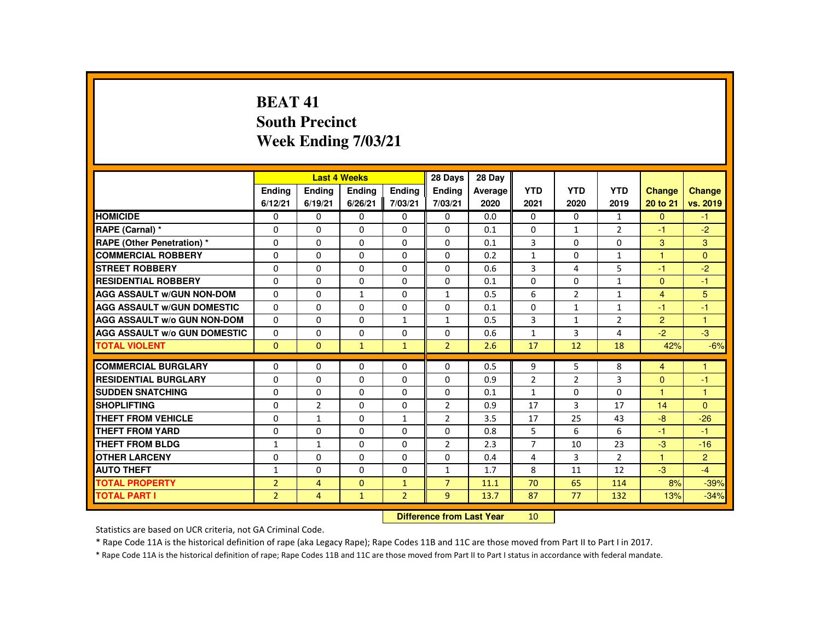#### **BEAT 41 South PrecinctWeek Ending 7/03/21**

|                                     |                |                | <b>Last 4 Weeks</b> |                | 28 Days        | 28 Day                    |                |                |                |                |                |
|-------------------------------------|----------------|----------------|---------------------|----------------|----------------|---------------------------|----------------|----------------|----------------|----------------|----------------|
|                                     | <b>Ending</b>  | <b>Ending</b>  | <b>Ending</b>       | Ending         | <b>Endina</b>  | Average                   | <b>YTD</b>     | <b>YTD</b>     | <b>YTD</b>     | <b>Change</b>  | Change         |
|                                     | 6/12/21        | 6/19/21        | 6/26/21             | 7/03/21        | 7/03/21        | 2020                      | 2021           | 2020           | 2019           | 20 to 21       | vs. 2019       |
| <b>HOMICIDE</b>                     | $\Omega$       | $\Omega$       | $\mathbf{0}$        | $\mathbf{0}$   | 0              | 0.0                       | 0              | $\Omega$       | $\mathbf{1}$   | $\Omega$       | $-1$           |
| RAPE (Carnal) *                     | $\Omega$       | $\Omega$       | $\Omega$            | $\Omega$       | $\Omega$       | 0.1                       | $\Omega$       | $\mathbf{1}$   | $\overline{2}$ | $-1$           | $-2$           |
| RAPE (Other Penetration) *          | $\Omega$       | $\Omega$       | $\Omega$            | $\Omega$       | $\Omega$       | 0.1                       | 3              | $\Omega$       | $\Omega$       | 3              | 3 <sup>1</sup> |
| <b>COMMERCIAL ROBBERY</b>           | $\mathbf{0}$   | $\Omega$       | $\Omega$            | $\Omega$       | 0              | 0.2                       | $\mathbf{1}$   | $\Omega$       | $\mathbf{1}$   | $\overline{1}$ | $\mathbf{0}$   |
| <b>STREET ROBBERY</b>               | $\Omega$       | $\Omega$       | $\Omega$            | $\Omega$       | $\Omega$       | 0.6                       | 3              | 4              | 5              | $-1$           | $-2$           |
| <b>RESIDENTIAL ROBBERY</b>          | $\mathbf{0}$   | $\Omega$       | $\mathbf{0}$        | 0              | 0              | 0.1                       | 0              | 0              | $\mathbf{1}$   | $\overline{0}$ | $-1$           |
| <b>AGG ASSAULT w/GUN NON-DOM</b>    | $\mathbf{0}$   | $\Omega$       | $\mathbf{1}$        | $\Omega$       | $\mathbf{1}$   | 0.5                       | 6              | $\overline{2}$ | $\mathbf{1}$   | $\overline{4}$ | 5              |
| <b>AGG ASSAULT W/GUN DOMESTIC</b>   | $\Omega$       | $\Omega$       | $\Omega$            | $\Omega$       | $\Omega$       | 0.1                       | $\Omega$       | $\mathbf{1}$   | $\mathbf{1}$   | $-1$           | $-1$           |
| AGG ASSAULT w/o GUN NON-DOM         | $\Omega$       | $\Omega$       | $\Omega$            | $\mathbf{1}$   | $\mathbf{1}$   | 0.5                       | 3              | $\mathbf{1}$   | $\overline{2}$ | $\overline{2}$ | $\mathbf{1}$   |
| <b>AGG ASSAULT W/o GUN DOMESTIC</b> | $\Omega$       | $\Omega$       | $\Omega$            | $\Omega$       | $\Omega$       | 0.6                       | $\mathbf{1}$   | 3              | 4              | $-2$           | $-3$           |
| <b>TOTAL VIOLENT</b>                | $\mathbf{0}$   | $\mathbf{0}$   | $\mathbf{1}$        | $\mathbf{1}$   | $\overline{2}$ | 2.6                       | 17             | 12             | 18             | 42%            | $-6%$          |
| <b>COMMERCIAL BURGLARY</b>          | $\Omega$       | $\Omega$       | $\Omega$            | $\Omega$       | $\Omega$       | 0.5                       | 9              | 5              | 8              | $\overline{4}$ | 1              |
| <b>RESIDENTIAL BURGLARY</b>         | 0              | $\Omega$       | $\Omega$            | $\Omega$       | $\Omega$       | 0.9                       | $\overline{2}$ | $\overline{2}$ | 3              | $\Omega$       | $-1$           |
| <b>SUDDEN SNATCHING</b>             | $\Omega$       | $\Omega$       | $\Omega$            | $\Omega$       | $\Omega$       | 0.1                       | $\mathbf{1}$   | $\Omega$       | $\Omega$       | 1              | $\mathbf{1}$   |
| <b>SHOPLIFTING</b>                  | $\Omega$       | $\overline{2}$ | $\Omega$            | $\Omega$       | $\overline{2}$ | 0.9                       | 17             | 3              | 17             | 14             | $\Omega$       |
| <b>THEFT FROM VEHICLE</b>           | $\Omega$       | $\mathbf{1}$   | $\Omega$            | $\mathbf{1}$   | $\overline{2}$ | 3.5                       | 17             | 25             | 43             | $-8$           | $-26$          |
| <b>THEFT FROM YARD</b>              | $\Omega$       | $\Omega$       | $\Omega$            | $\Omega$       | $\Omega$       | 0.8                       | 5              | 6              | 6              | $-1$           | $-1$           |
| <b>THEFT FROM BLDG</b>              | 1              | $\mathbf{1}$   | $\mathbf{0}$        | $\mathbf{0}$   | $\overline{2}$ | 2.3                       | $\overline{7}$ | 10             | 23             | $-3$           | $-16$          |
| <b>OTHER LARCENY</b>                | $\Omega$       | $\Omega$       | $\Omega$            | $\Omega$       | 0              | 0.4                       | 4              | 3              | $\overline{2}$ | $\mathbf{1}$   | $\overline{2}$ |
| <b>AUTO THEFT</b>                   | $\mathbf{1}$   | $\Omega$       | $\Omega$            | $\Omega$       | $\mathbf{1}$   | 1.7                       | 8              | 11             | 12             | $-3$           | $-4$           |
| <b>TOTAL PROPERTY</b>               | $\overline{2}$ | $\overline{4}$ | $\Omega$            | $\mathbf{1}$   | $\overline{7}$ | 11.1                      | 70             | 65             | 114            | 8%             | $-39%$         |
| <b>TOTAL PART I</b>                 | $\overline{2}$ | $\overline{4}$ | $\mathbf{1}$        | $\overline{2}$ | 9              | 13.7                      | 87             | 77             | 132            | 13%            | $-34%$         |
|                                     |                |                |                     |                |                | Difference from Loot Voor |                |                |                |                |                |

 **Difference from Last Year**<sup>10</sup>

Statistics are based on UCR criteria, not GA Criminal Code.

\* Rape Code 11A is the historical definition of rape (aka Legacy Rape); Rape Codes 11B and 11C are those moved from Part II to Part I in 2017.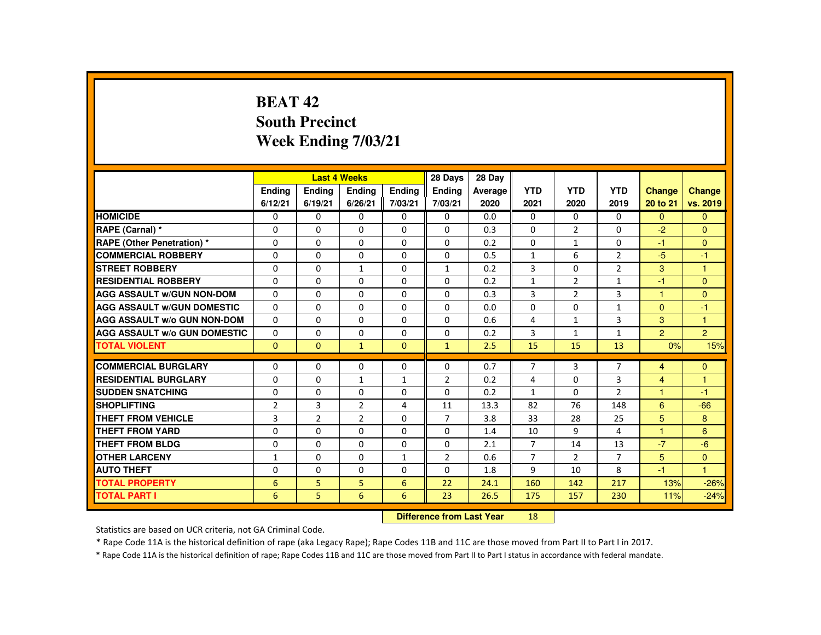# **BEAT 42 South PrecinctWeek Ending 7/03/21**

|                                     |                |                | <b>Last 4 Weeks</b> |               | 28 Days                   | 28 Day  |                |                |                |                |                |
|-------------------------------------|----------------|----------------|---------------------|---------------|---------------------------|---------|----------------|----------------|----------------|----------------|----------------|
|                                     | <b>Endina</b>  | <b>Endina</b>  | <b>Ending</b>       | <b>Endina</b> | <b>Endina</b>             | Average | <b>YTD</b>     | <b>YTD</b>     | <b>YTD</b>     | <b>Change</b>  | <b>Change</b>  |
|                                     | 6/12/21        | 6/19/21        | 6/26/21             | 7/03/21       | 7/03/21                   | 2020    | 2021           | 2020           | 2019           | 20 to 21       | vs. 2019       |
| <b>HOMICIDE</b>                     | $\Omega$       | $\mathbf{0}$   | 0                   | 0             | 0                         | 0.0     | 0              | 0              | $\Omega$       | $\mathbf{0}$   | $\mathbf{0}$   |
| RAPE (Carnal) *                     | $\Omega$       | $\Omega$       | $\Omega$            | $\Omega$      | $\Omega$                  | 0.3     | $\Omega$       | 2              | $\Omega$       | $-2$           | $\Omega$       |
| <b>RAPE (Other Penetration) *</b>   | 0              | $\mathbf{0}$   | $\Omega$            | 0             | 0                         | 0.2     | 0              | $\mathbf{1}$   | 0              | $-1$           | $\mathbf{0}$   |
| <b>COMMERCIAL ROBBERY</b>           | $\Omega$       | $\Omega$       | $\Omega$            | $\Omega$      | $\Omega$                  | 0.5     | $\mathbf{1}$   | 6              | $\overline{2}$ | $-5$           | $-1$           |
| <b>STREET ROBBERY</b>               | $\Omega$       | $\Omega$       | $\mathbf{1}$        | $\Omega$      | $\mathbf{1}$              | 0.2     | 3              | $\Omega$       | $\overline{2}$ | 3              | $\mathbf{1}$   |
| <b>RESIDENTIAL ROBBERY</b>          | $\Omega$       | $\Omega$       | $\Omega$            | $\Omega$      | $\Omega$                  | 0.2     | $\mathbf{1}$   | 2              | $\mathbf{1}$   | $-1$           | $\Omega$       |
| <b>AGG ASSAULT W/GUN NON-DOM</b>    | $\Omega$       | $\Omega$       | $\Omega$            | $\Omega$      | $\Omega$                  | 0.3     | 3              | $\overline{2}$ | 3              | $\mathbf{1}$   | $\Omega$       |
| <b>AGG ASSAULT W/GUN DOMESTIC</b>   | $\Omega$       | $\Omega$       | $\Omega$            | $\Omega$      | $\Omega$                  | 0.0     | $\Omega$       | $\Omega$       | $\mathbf{1}$   | $\mathbf{0}$   | $-1$           |
| <b>AGG ASSAULT W/o GUN NON-DOM</b>  | $\Omega$       | $\Omega$       | $\Omega$            | $\Omega$      | $\Omega$                  | 0.6     | 4              | $\mathbf{1}$   | 3              | 3              | $\mathbf{1}$   |
| <b>AGG ASSAULT W/o GUN DOMESTIC</b> | $\mathbf{0}$   | $\Omega$       | 0                   | 0             | 0                         | 0.2     | 3              | $\mathbf{1}$   | $\mathbf{1}$   | $\overline{2}$ | $\overline{2}$ |
| <b>TOTAL VIOLENT</b>                | $\Omega$       | $\Omega$       | $\mathbf{1}$        | $\Omega$      | $\mathbf{1}$              | 2.5     | 15             | 15             | 13             | 0%             | 15%            |
| <b>COMMERCIAL BURGLARY</b>          | $\Omega$       | $\Omega$       | $\Omega$            | $\Omega$      | $\Omega$                  | 0.7     | $\overline{7}$ | 3              | $\overline{7}$ | $\overline{4}$ | $\mathbf{0}$   |
| <b>RESIDENTIAL BURGLARY</b>         | $\Omega$       | $\Omega$       | 1                   | 1             | 2                         | 0.2     | 4              | $\Omega$       | 3              | $\overline{4}$ | 1              |
| <b>SUDDEN SNATCHING</b>             | $\Omega$       | $\Omega$       | $\Omega$            | $\Omega$      | $\Omega$                  | 0.2     | $\mathbf{1}$   | $\Omega$       | $\overline{2}$ | $\overline{1}$ | $-1$           |
| <b>SHOPLIFTING</b>                  | $\overline{2}$ | 3              | $\overline{2}$      | 4             | 11                        | 13.3    | 82             | 76             | 148            | 6              | $-66$          |
| THEFT FROM VEHICLE                  | 3              | $\overline{2}$ | $\overline{2}$      | $\Omega$      | $\overline{7}$            | 3.8     | 33             | 28             | 25             | 5              | 8              |
| <b>THEFT FROM YARD</b>              | $\Omega$       | $\Omega$       | $\Omega$            | $\Omega$      | $\Omega$                  | 1.4     | 10             | 9              | 4              | $\mathbf{1}$   | 6              |
| <b>THEFT FROM BLDG</b>              | 0              | $\Omega$       | $\Omega$            | $\Omega$      | $\Omega$                  | 2.1     | 7              | 14             | 13             | $-7$           | $-6$           |
| <b>OTHER LARCENY</b>                | $\mathbf{1}$   | $\Omega$       | $\Omega$            | $\mathbf{1}$  | $\overline{2}$            | 0.6     | $\overline{7}$ | $\overline{2}$ | $\overline{7}$ | 5              | $\mathbf{0}$   |
| <b>AUTO THEFT</b>                   | $\Omega$       | $\Omega$       | $\Omega$            | $\Omega$      | $\Omega$                  | 1.8     | 9              | 10             | 8              | $-1$           | $\mathbf{1}$   |
| <b>TOTAL PROPERTY</b>               | 6              | 5              | 5                   | 6             | 22                        | 24.1    | 160            | 142            | 217            | 13%            | $-26%$         |
| <b>TOTAL PART I</b>                 | 6              | 5              | 6                   | 6             | 23                        | 26.5    | 175            | 157            | 230            | 11%            | $-24%$         |
|                                     |                |                |                     |               | Difference from Loot Voor |         | 10             |                |                |                |                |

 **Difference from Last Year**<sup>18</sup>

Statistics are based on UCR criteria, not GA Criminal Code.

\* Rape Code 11A is the historical definition of rape (aka Legacy Rape); Rape Codes 11B and 11C are those moved from Part II to Part I in 2017.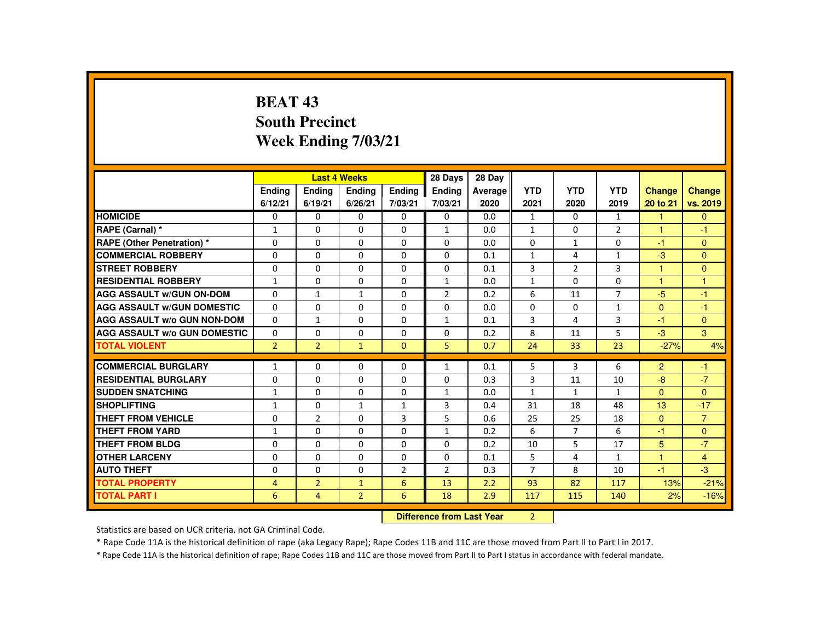# **BEAT 43 South PrecinctWeek Ending 7/03/21**

|                                     |                |                | <b>Last 4 Weeks</b>              |                | 28 Days        | 28 Day  |                |                |                |                |                |
|-------------------------------------|----------------|----------------|----------------------------------|----------------|----------------|---------|----------------|----------------|----------------|----------------|----------------|
|                                     | <b>Ending</b>  | <b>Ending</b>  | <b>Ending</b>                    | Ending         | Ending         | Average | <b>YTD</b>     | <b>YTD</b>     | <b>YTD</b>     | <b>Change</b>  | Change         |
|                                     | 6/12/21        | 6/19/21        | 6/26/21                          | 7/03/21        | 7/03/21        | 2020    | 2021           | 2020           | 2019           | 20 to 21       | vs. 2019       |
| <b>HOMICIDE</b>                     | $\Omega$       | $\Omega$       | 0                                | 0              | 0              | 0.0     | $\mathbf{1}$   | $\Omega$       | $\mathbf{1}$   | 1              | $\mathbf{0}$   |
| RAPE (Carnal) *                     | 1              | $\Omega$       | $\Omega$                         | $\Omega$       | $\mathbf{1}$   | 0.0     | $\mathbf{1}$   | $\Omega$       | $\overline{2}$ | -1             | -1             |
| <b>RAPE (Other Penetration)*</b>    | $\Omega$       | $\Omega$       | $\Omega$                         | $\Omega$       | $\Omega$       | 0.0     | $\Omega$       | $\mathbf{1}$   | $\Omega$       | $-1$           | $\Omega$       |
| <b>COMMERCIAL ROBBERY</b>           | $\Omega$       | $\Omega$       | $\Omega$                         | $\Omega$       | $\Omega$       | 0.1     | $\mathbf{1}$   | 4              | $\mathbf{1}$   | $-3$           | $\Omega$       |
| <b>STREET ROBBERY</b>               | 0              | $\Omega$       | $\Omega$                         | $\Omega$       | $\Omega$       | 0.1     | 3              | $\overline{2}$ | 3              |                | $\Omega$       |
| <b>RESIDENTIAL ROBBERY</b>          | 1              | $\Omega$       | $\Omega$                         | $\Omega$       | 1              | 0.0     | 1              | $\Omega$       | $\Omega$       | 1              | $\overline{1}$ |
| <b>AGG ASSAULT W/GUN ON-DOM</b>     | $\Omega$       | $\mathbf{1}$   | $\mathbf{1}$                     | $\Omega$       | 2              | 0.2     | 6              | 11             | $\overline{7}$ | $-5$           | $-1$           |
| <b>AGG ASSAULT W/GUN DOMESTIC</b>   | $\Omega$       | $\Omega$       | $\Omega$                         | $\Omega$       | $\Omega$       | 0.0     | $\Omega$       | $\Omega$       | $\mathbf{1}$   | $\Omega$       | $-1$           |
| <b>AGG ASSAULT W/o GUN NON-DOM</b>  | $\Omega$       | $\mathbf{1}$   | $\Omega$                         | 0              | $\mathbf{1}$   | 0.1     | 3              | 4              | 3              | $-1$           | $\mathbf{0}$   |
| <b>AGG ASSAULT w/o GUN DOMESTIC</b> | $\Omega$       | $\Omega$       | $\Omega$                         | $\Omega$       | $\Omega$       | 0.2     | 8              | 11             | 5              | $-3$           | 3              |
| <b>TOTAL VIOLENT</b>                | $\overline{2}$ | $\overline{2}$ | $\mathbf{1}$                     | $\Omega$       | 5              | 0.7     | 24             | 33             | 23             | $-27%$         | 4%             |
| <b>COMMERCIAL BURGLARY</b>          | $\mathbf{1}$   | $\Omega$       | $\Omega$                         | $\Omega$       | 1              | 0.1     | 5              | 3              | 6              | $\overline{2}$ | $-1$           |
| <b>RESIDENTIAL BURGLARY</b>         | $\Omega$       | $\Omega$       | $\Omega$                         | $\Omega$       | $\Omega$       | 0.3     | 3              | 11             | 10             | $-8$           | $-7$           |
| <b>SUDDEN SNATCHING</b>             | $\mathbf{1}$   | $\Omega$       | $\Omega$                         | $\Omega$       | $\mathbf{1}$   | 0.0     | $\mathbf{1}$   | $\mathbf{1}$   | $\mathbf{1}$   | $\Omega$       | $\Omega$       |
| <b>SHOPLIFTING</b>                  | $\mathbf{1}$   | $\mathbf{0}$   | 1                                | $\mathbf{1}$   | 3              | 0.4     | 31             | 18             | 48             | 13             | $-17$          |
| <b>THEFT FROM VEHICLE</b>           | $\Omega$       | $\overline{2}$ | $\Omega$                         | $\overline{3}$ | 5              | 0.6     | 25             | 25             | 18             | $\mathbf{0}$   | $\overline{7}$ |
| <b>THEFT FROM YARD</b>              | $\mathbf{1}$   | $\Omega$       | $\Omega$                         | $\Omega$       | $\mathbf{1}$   | 0.2     | 6              | $\overline{7}$ | 6              | $-1$           | $\Omega$       |
| <b>THEFT FROM BLDG</b>              | $\Omega$       | $\Omega$       | $\Omega$                         | $\Omega$       | $\Omega$       | 0.2     | 10             | 5              | 17             | 5              | $-7$           |
| <b>OTHER LARCENY</b>                | $\Omega$       | $\Omega$       | $\Omega$                         | $\Omega$       | $\Omega$       | 0.1     | 5              | $\overline{4}$ | $\mathbf{1}$   | 1              | $\overline{4}$ |
| <b>AUTO THEFT</b>                   | 0              | $\Omega$       | $\Omega$                         | $\overline{2}$ | $\overline{2}$ | 0.3     | $\overline{7}$ | 8              | 10             | $-1$           | $-3$           |
| <b>TOTAL PROPERTY</b>               | $\overline{4}$ | $\overline{2}$ | $\mathbf{1}$                     | 6              | 13             | 2.2     | 93             | 82             | 117            | 13%            | $-21%$         |
| <b>TOTAL PART I</b>                 | 6              | $\overline{4}$ | $\overline{2}$                   | 6              | 18             | 2.9     | 117            | 115            | 140            | 2%             | $-16%$         |
|                                     |                |                | <b>Difference from Last Year</b> |                | $\overline{2}$ |         |                |                |                |                |                |

 **Difference from Last Year**

Statistics are based on UCR criteria, not GA Criminal Code.

\* Rape Code 11A is the historical definition of rape (aka Legacy Rape); Rape Codes 11B and 11C are those moved from Part II to Part I in 2017.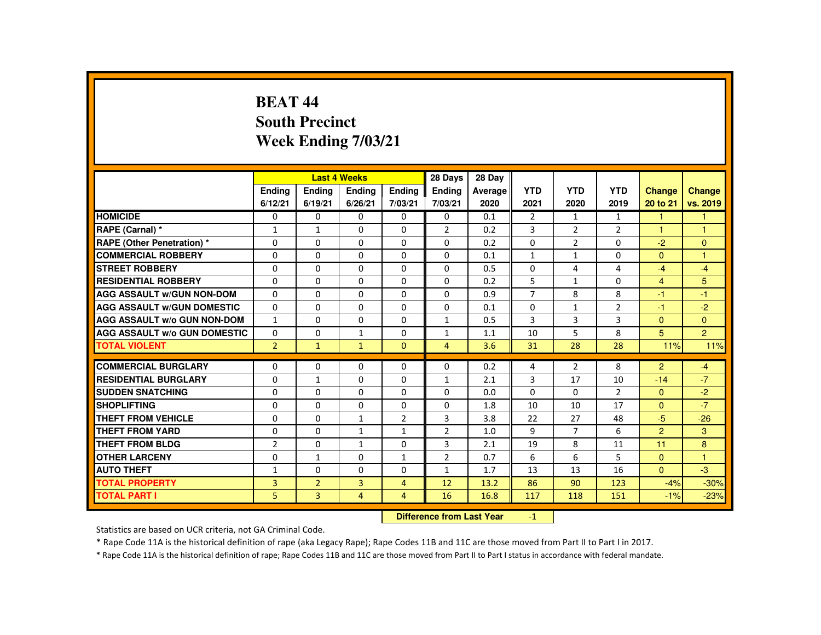## **BEAT 44 South PrecinctWeek Ending 7/03/21**

|                                     |                |                | <b>Last 4 Weeks</b> |                | 28 Days                   | 28 Day  |                |                |                |                |                |
|-------------------------------------|----------------|----------------|---------------------|----------------|---------------------------|---------|----------------|----------------|----------------|----------------|----------------|
|                                     | <b>Endina</b>  | Ending         | Ending              | <b>Endina</b>  | <b>Endina</b>             | Average | <b>YTD</b>     | <b>YTD</b>     | <b>YTD</b>     | <b>Change</b>  | Change         |
|                                     | 6/12/21        | 6/19/21        | 6/26/21             | 7/03/21        | 7/03/21                   | 2020    | 2021           | 2020           | 2019           | 20 to 21       | vs. 2019       |
| <b>HOMICIDE</b>                     | $\mathbf{0}$   | $\Omega$       | $\Omega$            | 0              | 0                         | 0.1     | $\overline{2}$ | 1              | $\mathbf{1}$   | 1              |                |
| RAPE (Carnal) *                     | $\mathbf{1}$   | $\mathbf{1}$   | $\Omega$            | $\Omega$       | $\overline{2}$            | 0.2     | 3              | $\overline{2}$ | $\overline{2}$ | 1              |                |
| RAPE (Other Penetration) *          | 0              | $\Omega$       | $\Omega$            | $\Omega$       | $\Omega$                  | 0.2     | $\Omega$       | 2              | $\Omega$       | $-2$           | $\mathbf{0}$   |
| <b>COMMERCIAL ROBBERY</b>           | $\Omega$       | $\Omega$       | $\Omega$            | $\Omega$       | $\Omega$                  | 0.1     | $\mathbf{1}$   | $\mathbf{1}$   | $\Omega$       | $\Omega$       | $\overline{1}$ |
| <b>STREET ROBBERY</b>               | $\Omega$       | $\Omega$       | $\Omega$            | $\Omega$       | $\Omega$                  | 0.5     | $\Omega$       | 4              | 4              | $-4$           | $-4$           |
| <b>RESIDENTIAL ROBBERY</b>          | 0              | 0              | 0                   | 0              | 0                         | 0.2     | 5              | $\mathbf{1}$   | 0              | $\overline{4}$ | 5              |
| <b>AGG ASSAULT w/GUN NON-DOM</b>    | $\Omega$       | $\Omega$       | $\Omega$            | $\Omega$       | $\Omega$                  | 0.9     | $\overline{7}$ | 8              | 8              | -1             | $-1$           |
| <b>AGG ASSAULT W/GUN DOMESTIC</b>   | $\Omega$       | $\Omega$       | $\Omega$            | $\Omega$       | $\Omega$                  | 0.1     | $\Omega$       | $\mathbf{1}$   | $\overline{2}$ | $-1$           | $-2$           |
| <b>AGG ASSAULT W/o GUN NON-DOM</b>  | $\mathbf{1}$   | $\Omega$       | $\Omega$            | $\Omega$       | $\mathbf{1}$              | 0.5     | 3              | $\overline{3}$ | 3              | $\Omega$       | $\Omega$       |
| <b>AGG ASSAULT W/o GUN DOMESTIC</b> | $\Omega$       | $\Omega$       | $\mathbf{1}$        | $\Omega$       | $\mathbf{1}$              | 1.1     | 10             | 5              | 8              | 5              | $\overline{2}$ |
| <b>TOTAL VIOLENT</b>                | $\overline{2}$ | $\mathbf{1}$   | $\mathbf{1}$        | $\Omega$       | $\overline{4}$            | 3.6     | 31             | 28             | 28             | 11%            | 11%            |
| <b>COMMERCIAL BURGLARY</b>          | $\Omega$       | $\Omega$       | $\Omega$            | $\Omega$       | $\Omega$                  | 0.2     | 4              | $\overline{2}$ | 8              | $\overline{2}$ | $-4$           |
| <b>RESIDENTIAL BURGLARY</b>         | $\Omega$       | $\mathbf{1}$   | 0                   | 0              | $\mathbf{1}$              | 2.1     | 3              | 17             | 10             | $-14$          | $-7$           |
| <b>SUDDEN SNATCHING</b>             | $\Omega$       | $\Omega$       | $\Omega$            | 0              | $\Omega$                  | 0.0     | $\Omega$       | $\Omega$       | $\overline{2}$ | $\mathbf{0}$   | $-2$           |
| <b>SHOPLIFTING</b>                  | $\Omega$       | $\Omega$       | $\Omega$            | $\Omega$       | $\Omega$                  | 1.8     | 10             | 10             | 17             | $\Omega$       | $-7$           |
| <b>THEFT FROM VEHICLE</b>           | $\Omega$       | $\Omega$       | $\mathbf{1}$        | $\overline{2}$ | 3                         | 3.8     | 22             | 27             | 48             | $-5$           | $-26$          |
| <b>THEFT FROM YARD</b>              | $\Omega$       | $\Omega$       | $\mathbf{1}$        | $\mathbf{1}$   | $\overline{2}$            | 1.0     | 9              | $\overline{7}$ | 6              | 2              | 3              |
| <b>THEFT FROM BLDG</b>              | $\overline{2}$ | $\Omega$       | $\mathbf{1}$        | $\Omega$       | 3                         | 2.1     | 19             | 8              | 11             | 11             | 8              |
| <b>OTHER LARCENY</b>                | $\Omega$       | $\mathbf{1}$   | $\Omega$            | $\mathbf{1}$   | $\overline{2}$            | 0.7     | 6              | 6              | 5              | $\Omega$       | $\overline{1}$ |
| <b>AUTO THEFT</b>                   | $\mathbf{1}$   | $\Omega$       | $\Omega$            | $\Omega$       | $\mathbf{1}$              | 1.7     | 13             | 13             | 16             | $\mathbf{0}$   | $-3$           |
| <b>TOTAL PROPERTY</b>               | $\overline{3}$ | $\overline{2}$ | $\overline{3}$      | $\overline{4}$ | 12                        | 13.2    | 86             | 90             | 123            | $-4%$          | $-30%$         |
| <b>TOTAL PART I</b>                 | 5              | 3              | 4                   | 4              | 16                        | 16.8    | 117            | 118            | 151            | $-1%$          | $-23%$         |
|                                     |                |                |                     |                | Difference from Leat Vacu |         | $\sim$         |                |                |                |                |

 **Difference from Last Year**r  $-1$ 

Statistics are based on UCR criteria, not GA Criminal Code.

\* Rape Code 11A is the historical definition of rape (aka Legacy Rape); Rape Codes 11B and 11C are those moved from Part II to Part I in 2017.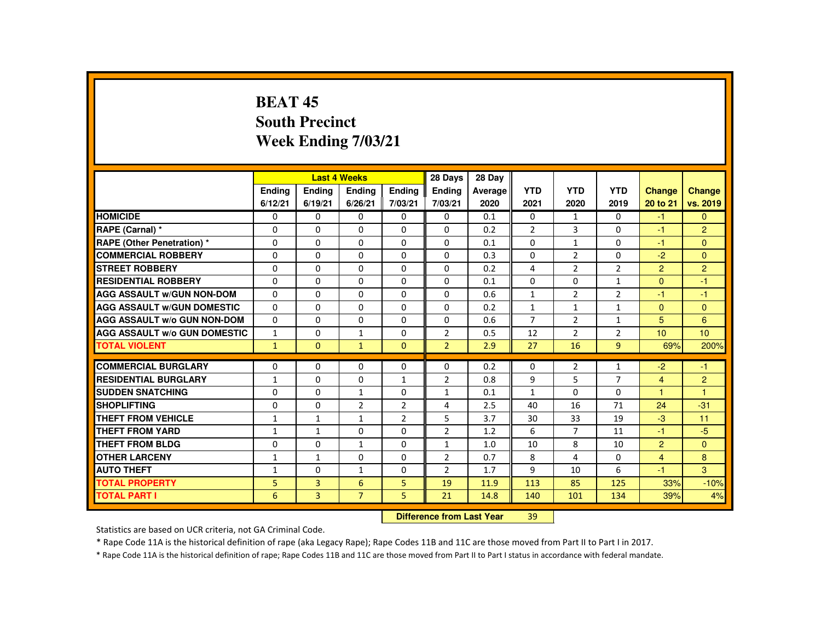# **BEAT 45 South PrecinctWeek Ending 7/03/21**

|                                     |               |                | <b>Last 4 Weeks</b> |                | 28 Days                   | 28 Day  |                |                |                |                |                  |
|-------------------------------------|---------------|----------------|---------------------|----------------|---------------------------|---------|----------------|----------------|----------------|----------------|------------------|
|                                     | <b>Endina</b> | <b>Ending</b>  | <b>Ending</b>       | Ending         | <b>Endina</b>             | Average | <b>YTD</b>     | <b>YTD</b>     | <b>YTD</b>     | <b>Change</b>  | <b>Change</b>    |
|                                     | 6/12/21       | 6/19/21        | 6/26/21             | 7/03/21        | 7/03/21                   | 2020    | 2021           | 2020           | 2019           | 20 to 21       | vs. 2019         |
| <b>HOMICIDE</b>                     | 0             | 0              | 0                   | 0              | 0                         | 0.1     | 0              | $\mathbf{1}$   | $\Omega$       | $-1$           | $\mathbf{0}$     |
| RAPE (Carnal) *                     | 0             | 0              | 0                   | 0              | 0                         | 0.2     | $\overline{2}$ | 3              | 0              | $-1$           | $\overline{2}$   |
| RAPE (Other Penetration) *          | $\Omega$      | $\Omega$       | $\Omega$            | $\Omega$       | $\Omega$                  | 0.1     | $\Omega$       | $\mathbf{1}$   | $\Omega$       | $-1$           | $\Omega$         |
| <b>COMMERCIAL ROBBERY</b>           | $\Omega$      | $\Omega$       | $\Omega$            | $\Omega$       | $\Omega$                  | 0.3     | $\Omega$       | 2              | $\Omega$       | $-2$           | $\Omega$         |
| <b>STREET ROBBERY</b>               | $\Omega$      | $\Omega$       | $\Omega$            | $\Omega$       | $\Omega$                  | 0.2     | 4              | $\overline{2}$ | $\overline{2}$ | $\overline{2}$ | $\overline{2}$   |
| <b>RESIDENTIAL ROBBERY</b>          | 0             | 0              | 0                   | 0              | 0                         | 0.1     | 0              | 0              | $\mathbf{1}$   | $\mathbf{0}$   | $-1$             |
| <b>AGG ASSAULT w/GUN NON-DOM</b>    | $\Omega$      | $\Omega$       | $\Omega$            | $\Omega$       | $\Omega$                  | 0.6     | $\mathbf{1}$   | 2              | $\overline{2}$ | -1             | $-1$             |
| <b>AGG ASSAULT W/GUN DOMESTIC</b>   | $\Omega$      | $\Omega$       | $\Omega$            | $\Omega$       | $\Omega$                  | 0.2     | $\mathbf{1}$   | $\mathbf{1}$   | $\mathbf{1}$   | $\Omega$       | $\mathbf{0}$     |
| <b>AGG ASSAULT W/o GUN NON-DOM</b>  | $\Omega$      | $\Omega$       | $\Omega$            | $\Omega$       | $\Omega$                  | 0.6     | $\overline{7}$ | $\overline{2}$ | $\mathbf{1}$   | 5              | 6                |
| <b>AGG ASSAULT W/o GUN DOMESTIC</b> | $\mathbf{1}$  | $\Omega$       | $\mathbf{1}$        | $\Omega$       | $\overline{2}$            | 0.5     | 12             | $\overline{2}$ | $\overline{2}$ | 10             | 10 <sup>10</sup> |
| <b>TOTAL VIOLENT</b>                | $\mathbf{1}$  | $\Omega$       | $\mathbf{1}$        | $\Omega$       | $\overline{2}$            | 2.9     | 27             | 16             | $\overline{9}$ | 69%            | 200%             |
| <b>COMMERCIAL BURGLARY</b>          | $\Omega$      | $\Omega$       | $\Omega$            | $\Omega$       | $\Omega$                  | 0.2     | $\Omega$       | $\overline{2}$ | $\mathbf{1}$   | $-2$           | $-1$             |
| <b>RESIDENTIAL BURGLARY</b>         | $\mathbf{1}$  | 0              | 0                   | $\mathbf{1}$   | 2                         | 0.8     | 9              | 5              | $\overline{7}$ | $\overline{4}$ | 2                |
| <b>SUDDEN SNATCHING</b>             | $\Omega$      | $\Omega$       | $\mathbf{1}$        | $\Omega$       | $\mathbf{1}$              | 0.1     | $\mathbf{1}$   | $\Omega$       | $\Omega$       | 1              |                  |
| <b>SHOPLIFTING</b>                  | $\Omega$      | $\Omega$       | $\overline{2}$      | $\overline{2}$ | 4                         | 2.5     | 40             | 16             | 71             | 24             | $-31$            |
| <b>THEFT FROM VEHICLE</b>           | $\mathbf{1}$  | $\mathbf{1}$   | $\mathbf{1}$        | $\overline{2}$ | 5                         | 3.7     | 30             | 33             | 19             | $-3$           | 11               |
| <b>THEFT FROM YARD</b>              | $\mathbf{1}$  | $\mathbf{1}$   | $\Omega$            | $\Omega$       | $\overline{2}$            | 1.2     | 6              | $\overline{7}$ | 11             | $-1$           | $-5$             |
| <b>THEFT FROM BLDG</b>              | 0             | $\Omega$       | $\mathbf{1}$        | $\Omega$       | $\mathbf{1}$              | 1.0     | 10             | 8              | 10             | $\overline{2}$ | $\Omega$         |
| <b>OTHER LARCENY</b>                | 1             | $\mathbf{1}$   | $\Omega$            | $\Omega$       | $\overline{2}$            | 0.7     | 8              | 4              | $\Omega$       | $\overline{4}$ | 8                |
| <b>AUTO THEFT</b>                   | $\mathbf{1}$  | 0              | $\mathbf{1}$        | 0              | $\overline{2}$            | 1.7     | 9              | 10             | 6              | $-1$           | 3                |
| <b>TOTAL PROPERTY</b>               | 5             | $\overline{3}$ | 6                   | 5              | 19                        | 11.9    | 113            | 85             | 125            | 33%            | $-10%$           |
| <b>TOTAL PART I</b>                 | 6             | 3              | $\overline{7}$      | 5              | 21                        | 14.8    | 140            | 101            | 134            | 39%            | 4%               |
|                                     |               |                |                     |                | Difference from Loot Voor |         | 20             |                |                |                |                  |

 **Difference from Last Year**<sup>39</sup>

Statistics are based on UCR criteria, not GA Criminal Code.

\* Rape Code 11A is the historical definition of rape (aka Legacy Rape); Rape Codes 11B and 11C are those moved from Part II to Part I in 2017.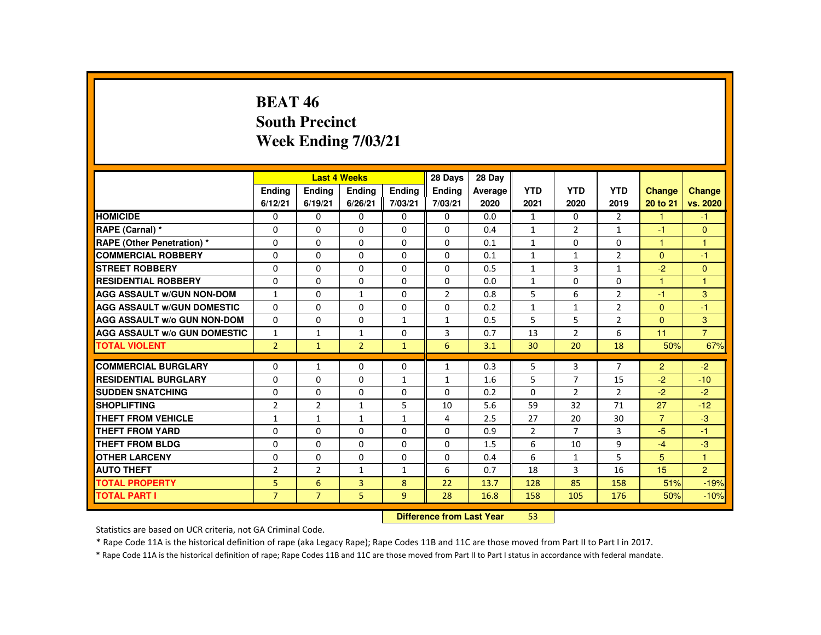### **BEAT 46 South PrecinctWeek Ending 7/03/21**

|                                     |                |                | <b>Last 4 Weeks</b> |                | 28 Days                   | 28 Day  |                |                |                |                |                |
|-------------------------------------|----------------|----------------|---------------------|----------------|---------------------------|---------|----------------|----------------|----------------|----------------|----------------|
|                                     | <b>Ending</b>  | <b>Endina</b>  | <b>Ending</b>       | <b>Endina</b>  | <b>Endina</b>             | Average | <b>YTD</b>     | <b>YTD</b>     | <b>YTD</b>     | <b>Change</b>  | Change         |
|                                     | 6/12/21        | 6/19/21        | 6/26/21             | 7/03/21        | 7/03/21                   | 2020    | 2021           | 2020           | 2019           | 20 to 21       | vs. 2020       |
| <b>HOMICIDE</b>                     | $\mathbf{0}$   | $\mathbf{0}$   | 0                   | 0              | 0                         | 0.0     | $\mathbf{1}$   | 0              | $\overline{2}$ | 1              | $-1$           |
| RAPE (Carnal) *                     | $\Omega$       | $\Omega$       | $\Omega$            | $\Omega$       | $\Omega$                  | 0.4     | $\mathbf{1}$   | 2              | $\mathbf{1}$   | $-1$           | $\Omega$       |
| <b>RAPE (Other Penetration) *</b>   | 0              | $\mathbf{0}$   | $\Omega$            | 0              | 0                         | 0.1     | $\mathbf{1}$   | 0              | 0              | 1              | $\mathbf{1}$   |
| <b>COMMERCIAL ROBBERY</b>           | $\Omega$       | $\Omega$       | $\Omega$            | $\Omega$       | $\Omega$                  | 0.1     | $\mathbf{1}$   | $\mathbf{1}$   | $\overline{2}$ | $\Omega$       | $-1$           |
| <b>STREET ROBBERY</b>               | $\Omega$       | $\Omega$       | $\Omega$            | $\Omega$       | $\Omega$                  | 0.5     | $\mathbf{1}$   | 3              | $\mathbf{1}$   | $-2$           | $\Omega$       |
| <b>RESIDENTIAL ROBBERY</b>          | $\Omega$       | $\Omega$       | $\Omega$            | $\Omega$       | $\Omega$                  | 0.0     | $\mathbf{1}$   | $\Omega$       | $\Omega$       | $\mathbf{1}$   | 1              |
| <b>AGG ASSAULT W/GUN NON-DOM</b>    | $\mathbf{1}$   | $\Omega$       | $\mathbf{1}$        | $\Omega$       | $\overline{2}$            | 0.8     | 5              | 6              | $\overline{2}$ | $-1$           | 3              |
| <b>AGG ASSAULT W/GUN DOMESTIC</b>   | $\Omega$       | $\Omega$       | $\Omega$            | $\Omega$       | 0                         | 0.2     | $\mathbf{1}$   | $\mathbf{1}$   | $\overline{2}$ | $\mathbf{0}$   | $-1$           |
| <b>AGG ASSAULT W/o GUN NON-DOM</b>  | $\Omega$       | $\Omega$       | $\Omega$            | $\mathbf{1}$   | $\mathbf{1}$              | 0.5     | 5              | 5              | $\overline{2}$ | $\Omega$       | 3              |
| <b>AGG ASSAULT W/o GUN DOMESTIC</b> | $\mathbf{1}$   | $\mathbf{1}$   | $\mathbf{1}$        | 0              | 3                         | 0.7     | 13             | $\overline{2}$ | 6              | 11             | $\overline{7}$ |
| <b>TOTAL VIOLENT</b>                | $\overline{2}$ | $\mathbf{1}$   | $\overline{2}$      | $\mathbf{1}$   | 6                         | 3.1     | 30             | 20             | 18             | 50%            | 67%            |
| <b>COMMERCIAL BURGLARY</b>          | $\Omega$       | $\mathbf{1}$   | $\Omega$            | $\Omega$       | 1                         | 0.3     | 5              | 3              | $\overline{7}$ | $\overline{2}$ | $-2$           |
| <b>RESIDENTIAL BURGLARY</b>         | $\Omega$       | $\Omega$       | $\Omega$            | 1              | 1                         | 1.6     | 5              | $\overline{7}$ | 15             | $-2$           | $-10$          |
| <b>SUDDEN SNATCHING</b>             | $\Omega$       | $\Omega$       | $\Omega$            | $\Omega$       | $\Omega$                  | 0.2     | $\Omega$       | 2              | $\overline{2}$ | $-2$           | $-2$           |
| <b>SHOPLIFTING</b>                  | $\overline{2}$ | $\overline{2}$ | $\mathbf{1}$        | 5              | 10                        | 5.6     | 59             | 32             | 71             | 27             | $-12$          |
| THEFT FROM VEHICLE                  | $\mathbf{1}$   | $\mathbf{1}$   | $\mathbf{1}$        | $\mathbf{1}$   | 4                         | 2.5     | 27             | 20             | 30             | $\overline{7}$ | $-3$           |
| <b>THEFT FROM YARD</b>              | $\Omega$       | $\Omega$       | $\Omega$            | $\Omega$       | $\Omega$                  | 0.9     | $\overline{2}$ | $\overline{7}$ | 3              | $-5$           | $-1$           |
| THEFT FROM BLDG                     | 0              | $\Omega$       | $\Omega$            | $\Omega$       | $\Omega$                  | 1.5     | 6              | 10             | 9              | $-4$           | $-3$           |
| <b>OTHER LARCENY</b>                | $\Omega$       | $\Omega$       | $\Omega$            | $\Omega$       | $\Omega$                  | 0.4     | 6              | $\mathbf{1}$   | 5              | 5              | $\mathbf{1}$   |
| <b>AUTO THEFT</b>                   | $\overline{2}$ | $\overline{2}$ | $\mathbf{1}$        | $\mathbf{1}$   | 6                         | 0.7     | 18             | 3              | 16             | 15             | $\overline{2}$ |
| <b>TOTAL PROPERTY</b>               | 5              | 6              | 3                   | 8              | 22                        | 13.7    | 128            | 85             | 158            | 51%            | $-19%$         |
| <b>TOTAL PART I</b>                 | $\overline{7}$ | $\overline{7}$ | 5                   | 9 <sup>°</sup> | 28                        | 16.8    | 158            | 105            | 176            | 50%            | $-10%$         |
|                                     |                |                |                     |                | Difference from Loot Voor |         | ED.            |                |                |                |                |

 **Difference from Last Year**<sup>53</sup>

Statistics are based on UCR criteria, not GA Criminal Code.

\* Rape Code 11A is the historical definition of rape (aka Legacy Rape); Rape Codes 11B and 11C are those moved from Part II to Part I in 2017.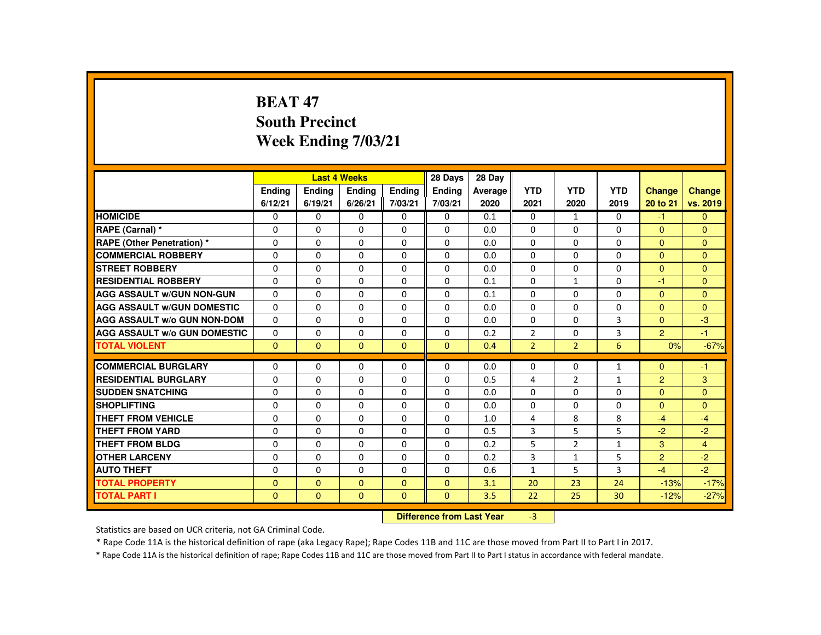# **BEAT 47 South PrecinctWeek Ending 7/03/21**

|                                     |              |              | <b>Last 4 Weeks</b> |               | 28 Days                   | 28 Day  |                |                |                |                |                |
|-------------------------------------|--------------|--------------|---------------------|---------------|---------------------------|---------|----------------|----------------|----------------|----------------|----------------|
|                                     | Ending       | Ending       | Ending              | <b>Endina</b> | Ending                    | Average | <b>YTD</b>     | <b>YTD</b>     | <b>YTD</b>     | Change         | <b>Change</b>  |
|                                     | 6/12/21      | 6/19/21      | 6/26/21             | 7/03/21       | 7/03/21                   | 2020    | 2021           | 2020           | 2019           | 20 to 21       | vs. 2019       |
| <b>HOMICIDE</b>                     | 0            | $\Omega$     | 0                   | $\mathbf{0}$  | 0                         | 0.1     | $\mathbf{0}$   | $\mathbf{1}$   | $\Omega$       | $-1$           | $\mathbf{0}$   |
| RAPE (Carnal) *                     | $\Omega$     | $\Omega$     | $\Omega$            | $\Omega$      | $\Omega$                  | 0.0     | $\Omega$       | $\Omega$       | $\Omega$       | $\Omega$       | $\mathbf{0}$   |
| <b>RAPE (Other Penetration) *</b>   | 0            | $\Omega$     | $\Omega$            | $\Omega$      | 0                         | 0.0     | $\Omega$       | $\Omega$       | $\Omega$       | $\Omega$       | $\mathbf{0}$   |
| <b>COMMERCIAL ROBBERY</b>           | $\Omega$     | $\Omega$     | $\Omega$            | $\Omega$      | $\Omega$                  | 0.0     | $\Omega$       | $\Omega$       | $\Omega$       | $\mathbf{0}$   | $\mathbf{0}$   |
| <b>STREET ROBBERY</b>               | $\Omega$     | $\Omega$     | $\Omega$            | $\Omega$      | $\Omega$                  | 0.0     | $\Omega$       | $\Omega$       | $\Omega$       | $\Omega$       | $\Omega$       |
| <b>RESIDENTIAL ROBBERY</b>          | 0            | $\mathbf{0}$ | 0                   | 0             | $\Omega$                  | 0.1     | 0              | $\mathbf{1}$   | 0              | $-1$           | $\mathbf{0}$   |
| <b>AGG ASSAULT W/GUN NON-GUN</b>    | $\Omega$     | $\Omega$     | $\Omega$            | $\Omega$      | $\Omega$                  | 0.1     | $\Omega$       | $\Omega$       | $\Omega$       | $\mathbf{0}$   | $\Omega$       |
| <b>AGG ASSAULT W/GUN DOMESTIC</b>   | $\Omega$     | $\Omega$     | $\Omega$            | $\Omega$      | $\Omega$                  | 0.0     | $\Omega$       | $\Omega$       | $\Omega$       | $\Omega$       | $\mathbf{0}$   |
| <b>AGG ASSAULT W/o GUN NON-DOM</b>  | $\Omega$     | $\Omega$     | $\Omega$            | $\Omega$      | $\Omega$                  | 0.0     | $\Omega$       | $\Omega$       | $\overline{3}$ | $\Omega$       | $-3$           |
| <b>AGG ASSAULT W/o GUN DOMESTIC</b> | $\Omega$     | $\Omega$     | $\Omega$            | $\Omega$      | $\Omega$                  | 0.2     | $\overline{2}$ | $\Omega$       | 3              | $\overline{2}$ | $-1$           |
| <b>TOTAL VIOLENT</b>                | $\mathbf{0}$ | $\mathbf{0}$ | $\Omega$            | $\Omega$      | $\Omega$                  | 0.4     | $\overline{2}$ | $\overline{2}$ | 6              | 0%             | $-67%$         |
| <b>COMMERCIAL BURGLARY</b>          | $\Omega$     | $\Omega$     | $\Omega$            | $\Omega$      | $\Omega$                  | 0.0     | $\Omega$       | 0              | $\mathbf{1}$   | $\Omega$       | $-1$           |
| <b>RESIDENTIAL BURGLARY</b>         | $\Omega$     | $\Omega$     | 0                   | 0             | 0                         | 0.5     | 4              | 2              | $\mathbf{1}$   | $\overline{2}$ | 3              |
| <b>SUDDEN SNATCHING</b>             | $\Omega$     | $\mathbf{0}$ | $\Omega$            | $\Omega$      | $\Omega$                  | 0.0     | $\Omega$       | $\Omega$       | $\Omega$       | $\Omega$       | $\Omega$       |
| <b>SHOPLIFTING</b>                  | $\Omega$     | $\Omega$     | $\Omega$            | $\Omega$      | $\Omega$                  | 0.0     | $\Omega$       | $\Omega$       | $\Omega$       | $\Omega$       | $\mathbf{0}$   |
| <b>THEFT FROM VEHICLE</b>           | $\Omega$     | $\Omega$     | $\Omega$            | $\Omega$      | $\Omega$                  | 1.0     | 4              | 8              | 8              | $-4$           | $-4$           |
| <b>THEFT FROM YARD</b>              | $\Omega$     | $\Omega$     | $\Omega$            | $\Omega$      | $\Omega$                  | 0.5     | 3              | 5              | 5              | $-2$           | $-2$           |
| THEFT FROM BLDG                     | 0            | $\Omega$     | 0                   | $\Omega$      | $\Omega$                  | 0.2     | 5              | $\overline{2}$ | $\mathbf{1}$   | 3              | $\overline{4}$ |
| <b>OTHER LARCENY</b>                | $\Omega$     | $\Omega$     | $\Omega$            | $\Omega$      | $\Omega$                  | 0.2     | 3              | $\mathbf{1}$   | 5              | $\overline{2}$ | $-2$           |
| <b>AUTO THEFT</b>                   | $\Omega$     | $\Omega$     | $\Omega$            | $\Omega$      | $\Omega$                  | 0.6     | $\mathbf{1}$   | 5              | 3              | $-4$           | $-2$           |
| <b>TOTAL PROPERTY</b>               | $\Omega$     | $\Omega$     | $\Omega$            | $\Omega$      | $\Omega$                  | 3.1     | 20             | 23             | 24             | $-13%$         | $-17%$         |
| <b>TOTAL PART I</b>                 | $\mathbf{0}$ | $\Omega$     | $\mathbf{0}$        | $\mathbf{0}$  | $\mathbf{0}$              | 3.5     | 22             | 25             | 30             | $-12%$         | $-27%$         |
|                                     |              |              |                     |               | Difference from Load Vacu |         | $\sim$         |                |                |                |                |

 **Difference from Last Year**r -3

Statistics are based on UCR criteria, not GA Criminal Code.

\* Rape Code 11A is the historical definition of rape (aka Legacy Rape); Rape Codes 11B and 11C are those moved from Part II to Part I in 2017.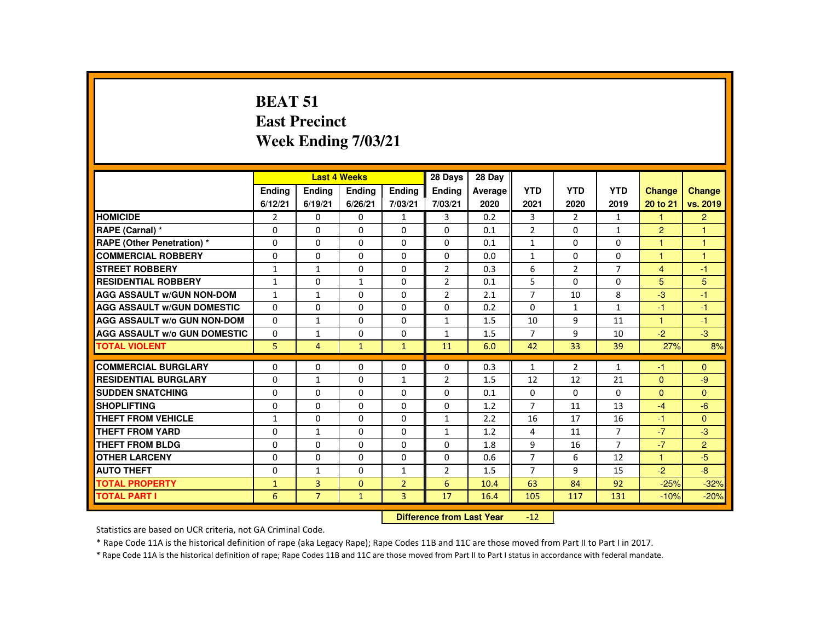# **BEAT 51 East PrecinctWeek Ending 7/03/21**

|                                     |                   |                   | <b>Last 4 Weeks</b>              |                   | 28 Days                  | 28 Day          |                    |                    |                    |                           |                           |
|-------------------------------------|-------------------|-------------------|----------------------------------|-------------------|--------------------------|-----------------|--------------------|--------------------|--------------------|---------------------------|---------------------------|
|                                     | Ending<br>6/12/21 | Ending<br>6/19/21 | Ending<br>6/26/21                | Ending<br>7/03/21 | <b>Ending</b><br>7/03/21 | Average<br>2020 | <b>YTD</b><br>2021 | <b>YTD</b><br>2020 | <b>YTD</b><br>2019 | <b>Change</b><br>20 to 21 | <b>Change</b><br>vs. 2019 |
| <b>HOMICIDE</b>                     | $\overline{2}$    | 0                 | 0                                | $\mathbf{1}$      | 3                        | 0.2             | 3                  | $\overline{2}$     | $\mathbf{1}$       | 1                         | $\overline{2}$            |
| RAPE (Carnal) *                     | $\Omega$          | $\Omega$          | $\Omega$                         | $\Omega$          | $\Omega$                 | 0.1             | $\overline{2}$     | $\Omega$           | 1                  | $\overline{2}$            | 1                         |
| <b>RAPE (Other Penetration) *</b>   | 0                 | $\Omega$          | $\Omega$                         | $\Omega$          | $\Omega$                 | 0.1             | $\mathbf{1}$       | $\Omega$           | $\Omega$           | 1                         | $\overline{1}$            |
| <b>COMMERCIAL ROBBERY</b>           | $\Omega$          | $\Omega$          | $\Omega$                         | $\Omega$          | $\Omega$                 | 0.0             | $\mathbf{1}$       | $\Omega$           | $\Omega$           | $\overline{1}$            | $\overline{1}$            |
| <b>STREET ROBBERY</b>               | $\mathbf{1}$      | $\mathbf{1}$      | $\Omega$                         | $\Omega$          | $\overline{2}$           | 0.3             | 6                  | $\overline{2}$     | $\overline{7}$     | $\overline{4}$            | $-1$                      |
| <b>RESIDENTIAL ROBBERY</b>          | $\mathbf{1}$      | $\Omega$          | $\mathbf{1}$                     | $\Omega$          | $\overline{2}$           | 0.1             | 5                  | $\Omega$           | $\Omega$           | 5                         | 5                         |
| <b>AGG ASSAULT W/GUN NON-DOM</b>    | $\mathbf{1}$      | $\mathbf{1}$      | $\Omega$                         | $\Omega$          | $\overline{2}$           | 2.1             | $\overline{7}$     | 10                 | 8                  | $-3$                      | $-1$                      |
| <b>AGG ASSAULT W/GUN DOMESTIC</b>   | $\Omega$          | $\Omega$          | $\Omega$                         | $\Omega$          | $\Omega$                 | 0.2             | $\Omega$           | $\mathbf{1}$       | $\mathbf{1}$       | $-1$                      | $-1$                      |
| <b>AGG ASSAULT W/o GUN NON-DOM</b>  | $\Omega$          | $\mathbf{1}$      | $\Omega$                         | $\Omega$          | $\mathbf{1}$             | 1.5             | 10                 | 9                  | 11                 | ◆                         | $-1$                      |
| <b>AGG ASSAULT W/o GUN DOMESTIC</b> | $\Omega$          | $\mathbf{1}$      | $\Omega$                         | $\Omega$          | $\mathbf{1}$             | 1.5             | $\overline{7}$     | 9                  | 10                 | $-2$                      | $-3$                      |
| <b>TOTAL VIOLENT</b>                | 5                 | $\overline{4}$    | $\mathbf{1}$                     | $\mathbf{1}$      | 11                       | 6.0             | 42                 | 33                 | 39                 | 27%                       | 8%                        |
| <b>COMMERCIAL BURGLARY</b>          | $\Omega$          | $\Omega$          | $\Omega$                         | $\Omega$          | $\Omega$                 | 0.3             | $\mathbf{1}$       | $\overline{2}$     | $\mathbf{1}$       | $-1$                      | $\Omega$                  |
| <b>RESIDENTIAL BURGLARY</b>         | $\Omega$          | $\mathbf{1}$      | $\Omega$                         | $\mathbf{1}$      | $\overline{2}$           | 1.5             | 12                 | 12                 | 21                 | $\Omega$                  | $-9$                      |
| <b>SUDDEN SNATCHING</b>             | $\Omega$          | $\Omega$          | $\Omega$                         | $\Omega$          | $\Omega$                 | 0.1             | $\Omega$           | $\Omega$           | $\Omega$           | $\Omega$                  | $\Omega$                  |
| <b>SHOPLIFTING</b>                  | $\Omega$          | $\Omega$          | $\Omega$                         | $\Omega$          | $\Omega$                 | 1.2             | $\overline{7}$     | 11                 | 13                 | $-4$                      | $-6$                      |
| <b>THEFT FROM VEHICLE</b>           | $\mathbf{1}$      | $\Omega$          | $\Omega$                         | $\Omega$          | $\mathbf{1}$             | 2.2             | 16                 | 17                 | 16                 | $-1$                      | $\Omega$                  |
| <b>THEFT FROM YARD</b>              | $\Omega$          | $\mathbf{1}$      | $\Omega$                         | $\Omega$          | $\mathbf{1}$             | 1.2             | 4                  | 11                 | $\overline{7}$     | $-7$                      | $-3$                      |
| <b>THEFT FROM BLDG</b>              | $\Omega$          | 0                 | $\Omega$                         | 0                 | 0                        | 1.8             | 9                  | 16                 | $\overline{7}$     | $-7$                      | $\overline{2}$            |
| <b>OTHER LARCENY</b>                | 0                 | 0                 | 0                                | 0                 | 0                        | 0.6             | $\overline{7}$     | 6                  | 12                 | $\overline{1}$            | $-5$                      |
| <b>AUTO THEFT</b>                   | $\Omega$          | $\mathbf{1}$      | $\Omega$                         | $\mathbf{1}$      | $\overline{2}$           | 1.5             | $\overline{7}$     | 9                  | 15                 | $-2$                      | $-8$                      |
| <b>TOTAL PROPERTY</b>               | $\mathbf{1}$      | $\overline{3}$    | $\Omega$                         | $\overline{2}$    | 6                        | 10.4            | 63                 | 84                 | 92                 | $-25%$                    | $-32%$                    |
| <b>TOTAL PART I</b>                 | 6                 | $\overline{7}$    | $\mathbf{1}$                     | 3                 | 17                       | 16.4            | 105                | 117                | 131                | $-10%$                    | $-20%$                    |
|                                     |                   |                   | <b>Difference from Last Year</b> |                   | $-12$                    |                 |                    |                    |                    |                           |                           |

Statistics are based on UCR criteria, not GA Criminal Code.

\* Rape Code 11A is the historical definition of rape (aka Legacy Rape); Rape Codes 11B and 11C are those moved from Part II to Part I in 2017.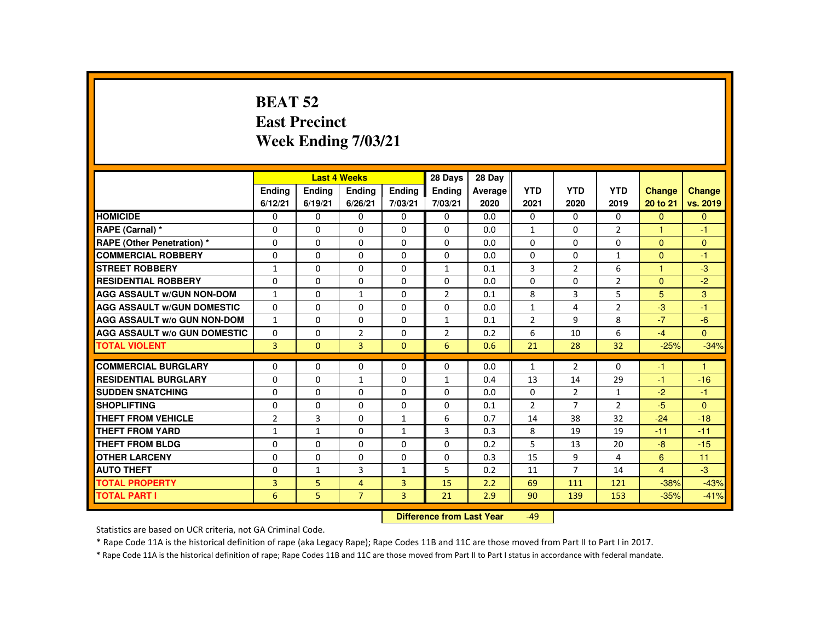# **BEAT 52 East PrecinctWeek Ending 7/03/21**

|                                     |                      |                                                                                                                                                                                                                                | <b>Last 4 Weeks</b>      |               | 28 Days        | 28 Day     |                     |                                  |                                |                |                  |
|-------------------------------------|----------------------|--------------------------------------------------------------------------------------------------------------------------------------------------------------------------------------------------------------------------------|--------------------------|---------------|----------------|------------|---------------------|----------------------------------|--------------------------------|----------------|------------------|
|                                     | <b>Endina</b>        | <b>Ending</b>                                                                                                                                                                                                                  | <b>Ending</b>            | <b>Ending</b> | Ending         | Average    | <b>YTD</b>          | <b>YTD</b>                       | <b>YTD</b>                     | <b>Change</b>  | <b>Change</b>    |
|                                     | 6/12/21              | 6/19/21                                                                                                                                                                                                                        | 6/26/21                  | 7/03/21       | 7/03/21        | 2020       | 2021                | 2020                             | 2019                           | 20 to 21       | vs. 2019         |
| <b>HOMICIDE</b>                     | 0                    | 0                                                                                                                                                                                                                              | 0                        | 0             | 0              | 0.0        | 0                   | $\Omega$                         | $\mathbf{0}$                   | $\Omega$       | $\Omega$         |
| RAPE (Carnal) *                     | 0                    | 0                                                                                                                                                                                                                              | $\Omega$                 | $\Omega$      | $\Omega$       | 0.0        | $\mathbf{1}$        | 0                                | $\overline{2}$                 | 1              | $-1$             |
| <b>RAPE (Other Penetration) *</b>   | $\Omega$             | $\Omega$                                                                                                                                                                                                                       | $\Omega$                 | $\Omega$      | $\Omega$       | 0.0        | $\Omega$            | $\Omega$                         | $\Omega$                       | $\Omega$       | $\Omega$         |
| <b>COMMERCIAL ROBBERY</b>           | $\Omega$             | $\Omega$                                                                                                                                                                                                                       | $\Omega$                 | $\Omega$      | $\Omega$       | 0.0        | $\Omega$            | $\Omega$                         | $\mathbf{1}$                   | $\Omega$       | $-1$             |
| <b>STREET ROBBERY</b>               | $\mathbf{1}$         | $\Omega$                                                                                                                                                                                                                       | $\Omega$                 | $\Omega$      | $\mathbf{1}$   | 0.1        | 3                   | $\overline{2}$                   | 6                              | $\overline{1}$ | $-3$             |
| <b>RESIDENTIAL ROBBERY</b>          | $\Omega$             | 0                                                                                                                                                                                                                              | $\Omega$                 | 0             | 0              | 0.0        | $\Omega$            | 0                                | $\overline{2}$                 | $\Omega$       | $-2$             |
| <b>AGG ASSAULT w/GUN NON-DOM</b>    | $\mathbf{1}$         | 0                                                                                                                                                                                                                              | $\mathbf{1}$             | 0             | $\overline{2}$ | 0.1        | 8                   | 3                                | 5                              | 5              | 3                |
| <b>AGG ASSAULT W/GUN DOMESTIC</b>   | $\Omega$             | $\Omega$                                                                                                                                                                                                                       | $\Omega$                 | $\Omega$      | $\Omega$       | 0.0        | $\mathbf{1}$        | 4                                | $\overline{2}$                 | $-3$           | $-1$             |
| <b>AGG ASSAULT W/o GUN NON-DOM</b>  | $\mathbf{1}$         | $\Omega$                                                                                                                                                                                                                       | $\Omega$                 | $\Omega$      | $\mathbf{1}$   | 0.1        | $\overline{2}$      | 9                                | 8                              | $-7$           | $-6$             |
| <b>AGG ASSAULT W/o GUN DOMESTIC</b> | $\Omega$             | $\Omega$                                                                                                                                                                                                                       | $\overline{2}$           | $\Omega$      | $\overline{2}$ | 0.2        | 6                   | 10                               | 6                              | $-4$           | $\Omega$         |
| <b>TOTAL VIOLENT</b>                | 3                    | $\mathbf{0}$                                                                                                                                                                                                                   | 3                        | $\mathbf{0}$  | 6              | 0.6        | 21                  | 28                               | 32                             | $-25%$         | $-34%$           |
| <b>COMMERCIAL BURGLARY</b>          | 0                    | $\Omega$                                                                                                                                                                                                                       | $\Omega$                 | $\Omega$      | $\Omega$       | 0.0        | $\mathbf{1}$        | $\overline{2}$                   | $\Omega$                       | -1             | $\overline{1}$   |
| <b>RESIDENTIAL BURGLARY</b>         | $\Omega$             | $\Omega$                                                                                                                                                                                                                       |                          | $\Omega$      | $\mathbf{1}$   | 0.4        | 13                  | 14                               | 29                             | $-1$           | $-16$            |
| <b>SUDDEN SNATCHING</b>             |                      |                                                                                                                                                                                                                                | $\mathbf{1}$<br>$\Omega$ |               |                |            |                     |                                  |                                |                |                  |
| <b>SHOPLIFTING</b>                  | $\Omega$<br>$\Omega$ | 0<br>$\Omega$                                                                                                                                                                                                                  | $\Omega$                 | 0<br>$\Omega$ | 0<br>$\Omega$  | 0.0<br>0.1 | 0<br>$\overline{2}$ | $\overline{2}$<br>$\overline{7}$ | $\mathbf{1}$<br>$\overline{2}$ | $-2$<br>$-5$   | $-1$<br>$\Omega$ |
| <b>THEFT FROM VEHICLE</b>           | $\overline{2}$       | 3                                                                                                                                                                                                                              | $\Omega$                 |               | 6              | 0.7        |                     | 38                               | 32                             | $-24$          | $-18$            |
|                                     |                      |                                                                                                                                                                                                                                |                          | $\mathbf{1}$  |                |            | 14                  |                                  |                                |                |                  |
| <b>THEFT FROM YARD</b>              | $\mathbf{1}$         | $\mathbf{1}$                                                                                                                                                                                                                   | $\Omega$                 | $\mathbf{1}$  | 3              | 0.3        | 8                   | 19                               | 19                             | $-11$          | $-11$            |
| <b>THEFT FROM BLDG</b>              | $\Omega$             | $\Omega$                                                                                                                                                                                                                       | $\Omega$                 | $\Omega$      | $\Omega$       | 0.2        | 5                   | 13                               | 20                             | $-8$           | $-15$            |
| <b>OTHER LARCENY</b>                | $\Omega$             | $\Omega$                                                                                                                                                                                                                       | $\Omega$                 | $\Omega$      | $\Omega$       | 0.3        | 15                  | 9                                | 4                              | 6              | 11               |
| <b>AUTO THEFT</b>                   | $\Omega$             | $\mathbf{1}$                                                                                                                                                                                                                   | 3                        | $\mathbf{1}$  | 5              | 0.2        | 11                  | $\overline{7}$                   | 14                             | $\overline{4}$ | $-3$             |
| <b>TOTAL PROPERTY</b>               | $\overline{3}$       | 5                                                                                                                                                                                                                              | $\overline{4}$           | 3             | 15             | 2.2        | 69                  | 111                              | 121                            | $-38%$         | $-43%$           |
| <b>TOTAL PART I</b>                 | 6                    | 5                                                                                                                                                                                                                              | $\overline{7}$           | 3             | 21             | 2.9        | 90                  | 139                              | 153                            | $-35%$         | $-41%$           |
|                                     | <b>CONTRACTOR</b>    | and the company of the company of the company of the company of the company of the company of the company of the company of the company of the company of the company of the company of the company of the company of the comp |                          | $\sim$        |                |            |                     |                                  |                                |                |                  |

 **Difference from Last Year**-49

Statistics are based on UCR criteria, not GA Criminal Code.

\* Rape Code 11A is the historical definition of rape (aka Legacy Rape); Rape Codes 11B and 11C are those moved from Part II to Part I in 2017.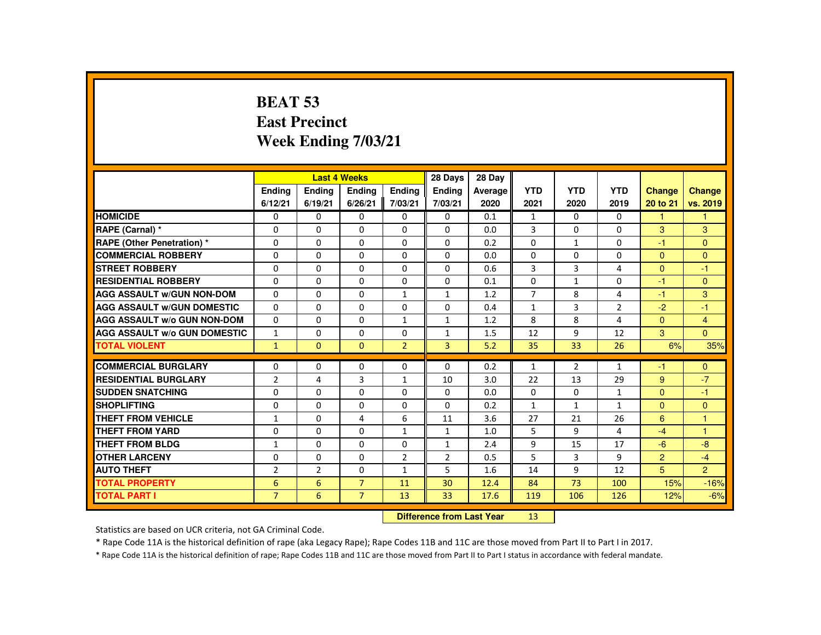# **BEAT 53 East PrecinctWeek Ending 7/03/21**

|                                     |                            |                | <b>Last 4 Weeks</b> |                | 28 Days                      | 28 Day     |                  |                |                              |                |                |
|-------------------------------------|----------------------------|----------------|---------------------|----------------|------------------------------|------------|------------------|----------------|------------------------------|----------------|----------------|
|                                     | Ending                     | Ending         | Ending              | Ending         | <b>Endina</b>                | Average    | <b>YTD</b>       | <b>YTD</b>     | <b>YTD</b>                   | <b>Change</b>  | Change         |
|                                     | 6/12/21                    | 6/19/21        | 6/26/21             | 7/03/21        | 7/03/21                      | 2020       | 2021             | 2020           | 2019                         | 20 to 21       | vs. 2019       |
| <b>HOMICIDE</b>                     | $\Omega$                   | $\Omega$       | $\Omega$            | $\Omega$       | 0                            | 0.1        | $\mathbf{1}$     | $\Omega$       | $\Omega$                     | $\mathbf{1}$   |                |
| RAPE (Carnal) *                     | $\Omega$                   | $\Omega$       | $\Omega$            | $\Omega$       | $\Omega$                     | 0.0        | 3                | $\Omega$       | $\Omega$                     | 3              | 3              |
| RAPE (Other Penetration) *          | 0                          | $\Omega$       | $\Omega$            | $\Omega$       | 0                            | 0.2        | 0                | $\mathbf{1}$   | $\Omega$                     | $-1$           | $\mathbf{0}$   |
| <b>COMMERCIAL ROBBERY</b>           | $\Omega$                   | $\Omega$       | $\Omega$            | $\Omega$       | $\Omega$                     | 0.0        | $\Omega$         | $\Omega$       | $\Omega$                     | $\Omega$       | $\Omega$       |
| <b>STREET ROBBERY</b>               | $\Omega$                   | $\Omega$       | $\Omega$            | $\Omega$       | $\Omega$                     | 0.6        | 3                | $\overline{3}$ | 4                            | $\Omega$       | $-1$           |
| <b>RESIDENTIAL ROBBERY</b>          | $\mathbf{0}$               | $\Omega$       | $\mathbf{0}$        | $\mathbf{0}$   | 0                            | 0.1        | $\Omega$         | 1              | 0                            | -1             | $\mathbf{0}$   |
| <b>AGG ASSAULT W/GUN NON-DOM</b>    | $\Omega$                   | $\Omega$       | $\Omega$            | $\mathbf{1}$   | $\mathbf{1}$                 | 1.2        | $\overline{7}$   | 8              | 4                            | $-1$           | 3              |
| <b>AGG ASSAULT W/GUN DOMESTIC</b>   | $\Omega$                   | $\Omega$       | $\Omega$            | $\Omega$       | $\Omega$                     | 0.4        | $\mathbf{1}$     | $\overline{3}$ | $\overline{2}$               | $-2$           | $-1$           |
| <b>AGG ASSAULT W/o GUN NON-DOM</b>  | $\Omega$                   | $\Omega$       | $\Omega$            | $\mathbf{1}$   | $\mathbf{1}$                 | 1.2        | 8                | 8              | 4                            | $\mathbf{0}$   | $\overline{4}$ |
| <b>AGG ASSAULT W/o GUN DOMESTIC</b> | $\mathbf{1}$               | $\Omega$       | $\Omega$            | $\Omega$       | $\mathbf{1}$                 | 1.5        | 12               | 9              | 12                           | 3              | $\Omega$       |
| <b>TOTAL VIOLENT</b>                | $\mathbf{1}$               | $\mathbf{0}$   | $\Omega$            | 2 <sup>1</sup> | $\overline{3}$               | 5.2        | 35               | 33             | 26                           | 6%             | 35%            |
| <b>COMMERCIAL BURGLARY</b>          | $\Omega$                   | $\Omega$       | $\Omega$            | $\Omega$       | $\Omega$                     | 0.2        | $\mathbf{1}$     | $\overline{2}$ | $\mathbf{1}$                 | $-1$           | $\Omega$       |
| <b>RESIDENTIAL BURGLARY</b>         |                            | 4              | 3                   | $\mathbf{1}$   | 10                           | 3.0        | 22               | 13             | 29                           | 9              | $-7$           |
| <b>SUDDEN SNATCHING</b>             | $\overline{2}$<br>$\Omega$ | $\Omega$       | $\Omega$            | $\Omega$       | $\Omega$                     | 0.0        | $\Omega$         | $\Omega$       |                              | $\Omega$       | $-1$           |
| <b>SHOPLIFTING</b>                  | $\Omega$                   | $\Omega$       | $\Omega$            | $\Omega$       | $\Omega$                     | 0.2        | $\mathbf{1}$     | $\mathbf{1}$   | $\mathbf{1}$<br>$\mathbf{1}$ | $\Omega$       | $\mathbf{0}$   |
| <b>THEFT FROM VEHICLE</b>           | $\mathbf{1}$               | $\Omega$       | 4                   | 6              | 11                           | 3.6        | 27               | 21             | 26                           | 6              | $\mathbf{1}$   |
| <b>THEFT FROM YARD</b>              | $\Omega$                   | $\Omega$       | $\Omega$            | $\mathbf{1}$   |                              |            | 5                | 9              | 4                            | $-4$           | $\mathbf{1}$   |
| <b>THEFT FROM BLDG</b>              |                            | $\Omega$       | $\Omega$            | $\Omega$       | $\mathbf{1}$<br>$\mathbf{1}$ | 1.0        | 9                | 15             | 17                           | $-6$           | $-8$           |
| <b>OTHER LARCENY</b>                | $\mathbf{1}$<br>$\Omega$   | $\Omega$       | $\Omega$            | $\overline{2}$ | $\overline{2}$               | 2.4<br>0.5 | 5                | 3              | 9                            | $\overline{2}$ | $-4$           |
|                                     |                            |                |                     |                |                              |            |                  |                |                              |                |                |
| <b>AUTO THEFT</b>                   | $\overline{2}$             | $\overline{2}$ | $\Omega$            | $\mathbf{1}$   | 5                            | 1.6        | 14               | 9              | 12                           | 5              | $\overline{2}$ |
| <b>TOTAL PROPERTY</b>               | 6                          | 6              | $\overline{7}$      | 11             | 30                           | 12.4       | 84               | 73             | 100                          | 15%            | $-16%$         |
| <b>TOTAL PART I</b>                 | $\overline{7}$             | 6              | $\overline{7}$      | 13             | 33                           | 17.6       | 119              | 106            | 126                          | 12%            | $-6%$          |
|                                     |                            |                |                     |                | Difference from Leat Vacu    |            | 4.2 <sub>1</sub> |                |                              |                |                |

 **Difference from Last Year**<sup>13</sup>

Statistics are based on UCR criteria, not GA Criminal Code.

\* Rape Code 11A is the historical definition of rape (aka Legacy Rape); Rape Codes 11B and 11C are those moved from Part II to Part I in 2017.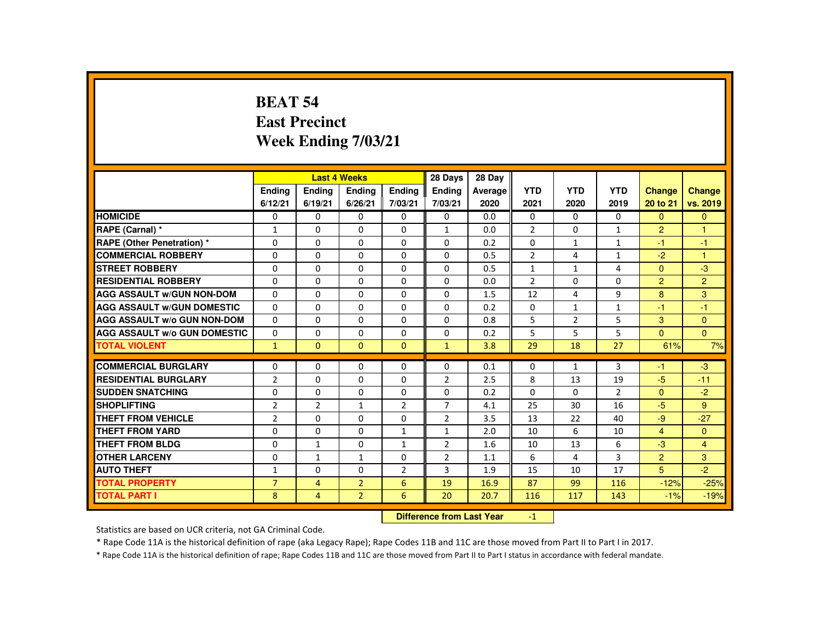### **BEAT 54 East PrecinctWeek Ending 7/03/21**

|                                     |                |                | <b>Last 4 Weeks</b> |                | 28 Days        | 28 Day  |                |                |                |                |                |
|-------------------------------------|----------------|----------------|---------------------|----------------|----------------|---------|----------------|----------------|----------------|----------------|----------------|
|                                     | <b>Endina</b>  | <b>Ending</b>  | <b>Ending</b>       | Ending         | <b>Endina</b>  | Average | <b>YTD</b>     | <b>YTD</b>     | <b>YTD</b>     | <b>Change</b>  | <b>Change</b>  |
|                                     | 6/12/21        | 6/19/21        | 6/26/21             | 7/03/21        | 7/03/21        | 2020    | 2021           | 2020           | 2019           | 20 to 21       | vs. 2019       |
| <b>HOMICIDE</b>                     | $\Omega$       | $\Omega$       | $\Omega$            | 0              | $\Omega$       | 0.0     | $\Omega$       | $\Omega$       | $\Omega$       | $\Omega$       | $\overline{0}$ |
| RAPE (Carnal) *                     | $\mathbf{1}$   | $\Omega$       | $\Omega$            | $\Omega$       | 1              | 0.0     | $\overline{2}$ | $\Omega$       | $\mathbf{1}$   | $\overline{2}$ | $\mathbf{1}$   |
| <b>RAPE (Other Penetration) *</b>   | 0              | $\Omega$       | $\Omega$            | $\Omega$       | $\Omega$       | 0.2     | $\Omega$       | $\mathbf{1}$   | $\mathbf{1}$   | $-1$           | $-1$           |
| <b>COMMERCIAL ROBBERY</b>           | $\Omega$       | $\Omega$       | $\Omega$            | $\Omega$       | $\Omega$       | 0.5     | $\overline{2}$ | 4              | $\mathbf{1}$   | $-2$           | $\overline{1}$ |
| <b>STREET ROBBERY</b>               | $\Omega$       | $\Omega$       | $\Omega$            | $\Omega$       | $\Omega$       | 0.5     | $\mathbf{1}$   | $\mathbf{1}$   | 4              | $\Omega$       | $-3$           |
| <b>RESIDENTIAL ROBBERY</b>          | 0              | 0              | 0                   | 0              | 0              | 0.0     | $\overline{2}$ | 0              | 0              | $\overline{2}$ | $\overline{2}$ |
| <b>AGG ASSAULT W/GUN NON-DOM</b>    | $\Omega$       | $\Omega$       | $\Omega$            | $\Omega$       | $\Omega$       | 1.5     | 12             | 4              | 9              | 8              | 3              |
| <b>AGG ASSAULT W/GUN DOMESTIC</b>   | $\Omega$       | $\Omega$       | $\Omega$            | $\Omega$       | $\Omega$       | 0.2     | $\Omega$       | $\mathbf{1}$   | $\mathbf{1}$   | $-1$           | $-1$           |
| <b>AGG ASSAULT W/o GUN NON-DOM</b>  | $\Omega$       | $\Omega$       | $\Omega$            | $\Omega$       | $\Omega$       | 0.8     | 5              | $\overline{2}$ | 5              | 3              | $\mathbf{0}$   |
| <b>AGG ASSAULT W/o GUN DOMESTIC</b> | $\Omega$       | $\Omega$       | $\Omega$            | $\Omega$       | $\Omega$       | 0.2     | 5              | 5              | 5              | $\mathbf{0}$   | $\Omega$       |
| <b>TOTAL VIOLENT</b>                | $\mathbf{1}$   | $\Omega$       | $\Omega$            | $\Omega$       | $\mathbf{1}$   | 3.8     | 29             | 18             | 27             | 61%            | 7%             |
| <b>COMMERCIAL BURGLARY</b>          | $\Omega$       | $\Omega$       | $\Omega$            | $\Omega$       | $\Omega$       | 0.1     | $\Omega$       | $\mathbf{1}$   | 3              | $-1$           | $-3$           |
| <b>RESIDENTIAL BURGLARY</b>         | $\overline{2}$ | $\Omega$       | $\Omega$            | $\Omega$       | 2              | 2.5     | 8              | 13             | 19             | $-5$           | $-11$          |
| <b>SUDDEN SNATCHING</b>             | $\Omega$       | 0              | $\Omega$            | 0              | $\Omega$       | 0.2     | $\Omega$       | 0              | $\overline{2}$ | $\mathbf{0}$   | $-2$           |
| <b>SHOPLIFTING</b>                  | $\overline{2}$ | $\overline{2}$ | $\mathbf{1}$        | $\overline{2}$ | $\overline{7}$ | 4.1     | 25             | 30             | 16             | $-5$           | 9              |
| <b>THEFT FROM VEHICLE</b>           | $\overline{2}$ | $\Omega$       | $\Omega$            | $\Omega$       | $\overline{2}$ | 3.5     | 13             | 22             | 40             | $-9$           | $-27$          |
| <b>THEFT FROM YARD</b>              | $\Omega$       | $\Omega$       | $\Omega$            | $\mathbf{1}$   | $\mathbf{1}$   | 2.0     | 10             | 6              | 10             | $\overline{4}$ | $\Omega$       |
| <b>THEFT FROM BLDG</b>              | $\Omega$       | $\mathbf{1}$   | $\Omega$            | $\mathbf{1}$   | $\overline{2}$ | 1.6     | 10             | 13             | 6              | $-3$           | $\overline{4}$ |
| <b>OTHER LARCENY</b>                | $\Omega$       | $\mathbf{1}$   | 1                   | $\Omega$       | $\overline{2}$ | 1.1     | 6              | 4              | 3              | $\overline{2}$ | $\overline{3}$ |
| <b>AUTO THEFT</b>                   | $\mathbf{1}$   | $\Omega$       | $\Omega$            | $\overline{2}$ | 3              | 1.9     | 15             | 10             | 17             | 5              | $-2$           |
| <b>TOTAL PROPERTY</b>               | $\overline{7}$ | $\overline{4}$ | $\overline{2}$      | 6              | 19             | 16.9    | 87             | 99             | 116            | $-12%$         | $-25%$         |
| <b>TOTAL PART I</b>                 | 8              | 4              | $\overline{2}$      | 6              | 20             | 20.7    | 116            | 117            | 143            | $-1%$          | $-19%$         |
|                                     |                |                |                     |                |                |         |                |                |                |                |                |

 **Difference from Last Year**-1

Statistics are based on UCR criteria, not GA Criminal Code.

\* Rape Code 11A is the historical definition of rape (aka Legacy Rape); Rape Codes 11B and 11C are those moved from Part II to Part I in 2017.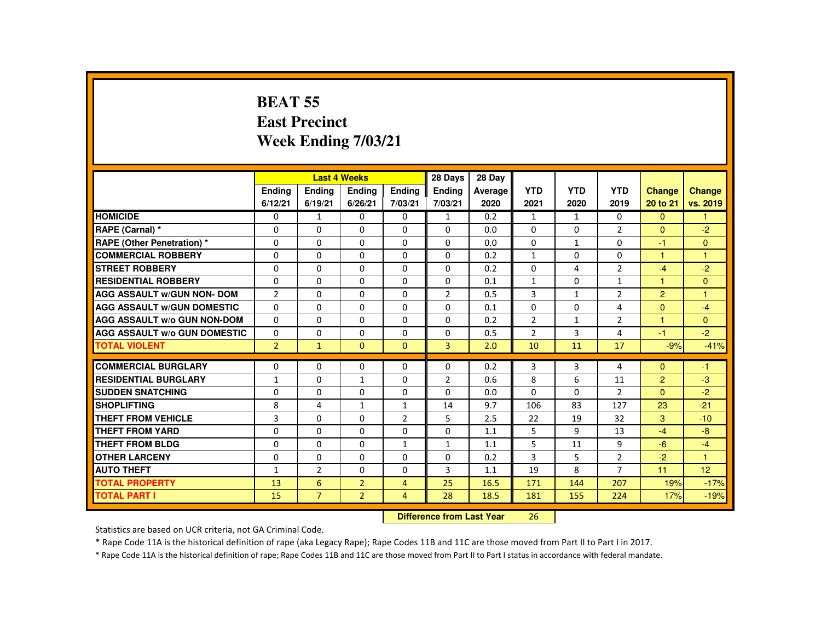## **BEAT 55 East PrecinctWeek Ending 7/03/21**

|                                     |                |                | <b>Last 4 Weeks</b> |                | 28 Days        | 28 Day  |                |              |                |                |                      |
|-------------------------------------|----------------|----------------|---------------------|----------------|----------------|---------|----------------|--------------|----------------|----------------|----------------------|
|                                     | <b>Endina</b>  | Ending         | Ending              | Ending         | <b>Ending</b>  | Average | <b>YTD</b>     | <b>YTD</b>   | <b>YTD</b>     | Change         | <b>Change</b>        |
|                                     | 6/12/21        | 6/19/21        | 6/26/21             | 7/03/21        | 7/03/21        | 2020    | 2021           | 2020         | 2019           | 20 to 21       | vs. 2019             |
| <b>HOMICIDE</b>                     | 0              | $\mathbf{1}$   | 0                   | $\Omega$       | $\mathbf{1}$   | 0.2     | $\mathbf{1}$   | $\mathbf{1}$ | $\mathbf{0}$   | $\mathbf{0}$   | 1                    |
| RAPE (Carnal) *                     | 0              | $\Omega$       | $\Omega$            | $\Omega$       | $\Omega$       | 0.0     | $\Omega$       | 0            | $\overline{2}$ | $\Omega$       | $-2$                 |
| RAPE (Other Penetration) *          | $\Omega$       | $\Omega$       | $\Omega$            | $\Omega$       | $\Omega$       | 0.0     | $\Omega$       | $\mathbf{1}$ | $\Omega$       | $-1$           | $\mathbf{0}$         |
| <b>COMMERCIAL ROBBERY</b>           | $\Omega$       | $\Omega$       | $\Omega$            | $\Omega$       | $\Omega$       | 0.2     | $\mathbf{1}$   | $\Omega$     | $\Omega$       | $\mathbf{1}$   | 1                    |
| <b>STREET ROBBERY</b>               | $\Omega$       | $\Omega$       | $\Omega$            | $\Omega$       | $\Omega$       | 0.2     | $\Omega$       | 4            | $\overline{2}$ | $-4$           | $-2$                 |
| <b>RESIDENTIAL ROBBERY</b>          | 0              | $\mathbf{0}$   | 0                   | 0              | 0              | 0.1     | $\mathbf{1}$   | 0            | $\mathbf{1}$   | 1              | $\mathbf{0}$         |
| <b>AGG ASSAULT w/GUN NON- DOM</b>   | $\overline{2}$ | $\Omega$       | $\Omega$            | $\Omega$       | $\overline{2}$ | 0.5     | 3              | $\mathbf{1}$ | $\overline{2}$ | $\overline{2}$ | $\blacktriangleleft$ |
| <b>AGG ASSAULT W/GUN DOMESTIC</b>   | $\Omega$       | $\Omega$       | $\Omega$            | $\Omega$       | $\Omega$       | 0.1     | $\Omega$       | $\Omega$     | 4              | $\Omega$       | $-4$                 |
| <b>AGG ASSAULT w/o GUN NON-DOM</b>  | $\Omega$       | $\Omega$       | $\Omega$            | $\Omega$       | $\Omega$       | 0.2     | $\overline{2}$ | $\mathbf{1}$ | $\overline{2}$ | $\mathbf{1}$   | $\Omega$             |
| <b>AGG ASSAULT w/o GUN DOMESTIC</b> | $\Omega$       | $\Omega$       | $\Omega$            | $\Omega$       | $\Omega$       | 0.5     | $\overline{2}$ | 3            | 4              | $-1$           | $-2$                 |
| <b>TOTAL VIOLENT</b>                | $\overline{2}$ | $\mathbf{1}$   | $\Omega$            | $\mathbf{0}$   | $\overline{3}$ | 2.0     | 10             | 11           | 17             | $-9%$          | $-41%$               |
|                                     |                |                |                     |                |                |         |                |              |                |                |                      |
| <b>COMMERCIAL BURGLARY</b>          | $\Omega$       | $\Omega$       | $\Omega$            | 0              | 0              | 0.2     | 3              | 3            | 4              | $\Omega$       | $-1$                 |
| <b>RESIDENTIAL BURGLARY</b>         | $\mathbf{1}$   | $\Omega$       | $\mathbf{1}$        | $\Omega$       | $\overline{2}$ | 0.6     | 8              | 6            | 11             | $\overline{2}$ | $-3$                 |
| <b>SUDDEN SNATCHING</b>             | $\Omega$       | $\mathbf{0}$   | 0                   | 0              | $\Omega$       | 0.0     | $\Omega$       | 0            | $\overline{2}$ | $\mathbf{0}$   | $-2$                 |
| <b>SHOPLIFTING</b>                  | 8              | 4              | $\mathbf{1}$        | $\mathbf{1}$   | 14             | 9.7     | 106            | 83           | 127            | 23             | $-21$                |
| <b>THEFT FROM VEHICLE</b>           | 3              | $\Omega$       | $\Omega$            | $\overline{2}$ | 5              | 2.5     | 22             | 19           | 32             | 3              | $-10$                |
| <b>THEFT FROM YARD</b>              | $\Omega$       | $\Omega$       | $\Omega$            | $\Omega$       | $\Omega$       | 1.1     | 5              | 9            | 13             | $-4$           | $-8$                 |
| <b>THEFT FROM BLDG</b>              | $\Omega$       | $\Omega$       | $\Omega$            | $\mathbf{1}$   | $\mathbf{1}$   | 1.1     | 5              | 11           | 9              | $-6$           | $-4$                 |
| <b>OTHER LARCENY</b>                | $\Omega$       | $\Omega$       | $\Omega$            | 0              | 0              | 0.2     | 3              | 5            | $\overline{2}$ | $-2$           | $\mathbf{1}$         |
| <b>AUTO THEFT</b>                   | $\mathbf{1}$   | $\overline{2}$ | $\Omega$            | $\Omega$       | 3              | 1.1     | 19             | 8            | $\overline{7}$ | 11             | 12                   |
| <b>TOTAL PROPERTY</b>               | 13             | 6              | $\overline{2}$      | $\overline{4}$ | 25             | 16.5    | 171            | 144          | 207            | 19%            | $-17%$               |
| <b>TOTAL PART I</b>                 | 15             | $\overline{7}$ | $\overline{2}$      | $\overline{4}$ | 28             | 18.5    | 181            | 155          | 224            | 17%            | $-19%$               |
|                                     |                |                |                     |                |                |         | $\sim$         |              |                |                |                      |

 **Difference from Last Year**<sup>26</sup>

Statistics are based on UCR criteria, not GA Criminal Code.

\* Rape Code 11A is the historical definition of rape (aka Legacy Rape); Rape Codes 11B and 11C are those moved from Part II to Part I in 2017.